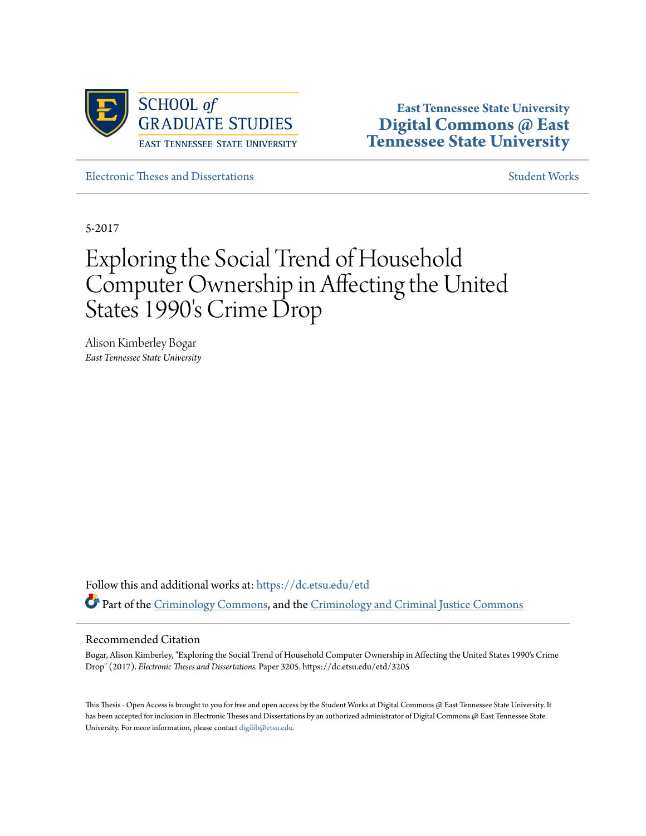

**East Tennessee State University [Digital Commons @ East](https://dc.etsu.edu?utm_source=dc.etsu.edu%2Fetd%2F3205&utm_medium=PDF&utm_campaign=PDFCoverPages) [Tennessee State University](https://dc.etsu.edu?utm_source=dc.etsu.edu%2Fetd%2F3205&utm_medium=PDF&utm_campaign=PDFCoverPages)**

[Electronic Theses and Dissertations](https://dc.etsu.edu/etd?utm_source=dc.etsu.edu%2Fetd%2F3205&utm_medium=PDF&utm_campaign=PDFCoverPages) [Student Works](https://dc.etsu.edu/student-works?utm_source=dc.etsu.edu%2Fetd%2F3205&utm_medium=PDF&utm_campaign=PDFCoverPages) Student Works Student Works

5-2017

# Exploring the Social Trend of Household Computer Ownership in Affecting the United States 1990's Crime Drop

Alison Kimberley Bogar *East Tennessee State University*

Follow this and additional works at: [https://dc.etsu.edu/etd](https://dc.etsu.edu/etd?utm_source=dc.etsu.edu%2Fetd%2F3205&utm_medium=PDF&utm_campaign=PDFCoverPages) Part of the [Criminology Commons,](http://network.bepress.com/hgg/discipline/417?utm_source=dc.etsu.edu%2Fetd%2F3205&utm_medium=PDF&utm_campaign=PDFCoverPages) and the [Criminology and Criminal Justice Commons](http://network.bepress.com/hgg/discipline/367?utm_source=dc.etsu.edu%2Fetd%2F3205&utm_medium=PDF&utm_campaign=PDFCoverPages)

#### Recommended Citation

Bogar, Alison Kimberley, "Exploring the Social Trend of Household Computer Ownership in Affecting the United States 1990's Crime Drop" (2017). *Electronic Theses and Dissertations.* Paper 3205. https://dc.etsu.edu/etd/3205

This Thesis - Open Access is brought to you for free and open access by the Student Works at Digital Commons @ East Tennessee State University. It has been accepted for inclusion in Electronic Theses and Dissertations by an authorized administrator of Digital Commons @ East Tennessee State University. For more information, please contact [digilib@etsu.edu.](mailto:digilib@etsu.edu)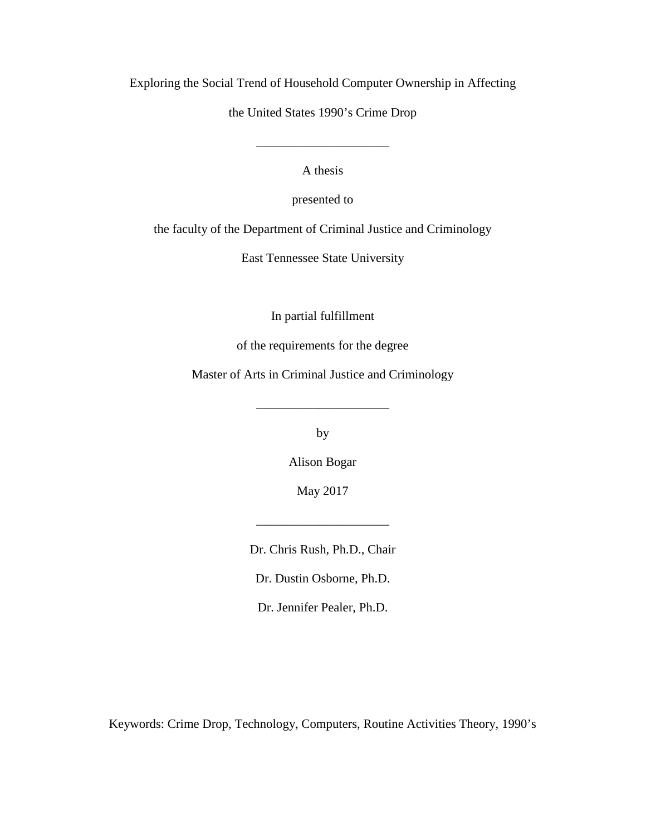Exploring the Social Trend of Household Computer Ownership in Affecting

the United States 1990's Crime Drop

A thesis

\_\_\_\_\_\_\_\_\_\_\_\_\_\_\_\_\_\_\_\_\_

presented to

the faculty of the Department of Criminal Justice and Criminology

East Tennessee State University

In partial fulfillment

of the requirements for the degree

Master of Arts in Criminal Justice and Criminology

by

\_\_\_\_\_\_\_\_\_\_\_\_\_\_\_\_\_\_\_\_\_

Alison Bogar

May 2017

\_\_\_\_\_\_\_\_\_\_\_\_\_\_\_\_\_\_\_\_\_

Dr. Chris Rush, Ph.D., Chair

Dr. Dustin Osborne, Ph.D.

Dr. Jennifer Pealer, Ph.D.

Keywords: Crime Drop, Technology, Computers, Routine Activities Theory, 1990's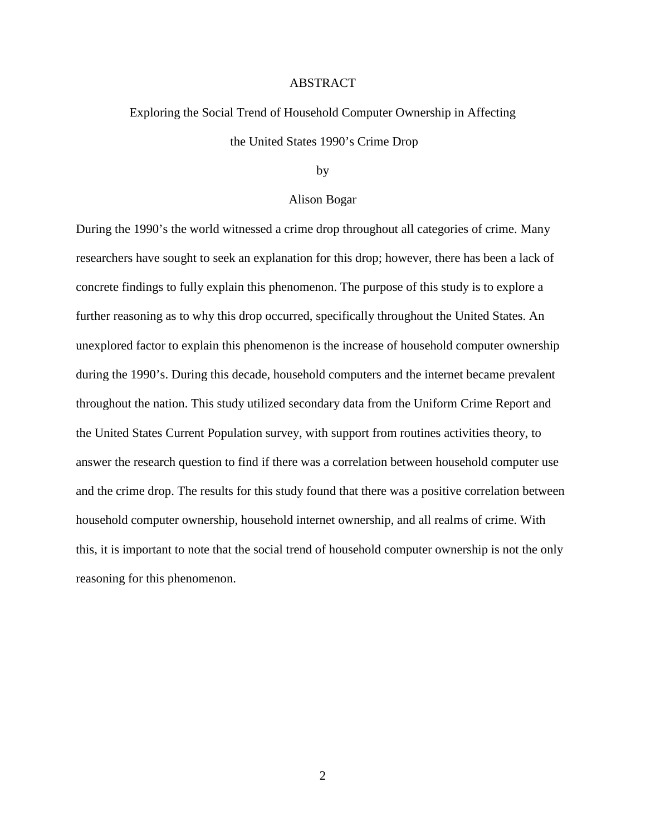#### ABSTRACT

## Exploring the Social Trend of Household Computer Ownership in Affecting the United States 1990's Crime Drop

#### by

#### Alison Bogar

During the 1990's the world witnessed a crime drop throughout all categories of crime. Many researchers have sought to seek an explanation for this drop; however, there has been a lack of concrete findings to fully explain this phenomenon. The purpose of this study is to explore a further reasoning as to why this drop occurred, specifically throughout the United States. An unexplored factor to explain this phenomenon is the increase of household computer ownership during the 1990's. During this decade, household computers and the internet became prevalent throughout the nation. This study utilized secondary data from the Uniform Crime Report and the United States Current Population survey, with support from routines activities theory, to answer the research question to find if there was a correlation between household computer use and the crime drop. The results for this study found that there was a positive correlation between household computer ownership, household internet ownership, and all realms of crime. With this, it is important to note that the social trend of household computer ownership is not the only reasoning for this phenomenon.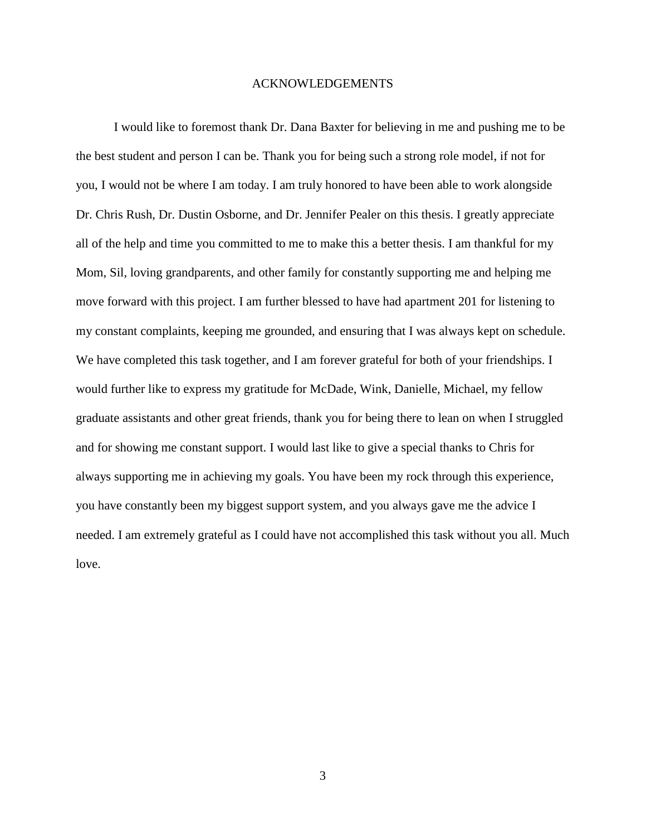#### ACKNOWLEDGEMENTS

I would like to foremost thank Dr. Dana Baxter for believing in me and pushing me to be the best student and person I can be. Thank you for being such a strong role model, if not for you, I would not be where I am today. I am truly honored to have been able to work alongside Dr. Chris Rush, Dr. Dustin Osborne, and Dr. Jennifer Pealer on this thesis. I greatly appreciate all of the help and time you committed to me to make this a better thesis. I am thankful for my Mom, Sil, loving grandparents, and other family for constantly supporting me and helping me move forward with this project. I am further blessed to have had apartment 201 for listening to my constant complaints, keeping me grounded, and ensuring that I was always kept on schedule. We have completed this task together, and I am forever grateful for both of your friendships. I would further like to express my gratitude for McDade, Wink, Danielle, Michael, my fellow graduate assistants and other great friends, thank you for being there to lean on when I struggled and for showing me constant support. I would last like to give a special thanks to Chris for always supporting me in achieving my goals. You have been my rock through this experience, you have constantly been my biggest support system, and you always gave me the advice I needed. I am extremely grateful as I could have not accomplished this task without you all. Much love.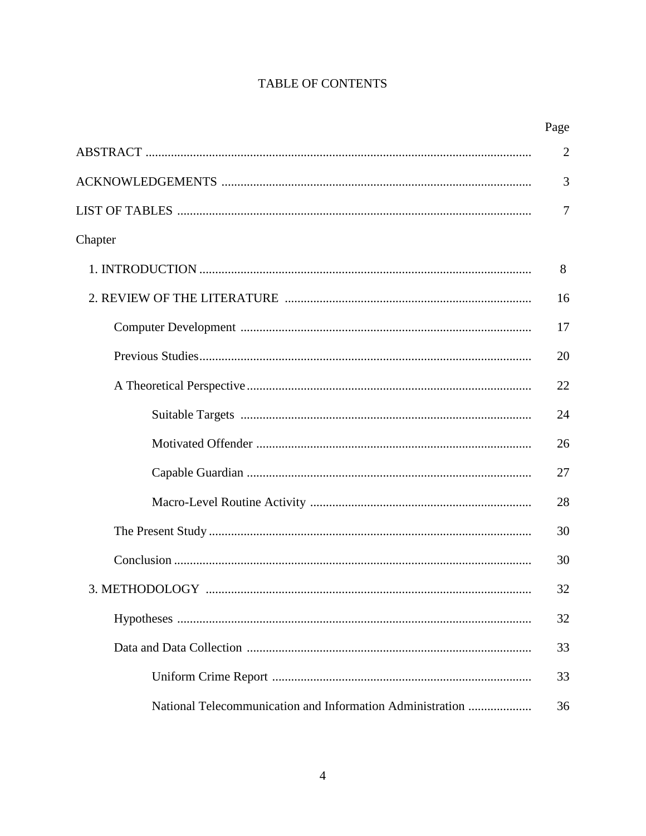### TABLE OF CONTENTS

|                                                           | Page           |
|-----------------------------------------------------------|----------------|
|                                                           | $\overline{2}$ |
|                                                           | 3              |
|                                                           | 7              |
| Chapter                                                   |                |
|                                                           | 8              |
|                                                           | 16             |
|                                                           | 17             |
|                                                           | 20             |
|                                                           | 22             |
|                                                           | 24             |
|                                                           | 26             |
|                                                           | 27             |
|                                                           | 28             |
|                                                           | 30             |
|                                                           | 30             |
|                                                           | 32             |
|                                                           | 32             |
|                                                           | 33             |
|                                                           | 33             |
| National Telecommunication and Information Administration | 36             |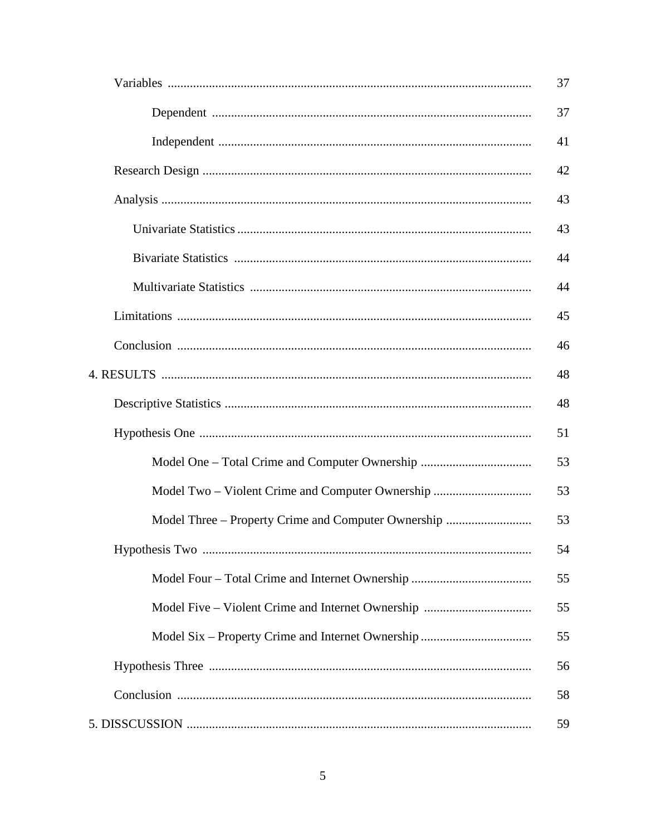|                                                     | 37 |  |
|-----------------------------------------------------|----|--|
|                                                     | 37 |  |
|                                                     | 41 |  |
|                                                     | 42 |  |
|                                                     | 43 |  |
|                                                     | 43 |  |
|                                                     | 44 |  |
|                                                     | 44 |  |
|                                                     | 45 |  |
|                                                     | 46 |  |
|                                                     | 48 |  |
|                                                     | 48 |  |
|                                                     | 51 |  |
|                                                     | 53 |  |
| Model Two – Violent Crime and Computer Ownership    | 53 |  |
| Model Three – Property Crime and Computer Ownership | 53 |  |
|                                                     | 54 |  |
|                                                     | 55 |  |
|                                                     | 55 |  |
|                                                     | 55 |  |
|                                                     | 56 |  |
|                                                     | 58 |  |
| 59                                                  |    |  |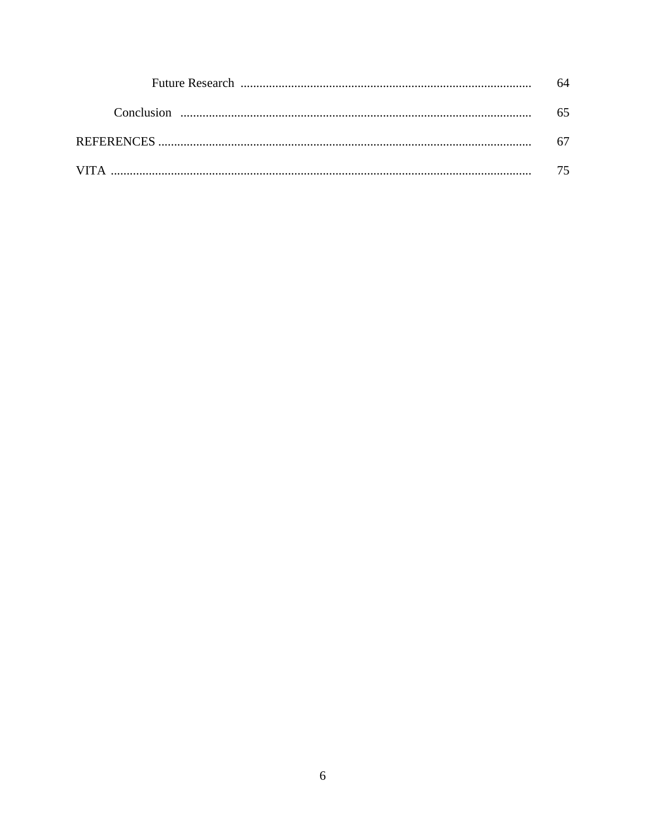| Conclusion $\ldots$ $\ldots$ $\ldots$ $\ldots$ $\ldots$ $\ldots$ $\ldots$ $\ldots$ $\ldots$ $\ldots$ $\ldots$ $\ldots$ $\ldots$ $\ldots$ $\ldots$ $\ldots$ $\ldots$ $\ldots$ $\ldots$ $\ldots$ $\ldots$ $\ldots$ $\ldots$ $\ldots$ $\ldots$ $\ldots$ $\ldots$ $\ldots$ $\ldots$ $\ldots$ $\ldots$ $\ldots$ $\ldots$ $\ldots$ $\ldots$ |  |
|---------------------------------------------------------------------------------------------------------------------------------------------------------------------------------------------------------------------------------------------------------------------------------------------------------------------------------------|--|
|                                                                                                                                                                                                                                                                                                                                       |  |
|                                                                                                                                                                                                                                                                                                                                       |  |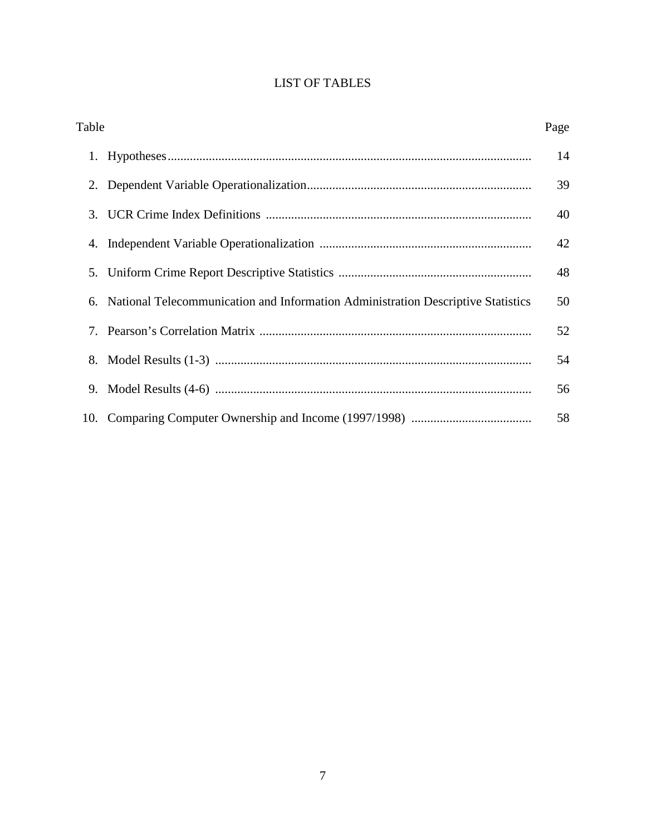### LIST OF TABLES

| Table |                                                                                  | Page |
|-------|----------------------------------------------------------------------------------|------|
| 1.    |                                                                                  | 14   |
| 2.    |                                                                                  | 39   |
| 3.    |                                                                                  | 40   |
| 4.    |                                                                                  | 42   |
| 5.    |                                                                                  | 48   |
| 6.    | National Telecommunication and Information Administration Descriptive Statistics | 50   |
| 7.    |                                                                                  | 52   |
| 8.    |                                                                                  | 54   |
| 9.    |                                                                                  | 56   |
|       |                                                                                  | 58   |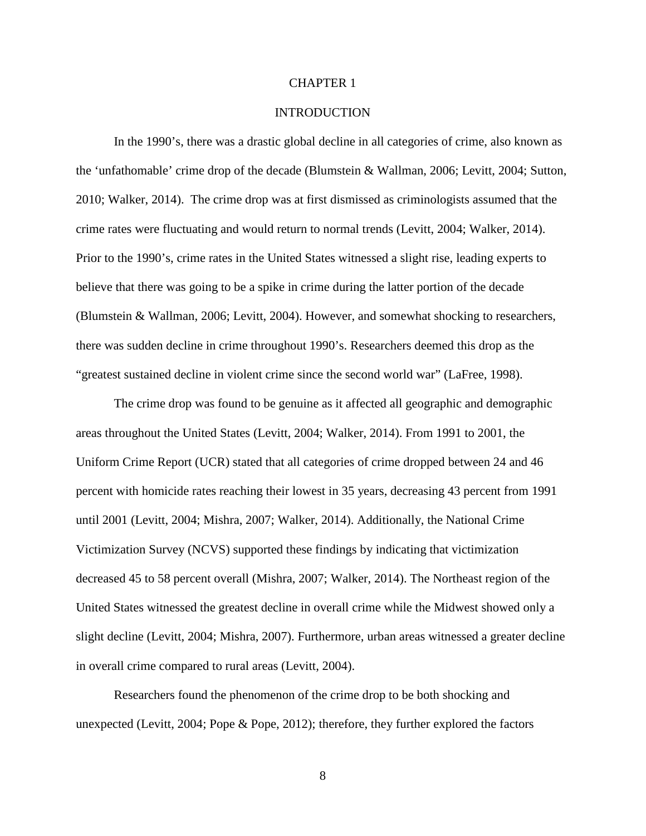#### CHAPTER 1

#### **INTRODUCTION**

In the 1990's, there was a drastic global decline in all categories of crime, also known as the 'unfathomable' crime drop of the decade (Blumstein & Wallman, 2006; Levitt, 2004; Sutton, 2010; Walker, 2014). The crime drop was at first dismissed as criminologists assumed that the crime rates were fluctuating and would return to normal trends (Levitt, 2004; Walker, 2014). Prior to the 1990's, crime rates in the United States witnessed a slight rise, leading experts to believe that there was going to be a spike in crime during the latter portion of the decade (Blumstein & Wallman, 2006; Levitt, 2004). However, and somewhat shocking to researchers, there was sudden decline in crime throughout 1990's. Researchers deemed this drop as the "greatest sustained decline in violent crime since the second world war" (LaFree, 1998).

The crime drop was found to be genuine as it affected all geographic and demographic areas throughout the United States (Levitt, 2004; Walker, 2014). From 1991 to 2001, the Uniform Crime Report (UCR) stated that all categories of crime dropped between 24 and 46 percent with homicide rates reaching their lowest in 35 years, decreasing 43 percent from 1991 until 2001 (Levitt, 2004; Mishra, 2007; Walker, 2014). Additionally, the National Crime Victimization Survey (NCVS) supported these findings by indicating that victimization decreased 45 to 58 percent overall (Mishra, 2007; Walker, 2014). The Northeast region of the United States witnessed the greatest decline in overall crime while the Midwest showed only a slight decline (Levitt, 2004; Mishra, 2007). Furthermore, urban areas witnessed a greater decline in overall crime compared to rural areas (Levitt, 2004).

Researchers found the phenomenon of the crime drop to be both shocking and unexpected (Levitt, 2004; Pope & Pope, 2012); therefore, they further explored the factors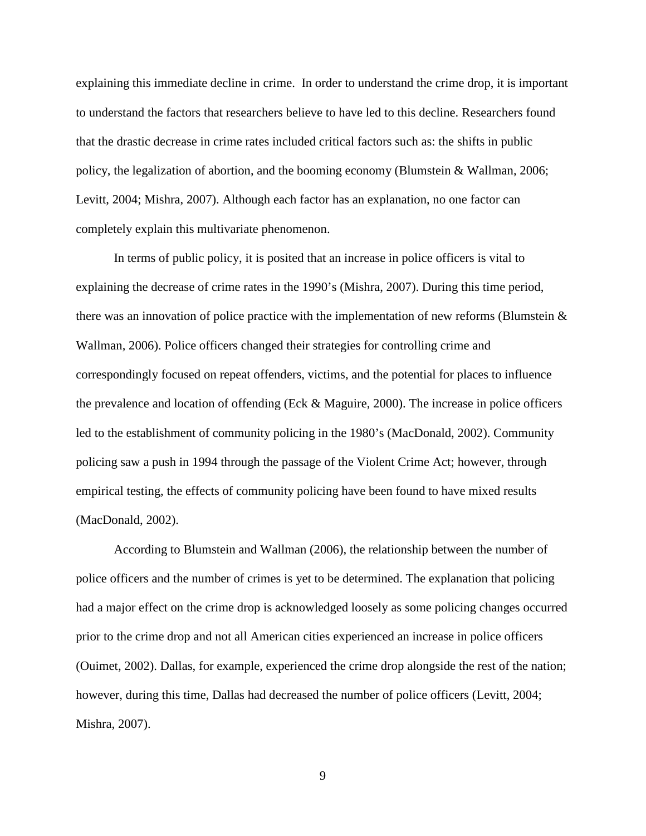explaining this immediate decline in crime. In order to understand the crime drop, it is important to understand the factors that researchers believe to have led to this decline. Researchers found that the drastic decrease in crime rates included critical factors such as: the shifts in public policy, the legalization of abortion, and the booming economy (Blumstein & Wallman, 2006; Levitt, 2004; Mishra, 2007). Although each factor has an explanation, no one factor can completely explain this multivariate phenomenon.

In terms of public policy, it is posited that an increase in police officers is vital to explaining the decrease of crime rates in the 1990's (Mishra, 2007). During this time period, there was an innovation of police practice with the implementation of new reforms (Blumstein  $\&$ Wallman, 2006). Police officers changed their strategies for controlling crime and correspondingly focused on repeat offenders, victims, and the potential for places to influence the prevalence and location of offending (Eck & Maguire, 2000). The increase in police officers led to the establishment of community policing in the 1980's (MacDonald, 2002). Community policing saw a push in 1994 through the passage of the Violent Crime Act; however, through empirical testing, the effects of community policing have been found to have mixed results (MacDonald, 2002).

According to Blumstein and Wallman (2006), the relationship between the number of police officers and the number of crimes is yet to be determined. The explanation that policing had a major effect on the crime drop is acknowledged loosely as some policing changes occurred prior to the crime drop and not all American cities experienced an increase in police officers (Ouimet, 2002). Dallas, for example, experienced the crime drop alongside the rest of the nation; however, during this time, Dallas had decreased the number of police officers (Levitt, 2004; Mishra, 2007).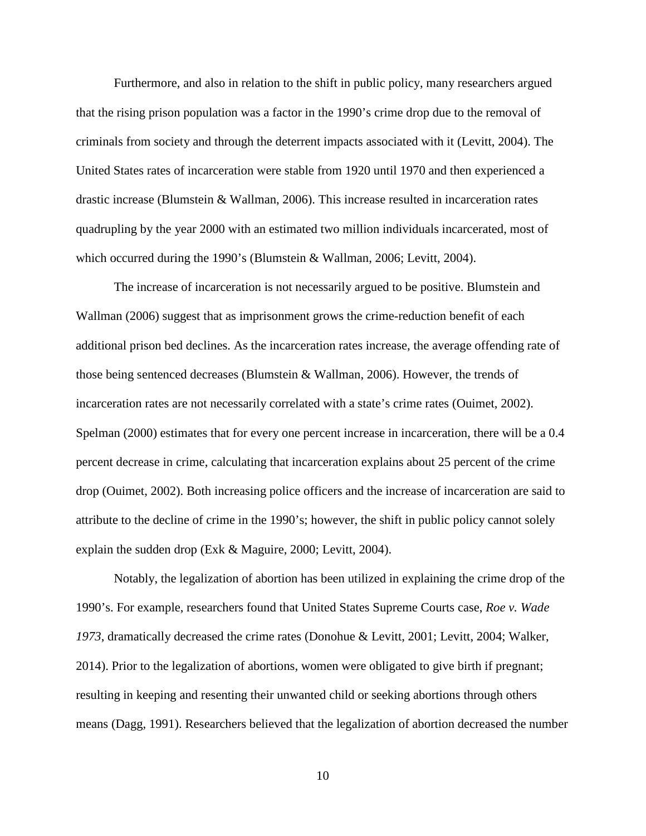Furthermore, and also in relation to the shift in public policy, many researchers argued that the rising prison population was a factor in the 1990's crime drop due to the removal of criminals from society and through the deterrent impacts associated with it (Levitt, 2004). The United States rates of incarceration were stable from 1920 until 1970 and then experienced a drastic increase (Blumstein & Wallman, 2006). This increase resulted in incarceration rates quadrupling by the year 2000 with an estimated two million individuals incarcerated, most of which occurred during the 1990's (Blumstein & Wallman, 2006; Levitt, 2004).

The increase of incarceration is not necessarily argued to be positive. Blumstein and Wallman (2006) suggest that as imprisonment grows the crime-reduction benefit of each additional prison bed declines. As the incarceration rates increase, the average offending rate of those being sentenced decreases (Blumstein & Wallman, 2006). However, the trends of incarceration rates are not necessarily correlated with a state's crime rates (Ouimet, 2002). Spelman (2000) estimates that for every one percent increase in incarceration, there will be a 0.4 percent decrease in crime, calculating that incarceration explains about 25 percent of the crime drop (Ouimet, 2002). Both increasing police officers and the increase of incarceration are said to attribute to the decline of crime in the 1990's; however, the shift in public policy cannot solely explain the sudden drop (Exk & Maguire, 2000; Levitt, 2004).

Notably, the legalization of abortion has been utilized in explaining the crime drop of the 1990's. For example, researchers found that United States Supreme Courts case, *Roe v. Wade 1973*, dramatically decreased the crime rates (Donohue & Levitt, 2001; Levitt, 2004; Walker, 2014). Prior to the legalization of abortions, women were obligated to give birth if pregnant; resulting in keeping and resenting their unwanted child or seeking abortions through others means (Dagg, 1991). Researchers believed that the legalization of abortion decreased the number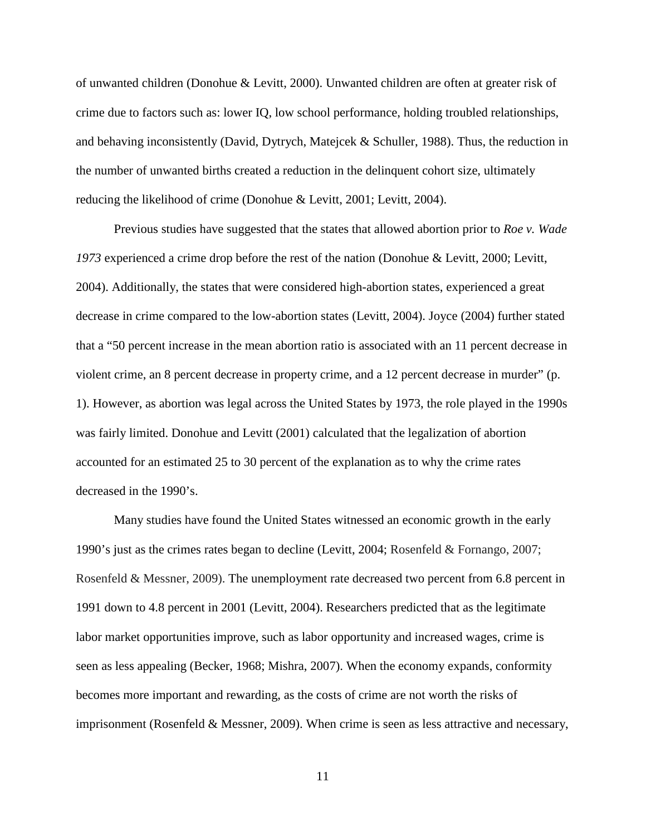of unwanted children (Donohue & Levitt, 2000). Unwanted children are often at greater risk of crime due to factors such as: lower IQ, low school performance, holding troubled relationships, and behaving inconsistently (David, Dytrych, Matejcek & Schuller, 1988). Thus, the reduction in the number of unwanted births created a reduction in the delinquent cohort size, ultimately reducing the likelihood of crime (Donohue & Levitt, 2001; Levitt, 2004).

Previous studies have suggested that the states that allowed abortion prior to *Roe v. Wade 1973* experienced a crime drop before the rest of the nation (Donohue & Levitt, 2000; Levitt, 2004). Additionally, the states that were considered high-abortion states, experienced a great decrease in crime compared to the low-abortion states (Levitt, 2004). Joyce (2004) further stated that a "50 percent increase in the mean abortion ratio is associated with an 11 percent decrease in violent crime, an 8 percent decrease in property crime, and a 12 percent decrease in murder" (p. 1). However, as abortion was legal across the United States by 1973, the role played in the 1990s was fairly limited. Donohue and Levitt (2001) calculated that the legalization of abortion accounted for an estimated 25 to 30 percent of the explanation as to why the crime rates decreased in the 1990's.

Many studies have found the United States witnessed an economic growth in the early 1990's just as the crimes rates began to decline (Levitt, 2004; Rosenfeld & Fornango, 2007; Rosenfeld & Messner, 2009). The unemployment rate decreased two percent from 6.8 percent in 1991 down to 4.8 percent in 2001 (Levitt, 2004). Researchers predicted that as the legitimate labor market opportunities improve, such as labor opportunity and increased wages, crime is seen as less appealing (Becker, 1968; Mishra, 2007). When the economy expands, conformity becomes more important and rewarding, as the costs of crime are not worth the risks of imprisonment (Rosenfeld & Messner, 2009). When crime is seen as less attractive and necessary,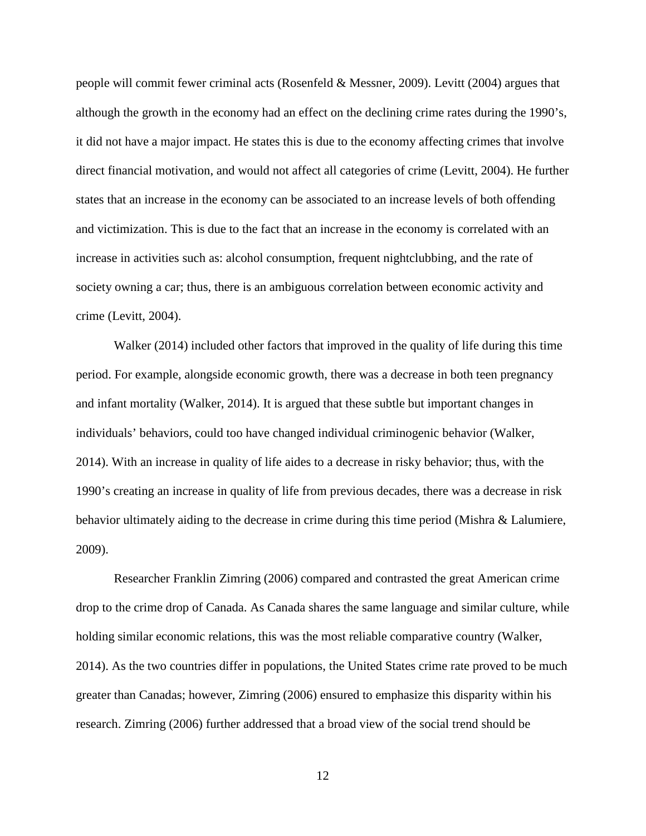people will commit fewer criminal acts (Rosenfeld & Messner, 2009). Levitt (2004) argues that although the growth in the economy had an effect on the declining crime rates during the 1990's, it did not have a major impact. He states this is due to the economy affecting crimes that involve direct financial motivation, and would not affect all categories of crime (Levitt, 2004). He further states that an increase in the economy can be associated to an increase levels of both offending and victimization. This is due to the fact that an increase in the economy is correlated with an increase in activities such as: alcohol consumption, frequent nightclubbing, and the rate of society owning a car; thus, there is an ambiguous correlation between economic activity and crime (Levitt, 2004).

Walker (2014) included other factors that improved in the quality of life during this time period. For example, alongside economic growth, there was a decrease in both teen pregnancy and infant mortality (Walker, 2014). It is argued that these subtle but important changes in individuals' behaviors, could too have changed individual criminogenic behavior (Walker, 2014). With an increase in quality of life aides to a decrease in risky behavior; thus, with the 1990's creating an increase in quality of life from previous decades, there was a decrease in risk behavior ultimately aiding to the decrease in crime during this time period (Mishra & Lalumiere, 2009).

Researcher Franklin Zimring (2006) compared and contrasted the great American crime drop to the crime drop of Canada. As Canada shares the same language and similar culture, while holding similar economic relations, this was the most reliable comparative country (Walker, 2014). As the two countries differ in populations, the United States crime rate proved to be much greater than Canadas; however, Zimring (2006) ensured to emphasize this disparity within his research. Zimring (2006) further addressed that a broad view of the social trend should be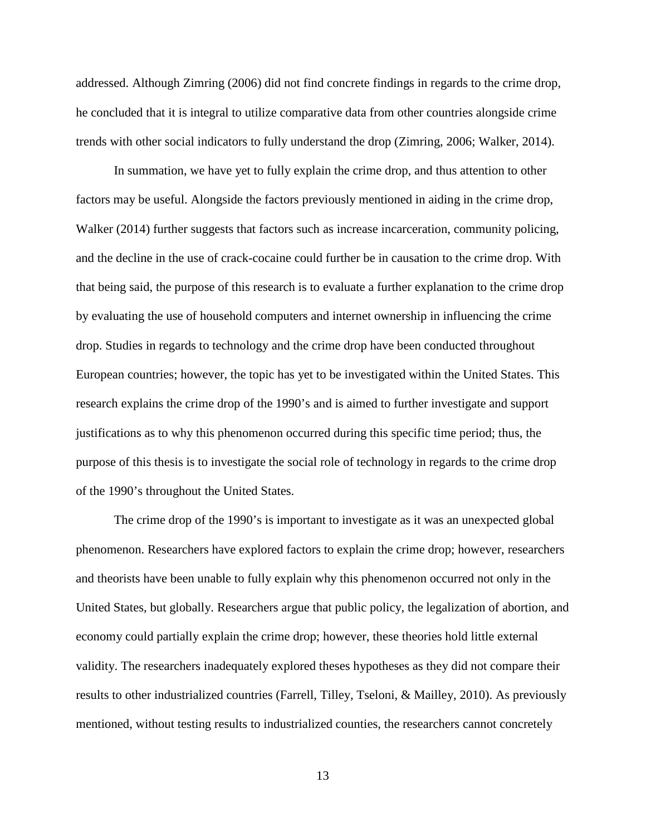addressed. Although Zimring (2006) did not find concrete findings in regards to the crime drop, he concluded that it is integral to utilize comparative data from other countries alongside crime trends with other social indicators to fully understand the drop (Zimring, 2006; Walker, 2014).

In summation, we have yet to fully explain the crime drop, and thus attention to other factors may be useful. Alongside the factors previously mentioned in aiding in the crime drop, Walker (2014) further suggests that factors such as increase incarceration, community policing, and the decline in the use of crack-cocaine could further be in causation to the crime drop. With that being said, the purpose of this research is to evaluate a further explanation to the crime drop by evaluating the use of household computers and internet ownership in influencing the crime drop. Studies in regards to technology and the crime drop have been conducted throughout European countries; however, the topic has yet to be investigated within the United States. This research explains the crime drop of the 1990's and is aimed to further investigate and support justifications as to why this phenomenon occurred during this specific time period; thus, the purpose of this thesis is to investigate the social role of technology in regards to the crime drop of the 1990's throughout the United States.

The crime drop of the 1990's is important to investigate as it was an unexpected global phenomenon. Researchers have explored factors to explain the crime drop; however, researchers and theorists have been unable to fully explain why this phenomenon occurred not only in the United States, but globally. Researchers argue that public policy, the legalization of abortion, and economy could partially explain the crime drop; however, these theories hold little external validity. The researchers inadequately explored theses hypotheses as they did not compare their results to other industrialized countries (Farrell, Tilley, Tseloni, & Mailley, 2010). As previously mentioned, without testing results to industrialized counties, the researchers cannot concretely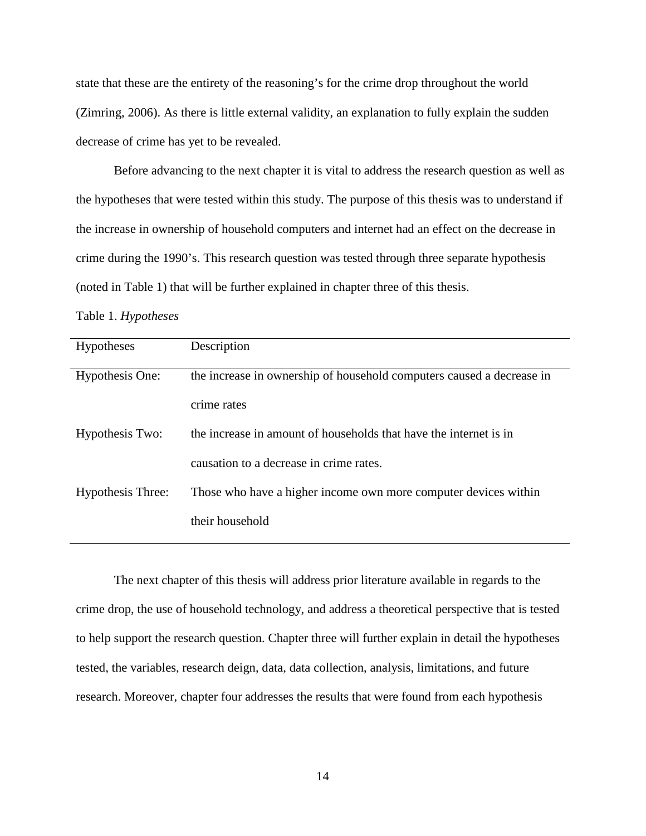state that these are the entirety of the reasoning's for the crime drop throughout the world (Zimring, 2006). As there is little external validity, an explanation to fully explain the sudden decrease of crime has yet to be revealed.

Before advancing to the next chapter it is vital to address the research question as well as the hypotheses that were tested within this study. The purpose of this thesis was to understand if the increase in ownership of household computers and internet had an effect on the decrease in crime during the 1990's. This research question was tested through three separate hypothesis (noted in Table 1) that will be further explained in chapter three of this thesis.

Table 1. *Hypotheses* 

| Hypotheses        | Description                                                           |
|-------------------|-----------------------------------------------------------------------|
| Hypothesis One:   | the increase in ownership of household computers caused a decrease in |
|                   | crime rates                                                           |
| Hypothesis Two:   | the increase in amount of households that have the internet is in     |
|                   | causation to a decrease in crime rates.                               |
| Hypothesis Three: | Those who have a higher income own more computer devices within       |
|                   | their household                                                       |
|                   |                                                                       |

The next chapter of this thesis will address prior literature available in regards to the crime drop, the use of household technology, and address a theoretical perspective that is tested to help support the research question. Chapter three will further explain in detail the hypotheses tested, the variables, research deign, data, data collection, analysis, limitations, and future research. Moreover, chapter four addresses the results that were found from each hypothesis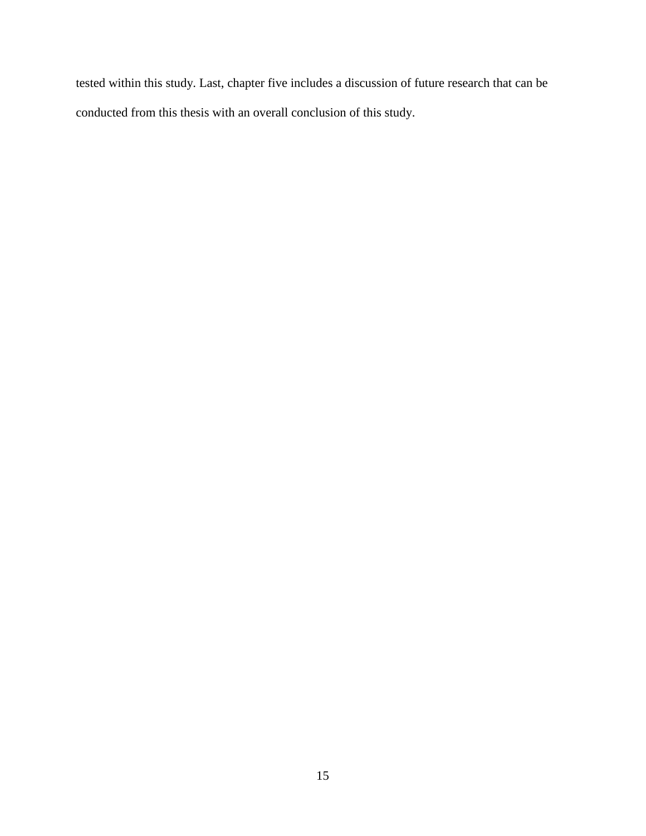tested within this study. Last, chapter five includes a discussion of future research that can be conducted from this thesis with an overall conclusion of this study.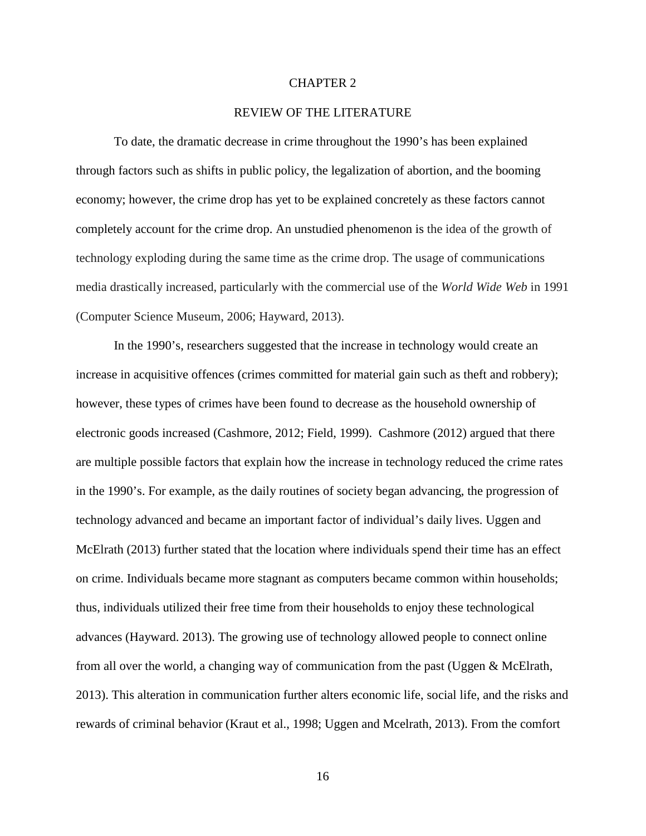#### CHAPTER 2

#### REVIEW OF THE LITERATURE

To date, the dramatic decrease in crime throughout the 1990's has been explained through factors such as shifts in public policy, the legalization of abortion, and the booming economy; however, the crime drop has yet to be explained concretely as these factors cannot completely account for the crime drop. An unstudied phenomenon is the idea of the growth of technology exploding during the same time as the crime drop. The usage of communications media drastically increased, particularly with the commercial use of the *World Wide Web* in 1991 (Computer Science Museum, 2006; Hayward, 2013).

In the 1990's, researchers suggested that the increase in technology would create an increase in acquisitive offences (crimes committed for material gain such as theft and robbery); however, these types of crimes have been found to decrease as the household ownership of electronic goods increased (Cashmore, 2012; Field, 1999). Cashmore (2012) argued that there are multiple possible factors that explain how the increase in technology reduced the crime rates in the 1990's. For example, as the daily routines of society began advancing, the progression of technology advanced and became an important factor of individual's daily lives. Uggen and McElrath (2013) further stated that the location where individuals spend their time has an effect on crime. Individuals became more stagnant as computers became common within households; thus, individuals utilized their free time from their households to enjoy these technological advances (Hayward. 2013). The growing use of technology allowed people to connect online from all over the world, a changing way of communication from the past (Uggen & McElrath, 2013). This alteration in communication further alters economic life, social life, and the risks and rewards of criminal behavior (Kraut et al., 1998; Uggen and Mcelrath, 2013). From the comfort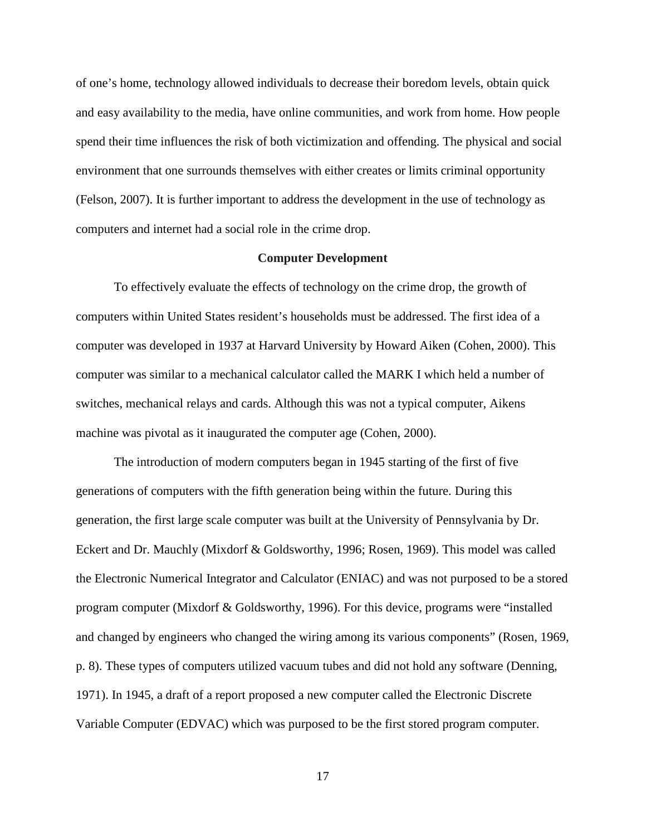of one's home, technology allowed individuals to decrease their boredom levels, obtain quick and easy availability to the media, have online communities, and work from home. How people spend their time influences the risk of both victimization and offending. The physical and social environment that one surrounds themselves with either creates or limits criminal opportunity (Felson, 2007). It is further important to address the development in the use of technology as computers and internet had a social role in the crime drop.

#### **Computer Development**

To effectively evaluate the effects of technology on the crime drop, the growth of computers within United States resident's households must be addressed. The first idea of a computer was developed in 1937 at Harvard University by Howard Aiken (Cohen, 2000). This computer was similar to a mechanical calculator called the MARK I which held a number of switches, mechanical relays and cards. Although this was not a typical computer, Aikens machine was pivotal as it inaugurated the computer age (Cohen, 2000).

The introduction of modern computers began in 1945 starting of the first of five generations of computers with the fifth generation being within the future. During this generation, the first large scale computer was built at the University of Pennsylvania by Dr. Eckert and Dr. Mauchly (Mixdorf & Goldsworthy, 1996; Rosen, 1969). This model was called the Electronic Numerical Integrator and Calculator (ENIAC) and was not purposed to be a stored program computer (Mixdorf & Goldsworthy, 1996). For this device, programs were "installed and changed by engineers who changed the wiring among its various components" (Rosen, 1969, p. 8). These types of computers utilized vacuum tubes and did not hold any software (Denning, 1971). In 1945, a draft of a report proposed a new computer called the Electronic Discrete Variable Computer (EDVAC) which was purposed to be the first stored program computer.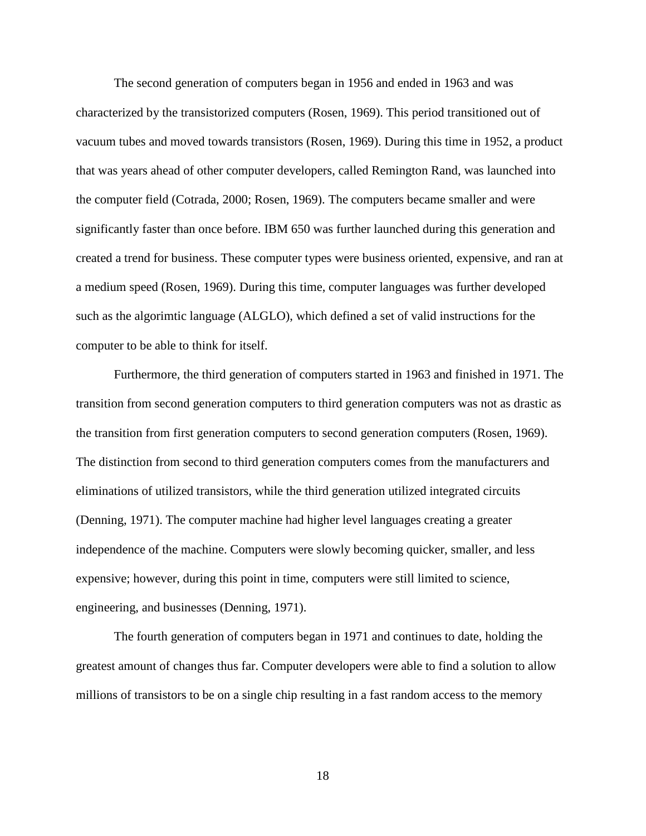The second generation of computers began in 1956 and ended in 1963 and was characterized by the transistorized computers (Rosen, 1969). This period transitioned out of vacuum tubes and moved towards transistors (Rosen, 1969). During this time in 1952, a product that was years ahead of other computer developers, called Remington Rand, was launched into the computer field (Cotrada, 2000; Rosen, 1969). The computers became smaller and were significantly faster than once before. IBM 650 was further launched during this generation and created a trend for business. These computer types were business oriented, expensive, and ran at a medium speed (Rosen, 1969). During this time, computer languages was further developed such as the algorimtic language (ALGLO), which defined a set of valid instructions for the computer to be able to think for itself.

Furthermore, the third generation of computers started in 1963 and finished in 1971. The transition from second generation computers to third generation computers was not as drastic as the transition from first generation computers to second generation computers (Rosen, 1969). The distinction from second to third generation computers comes from the manufacturers and eliminations of utilized transistors, while the third generation utilized integrated circuits (Denning, 1971). The computer machine had higher level languages creating a greater independence of the machine. Computers were slowly becoming quicker, smaller, and less expensive; however, during this point in time, computers were still limited to science, engineering, and businesses (Denning, 1971).

The fourth generation of computers began in 1971 and continues to date, holding the greatest amount of changes thus far. Computer developers were able to find a solution to allow millions of transistors to be on a single chip resulting in a fast random access to the memory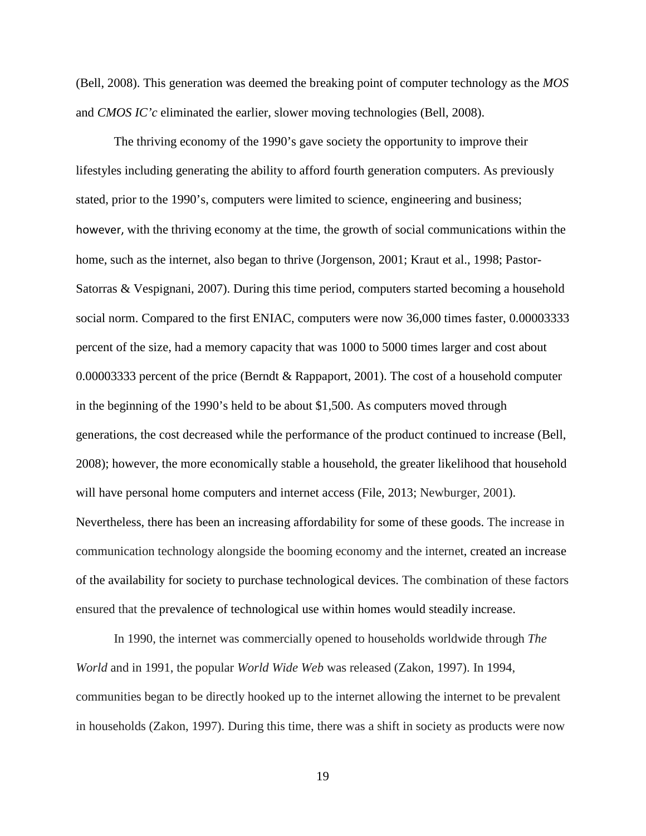(Bell, 2008). This generation was deemed the breaking point of computer technology as the *MOS* and *CMOS IC'c* eliminated the earlier, slower moving technologies (Bell, 2008).

The thriving economy of the 1990's gave society the opportunity to improve their lifestyles including generating the ability to afford fourth generation computers. As previously stated, prior to the 1990's, computers were limited to science, engineering and business; however, with the thriving economy at the time, the growth of social communications within the home, such as the internet, also began to thrive (Jorgenson, 2001; Kraut et al., 1998; Pastor-Satorras & Vespignani, 2007). During this time period, computers started becoming a household social norm. Compared to the first ENIAC, computers were now 36,000 times faster, 0.00003333 percent of the size, had a memory capacity that was 1000 to 5000 times larger and cost about 0.00003333 percent of the price (Berndt & Rappaport, 2001). The cost of a household computer in the beginning of the 1990's held to be about \$1,500. As computers moved through generations, the cost decreased while the performance of the product continued to increase (Bell, 2008); however, the more economically stable a household, the greater likelihood that household will have personal home computers and internet access (File, 2013; Newburger, 2001). Nevertheless, there has been an increasing affordability for some of these goods. The increase in communication technology alongside the booming economy and the internet, created an increase of the availability for society to purchase technological devices. The combination of these factors ensured that the prevalence of technological use within homes would steadily increase.

In 1990, the internet was commercially opened to households worldwide through *The World* and in 1991, the popular *World Wide Web* was released (Zakon, 1997). In 1994, communities began to be directly hooked up to the internet allowing the internet to be prevalent in households (Zakon, 1997). During this time, there was a shift in society as products were now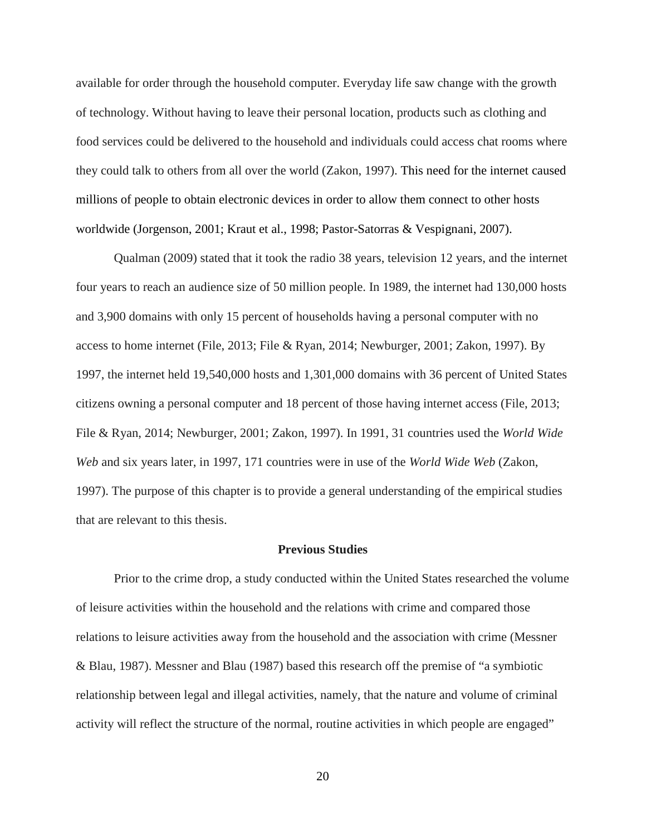available for order through the household computer. Everyday life saw change with the growth of technology. Without having to leave their personal location, products such as clothing and food services could be delivered to the household and individuals could access chat rooms where they could talk to others from all over the world (Zakon, 1997). This need for the internet caused millions of people to obtain electronic devices in order to allow them connect to other hosts worldwide (Jorgenson, 2001; Kraut et al., 1998; Pastor-Satorras & Vespignani, 2007).

Qualman (2009) stated that it took the radio 38 years, television 12 years, and the internet four years to reach an audience size of 50 million people. In 1989, the internet had 130,000 hosts and 3,900 domains with only 15 percent of households having a personal computer with no access to home internet (File, 2013; File & Ryan, 2014; Newburger, 2001; Zakon, 1997). By 1997, the internet held 19,540,000 hosts and 1,301,000 domains with 36 percent of United States citizens owning a personal computer and 18 percent of those having internet access (File, 2013; File & Ryan, 2014; Newburger, 2001; Zakon, 1997). In 1991, 31 countries used the *World Wide Web* and six years later, in 1997, 171 countries were in use of the *World Wide Web* (Zakon, 1997). The purpose of this chapter is to provide a general understanding of the empirical studies that are relevant to this thesis.

#### **Previous Studies**

Prior to the crime drop, a study conducted within the United States researched the volume of leisure activities within the household and the relations with crime and compared those relations to leisure activities away from the household and the association with crime (Messner & Blau, 1987). Messner and Blau (1987) based this research off the premise of "a symbiotic relationship between legal and illegal activities, namely, that the nature and volume of criminal activity will reflect the structure of the normal, routine activities in which people are engaged"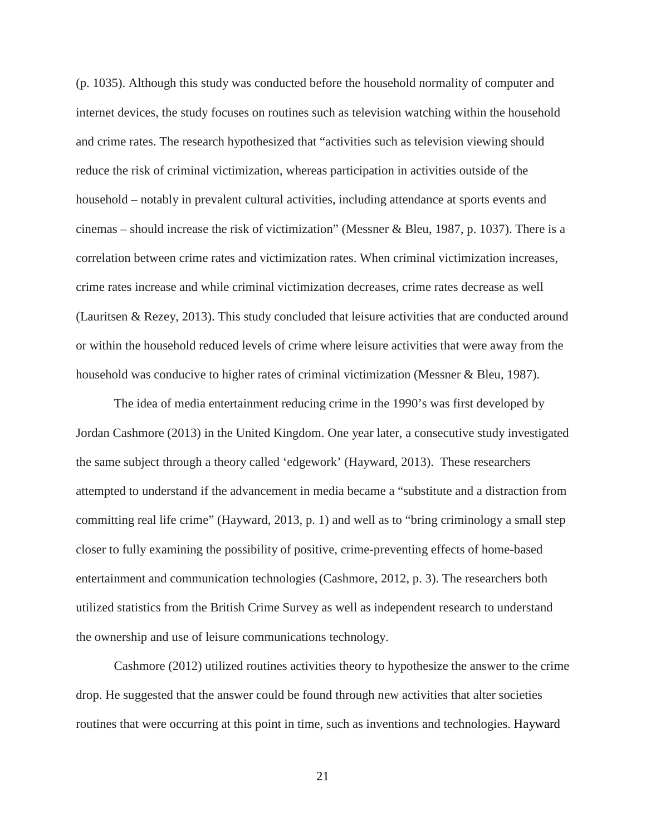(p. 1035). Although this study was conducted before the household normality of computer and internet devices, the study focuses on routines such as television watching within the household and crime rates. The research hypothesized that "activities such as television viewing should reduce the risk of criminal victimization, whereas participation in activities outside of the household – notably in prevalent cultural activities, including attendance at sports events and cinemas – should increase the risk of victimization" (Messner & Bleu, 1987, p. 1037). There is a correlation between crime rates and victimization rates. When criminal victimization increases, crime rates increase and while criminal victimization decreases, crime rates decrease as well (Lauritsen & Rezey, 2013). This study concluded that leisure activities that are conducted around or within the household reduced levels of crime where leisure activities that were away from the household was conducive to higher rates of criminal victimization (Messner & Bleu, 1987).

The idea of media entertainment reducing crime in the 1990's was first developed by Jordan Cashmore (2013) in the United Kingdom. One year later, a consecutive study investigated the same subject through a theory called 'edgework' (Hayward, 2013). These researchers attempted to understand if the advancement in media became a "substitute and a distraction from committing real life crime" (Hayward, 2013, p. 1) and well as to "bring criminology a small step closer to fully examining the possibility of positive, crime-preventing effects of home-based entertainment and communication technologies (Cashmore, 2012, p. 3). The researchers both utilized statistics from the British Crime Survey as well as independent research to understand the ownership and use of leisure communications technology.

Cashmore (2012) utilized routines activities theory to hypothesize the answer to the crime drop. He suggested that the answer could be found through new activities that alter societies routines that were occurring at this point in time, such as inventions and technologies. Hayward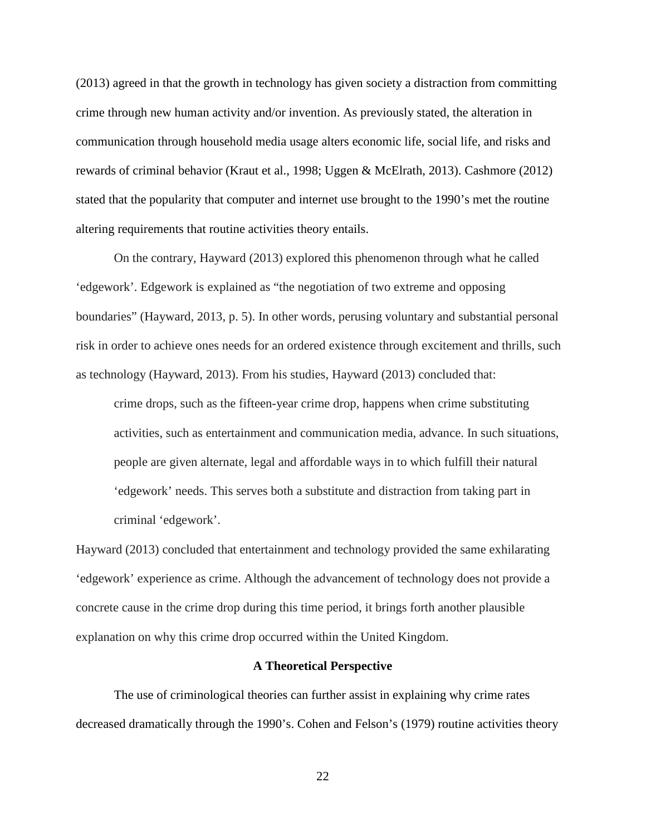(2013) agreed in that the growth in technology has given society a distraction from committing crime through new human activity and/or invention. As previously stated, the alteration in communication through household media usage alters economic life, social life, and risks and rewards of criminal behavior (Kraut et al., 1998; Uggen & McElrath, 2013). Cashmore (2012) stated that the popularity that computer and internet use brought to the 1990's met the routine altering requirements that routine activities theory entails.

On the contrary, Hayward (2013) explored this phenomenon through what he called 'edgework'. Edgework is explained as "the negotiation of two extreme and opposing boundaries" (Hayward, 2013, p. 5). In other words, perusing voluntary and substantial personal risk in order to achieve ones needs for an ordered existence through excitement and thrills, such as technology (Hayward, 2013). From his studies, Hayward (2013) concluded that:

crime drops, such as the fifteen-year crime drop, happens when crime substituting activities, such as entertainment and communication media, advance. In such situations, people are given alternate, legal and affordable ways in to which fulfill their natural 'edgework' needs. This serves both a substitute and distraction from taking part in criminal 'edgework'.

Hayward (2013) concluded that entertainment and technology provided the same exhilarating 'edgework' experience as crime. Although the advancement of technology does not provide a concrete cause in the crime drop during this time period, it brings forth another plausible explanation on why this crime drop occurred within the United Kingdom.

#### **A Theoretical Perspective**

The use of criminological theories can further assist in explaining why crime rates decreased dramatically through the 1990's. Cohen and Felson's (1979) routine activities theory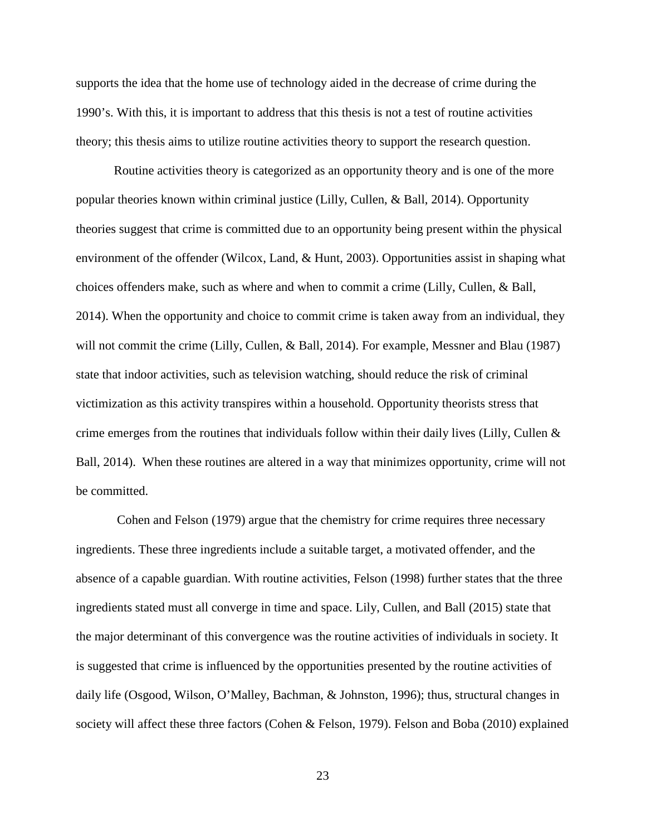supports the idea that the home use of technology aided in the decrease of crime during the 1990's. With this, it is important to address that this thesis is not a test of routine activities theory; this thesis aims to utilize routine activities theory to support the research question.

Routine activities theory is categorized as an opportunity theory and is one of the more popular theories known within criminal justice (Lilly, Cullen, & Ball, 2014). Opportunity theories suggest that crime is committed due to an opportunity being present within the physical environment of the offender (Wilcox, Land, & Hunt, 2003). Opportunities assist in shaping what choices offenders make, such as where and when to commit a crime (Lilly, Cullen, & Ball, 2014). When the opportunity and choice to commit crime is taken away from an individual, they will not commit the crime (Lilly, Cullen, & Ball, 2014). For example, Messner and Blau (1987) state that indoor activities, such as television watching, should reduce the risk of criminal victimization as this activity transpires within a household. Opportunity theorists stress that crime emerges from the routines that individuals follow within their daily lives (Lilly, Cullen & Ball, 2014). When these routines are altered in a way that minimizes opportunity, crime will not be committed.

Cohen and Felson (1979) argue that the chemistry for crime requires three necessary ingredients. These three ingredients include a suitable target, a motivated offender, and the absence of a capable guardian. With routine activities, Felson (1998) further states that the three ingredients stated must all converge in time and space. Lily, Cullen, and Ball (2015) state that the major determinant of this convergence was the routine activities of individuals in society. It is suggested that crime is influenced by the opportunities presented by the routine activities of daily life (Osgood, Wilson, O'Malley, Bachman, & Johnston, 1996); thus, structural changes in society will affect these three factors (Cohen & Felson, 1979). Felson and Boba (2010) explained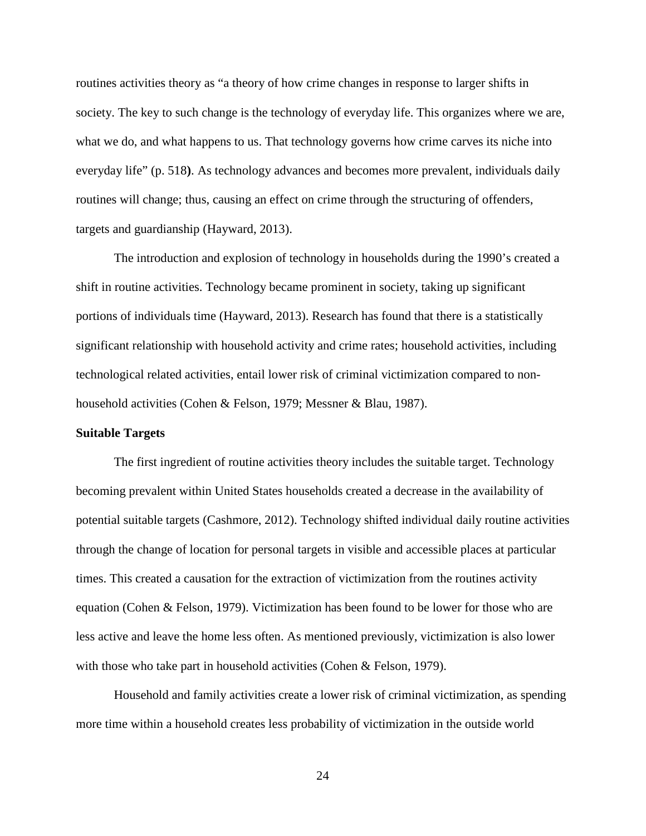routines activities theory as "a theory of how crime changes in response to larger shifts in society. The key to such change is the technology of everyday life. This organizes where we are, what we do, and what happens to us. That technology governs how crime carves its niche into everyday life" (p. 518**)**. As technology advances and becomes more prevalent, individuals daily routines will change; thus, causing an effect on crime through the structuring of offenders, targets and guardianship (Hayward, 2013).

The introduction and explosion of technology in households during the 1990's created a shift in routine activities. Technology became prominent in society, taking up significant portions of individuals time (Hayward, 2013). Research has found that there is a statistically significant relationship with household activity and crime rates; household activities, including technological related activities, entail lower risk of criminal victimization compared to nonhousehold activities (Cohen & Felson, 1979; Messner & Blau, 1987).

#### **Suitable Targets**

The first ingredient of routine activities theory includes the suitable target. Technology becoming prevalent within United States households created a decrease in the availability of potential suitable targets (Cashmore, 2012). Technology shifted individual daily routine activities through the change of location for personal targets in visible and accessible places at particular times. This created a causation for the extraction of victimization from the routines activity equation (Cohen & Felson, 1979). Victimization has been found to be lower for those who are less active and leave the home less often. As mentioned previously, victimization is also lower with those who take part in household activities (Cohen & Felson, 1979).

Household and family activities create a lower risk of criminal victimization, as spending more time within a household creates less probability of victimization in the outside world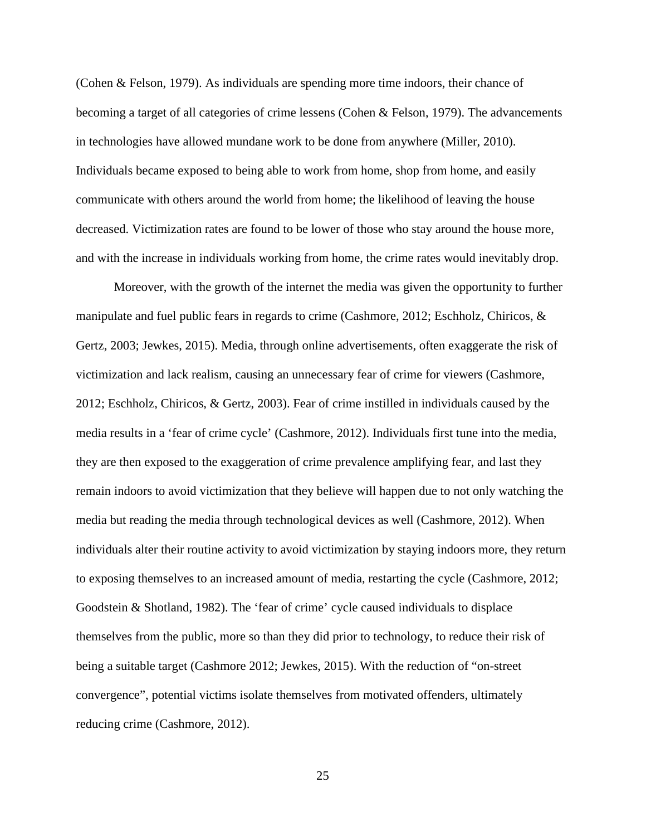(Cohen & Felson, 1979). As individuals are spending more time indoors, their chance of becoming a target of all categories of crime lessens (Cohen & Felson, 1979). The advancements in technologies have allowed mundane work to be done from anywhere (Miller, 2010). Individuals became exposed to being able to work from home, shop from home, and easily communicate with others around the world from home; the likelihood of leaving the house decreased. Victimization rates are found to be lower of those who stay around the house more, and with the increase in individuals working from home, the crime rates would inevitably drop.

Moreover, with the growth of the internet the media was given the opportunity to further manipulate and fuel public fears in regards to crime (Cashmore, 2012; Eschholz, Chiricos, & Gertz, 2003; Jewkes, 2015). Media, through online advertisements, often exaggerate the risk of victimization and lack realism, causing an unnecessary fear of crime for viewers (Cashmore, 2012; Eschholz, Chiricos, & Gertz, 2003). Fear of crime instilled in individuals caused by the media results in a 'fear of crime cycle' (Cashmore, 2012). Individuals first tune into the media, they are then exposed to the exaggeration of crime prevalence amplifying fear, and last they remain indoors to avoid victimization that they believe will happen due to not only watching the media but reading the media through technological devices as well (Cashmore, 2012). When individuals alter their routine activity to avoid victimization by staying indoors more, they return to exposing themselves to an increased amount of media, restarting the cycle (Cashmore, 2012; Goodstein & Shotland, 1982). The 'fear of crime' cycle caused individuals to displace themselves from the public, more so than they did prior to technology, to reduce their risk of being a suitable target (Cashmore 2012; Jewkes, 2015). With the reduction of "on-street convergence", potential victims isolate themselves from motivated offenders, ultimately reducing crime (Cashmore, 2012).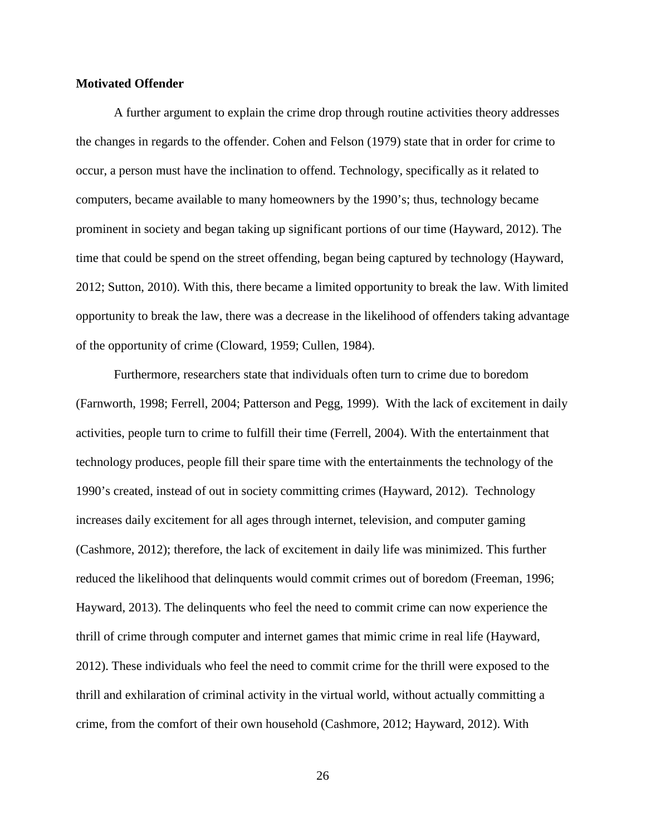#### **Motivated Offender**

A further argument to explain the crime drop through routine activities theory addresses the changes in regards to the offender. Cohen and Felson (1979) state that in order for crime to occur, a person must have the inclination to offend. Technology, specifically as it related to computers, became available to many homeowners by the 1990's; thus, technology became prominent in society and began taking up significant portions of our time (Hayward, 2012). The time that could be spend on the street offending, began being captured by technology (Hayward, 2012; Sutton, 2010). With this, there became a limited opportunity to break the law. With limited opportunity to break the law, there was a decrease in the likelihood of offenders taking advantage of the opportunity of crime (Cloward, 1959; Cullen, 1984).

Furthermore, researchers state that individuals often turn to crime due to boredom (Farnworth, 1998; Ferrell, 2004; Patterson and Pegg, 1999). With the lack of excitement in daily activities, people turn to crime to fulfill their time (Ferrell, 2004). With the entertainment that technology produces, people fill their spare time with the entertainments the technology of the 1990's created, instead of out in society committing crimes (Hayward, 2012). Technology increases daily excitement for all ages through internet, television, and computer gaming (Cashmore, 2012); therefore, the lack of excitement in daily life was minimized. This further reduced the likelihood that delinquents would commit crimes out of boredom (Freeman, 1996; Hayward, 2013). The delinquents who feel the need to commit crime can now experience the thrill of crime through computer and internet games that mimic crime in real life (Hayward, 2012). These individuals who feel the need to commit crime for the thrill were exposed to the thrill and exhilaration of criminal activity in the virtual world, without actually committing a crime, from the comfort of their own household (Cashmore, 2012; Hayward, 2012). With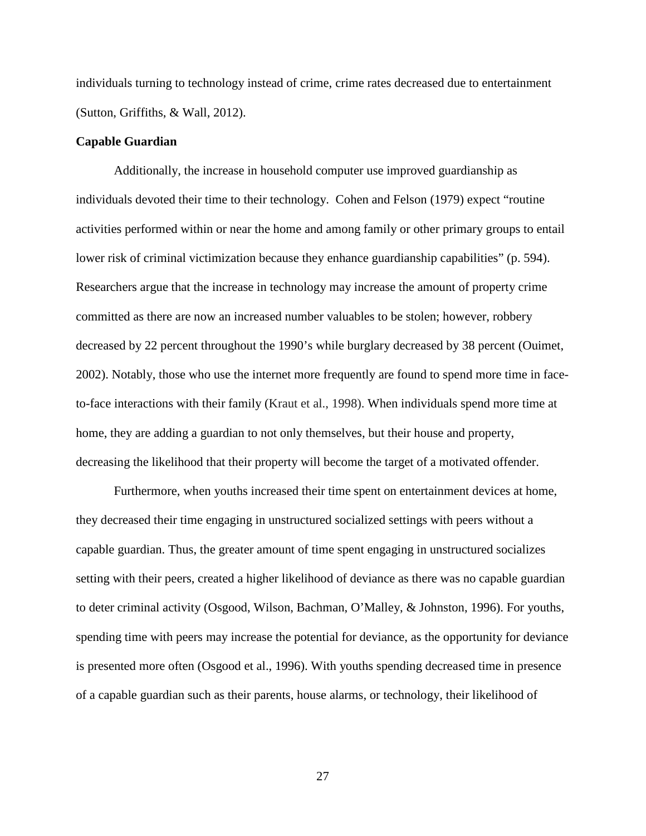individuals turning to technology instead of crime, crime rates decreased due to entertainment (Sutton, Griffiths, & Wall, 2012).

#### **Capable Guardian**

Additionally, the increase in household computer use improved guardianship as individuals devoted their time to their technology. Cohen and Felson (1979) expect "routine activities performed within or near the home and among family or other primary groups to entail lower risk of criminal victimization because they enhance guardianship capabilities" (p. 594). Researchers argue that the increase in technology may increase the amount of property crime committed as there are now an increased number valuables to be stolen; however, robbery decreased by 22 percent throughout the 1990's while burglary decreased by 38 percent (Ouimet, 2002). Notably, those who use the internet more frequently are found to spend more time in faceto-face interactions with their family (Kraut et al., 1998). When individuals spend more time at home, they are adding a guardian to not only themselves, but their house and property, decreasing the likelihood that their property will become the target of a motivated offender.

Furthermore, when youths increased their time spent on entertainment devices at home, they decreased their time engaging in unstructured socialized settings with peers without a capable guardian. Thus, the greater amount of time spent engaging in unstructured socializes setting with their peers, created a higher likelihood of deviance as there was no capable guardian to deter criminal activity (Osgood, Wilson, Bachman, O'Malley, & Johnston, 1996). For youths, spending time with peers may increase the potential for deviance, as the opportunity for deviance is presented more often (Osgood et al., 1996). With youths spending decreased time in presence of a capable guardian such as their parents, house alarms, or technology, their likelihood of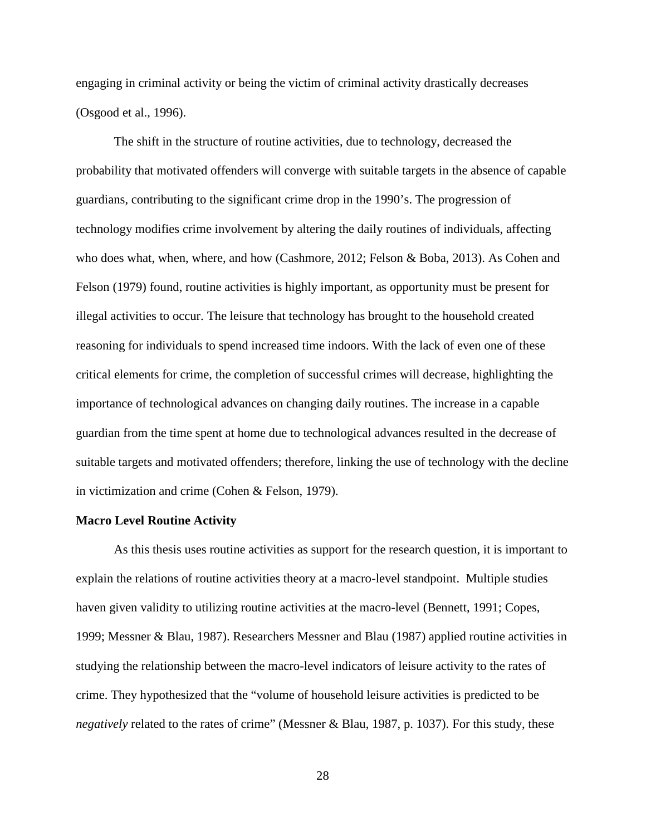engaging in criminal activity or being the victim of criminal activity drastically decreases (Osgood et al., 1996).

The shift in the structure of routine activities, due to technology, decreased the probability that motivated offenders will converge with suitable targets in the absence of capable guardians, contributing to the significant crime drop in the 1990's. The progression of technology modifies crime involvement by altering the daily routines of individuals, affecting who does what, when, where, and how (Cashmore, 2012; Felson & Boba, 2013). As Cohen and Felson (1979) found, routine activities is highly important, as opportunity must be present for illegal activities to occur. The leisure that technology has brought to the household created reasoning for individuals to spend increased time indoors. With the lack of even one of these critical elements for crime, the completion of successful crimes will decrease, highlighting the importance of technological advances on changing daily routines. The increase in a capable guardian from the time spent at home due to technological advances resulted in the decrease of suitable targets and motivated offenders; therefore, linking the use of technology with the decline in victimization and crime (Cohen & Felson, 1979).

#### **Macro Level Routine Activity**

As this thesis uses routine activities as support for the research question, it is important to explain the relations of routine activities theory at a macro-level standpoint. Multiple studies haven given validity to utilizing routine activities at the macro-level (Bennett, 1991; Copes, 1999; Messner & Blau, 1987). Researchers Messner and Blau (1987) applied routine activities in studying the relationship between the macro-level indicators of leisure activity to the rates of crime. They hypothesized that the "volume of household leisure activities is predicted to be *negatively* related to the rates of crime" (Messner & Blau, 1987, p. 1037). For this study, these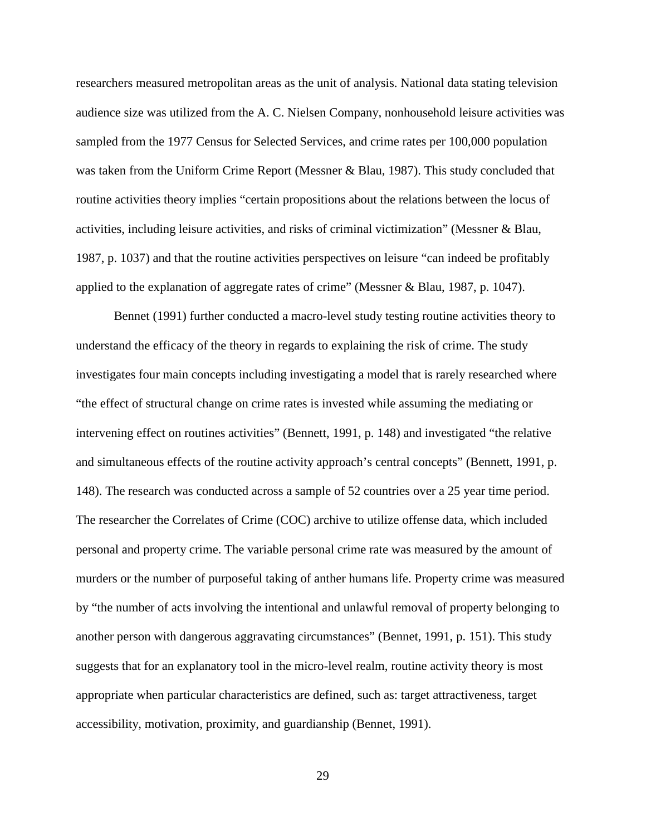researchers measured metropolitan areas as the unit of analysis. National data stating television audience size was utilized from the A. C. Nielsen Company, nonhousehold leisure activities was sampled from the 1977 Census for Selected Services, and crime rates per 100,000 population was taken from the Uniform Crime Report (Messner & Blau, 1987). This study concluded that routine activities theory implies "certain propositions about the relations between the locus of activities, including leisure activities, and risks of criminal victimization" (Messner & Blau, 1987, p. 1037) and that the routine activities perspectives on leisure "can indeed be profitably applied to the explanation of aggregate rates of crime" (Messner & Blau, 1987, p. 1047).

Bennet (1991) further conducted a macro-level study testing routine activities theory to understand the efficacy of the theory in regards to explaining the risk of crime. The study investigates four main concepts including investigating a model that is rarely researched where "the effect of structural change on crime rates is invested while assuming the mediating or intervening effect on routines activities" (Bennett, 1991, p. 148) and investigated "the relative and simultaneous effects of the routine activity approach's central concepts" (Bennett, 1991, p. 148). The research was conducted across a sample of 52 countries over a 25 year time period. The researcher the Correlates of Crime (COC) archive to utilize offense data, which included personal and property crime. The variable personal crime rate was measured by the amount of murders or the number of purposeful taking of anther humans life. Property crime was measured by "the number of acts involving the intentional and unlawful removal of property belonging to another person with dangerous aggravating circumstances" (Bennet, 1991, p. 151). This study suggests that for an explanatory tool in the micro-level realm, routine activity theory is most appropriate when particular characteristics are defined, such as: target attractiveness, target accessibility, motivation, proximity, and guardianship (Bennet, 1991).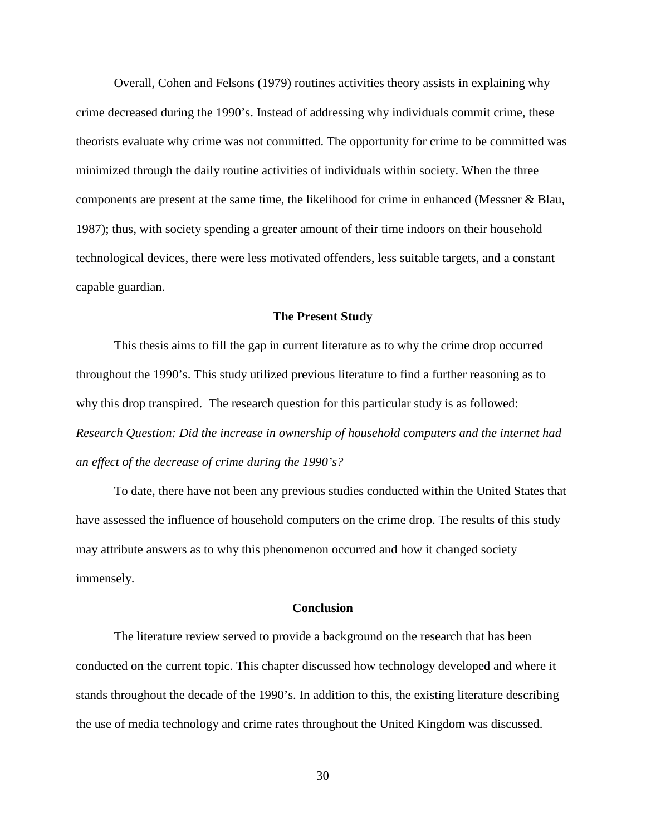Overall, Cohen and Felsons (1979) routines activities theory assists in explaining why crime decreased during the 1990's. Instead of addressing why individuals commit crime, these theorists evaluate why crime was not committed. The opportunity for crime to be committed was minimized through the daily routine activities of individuals within society. When the three components are present at the same time, the likelihood for crime in enhanced (Messner & Blau, 1987); thus, with society spending a greater amount of their time indoors on their household technological devices, there were less motivated offenders, less suitable targets, and a constant capable guardian.

#### **The Present Study**

This thesis aims to fill the gap in current literature as to why the crime drop occurred throughout the 1990's. This study utilized previous literature to find a further reasoning as to why this drop transpired. The research question for this particular study is as followed: *Research Question: Did the increase in ownership of household computers and the internet had an effect of the decrease of crime during the 1990's?*

To date, there have not been any previous studies conducted within the United States that have assessed the influence of household computers on the crime drop. The results of this study may attribute answers as to why this phenomenon occurred and how it changed society immensely.

#### **Conclusion**

The literature review served to provide a background on the research that has been conducted on the current topic. This chapter discussed how technology developed and where it stands throughout the decade of the 1990's. In addition to this, the existing literature describing the use of media technology and crime rates throughout the United Kingdom was discussed.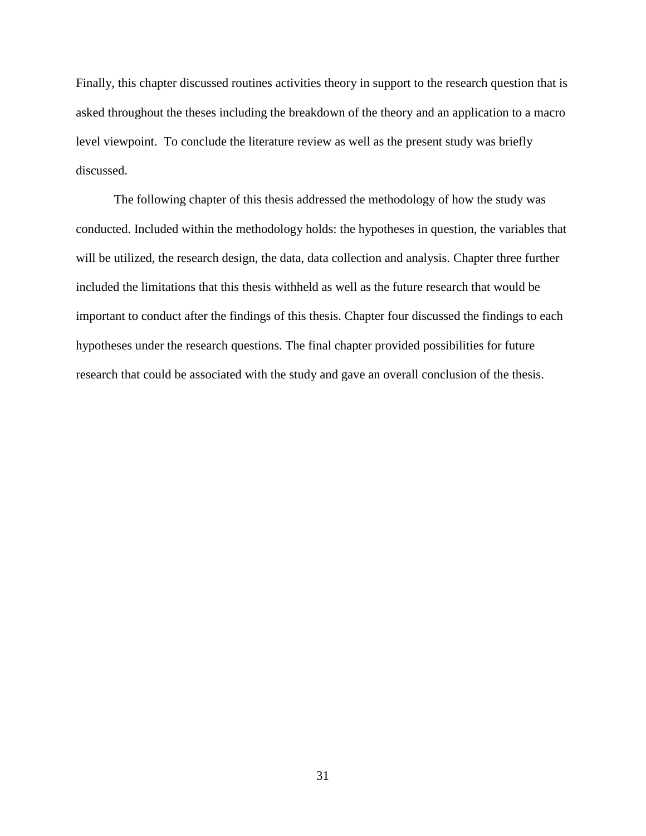Finally, this chapter discussed routines activities theory in support to the research question that is asked throughout the theses including the breakdown of the theory and an application to a macro level viewpoint. To conclude the literature review as well as the present study was briefly discussed.

The following chapter of this thesis addressed the methodology of how the study was conducted. Included within the methodology holds: the hypotheses in question, the variables that will be utilized, the research design, the data, data collection and analysis. Chapter three further included the limitations that this thesis withheld as well as the future research that would be important to conduct after the findings of this thesis. Chapter four discussed the findings to each hypotheses under the research questions. The final chapter provided possibilities for future research that could be associated with the study and gave an overall conclusion of the thesis.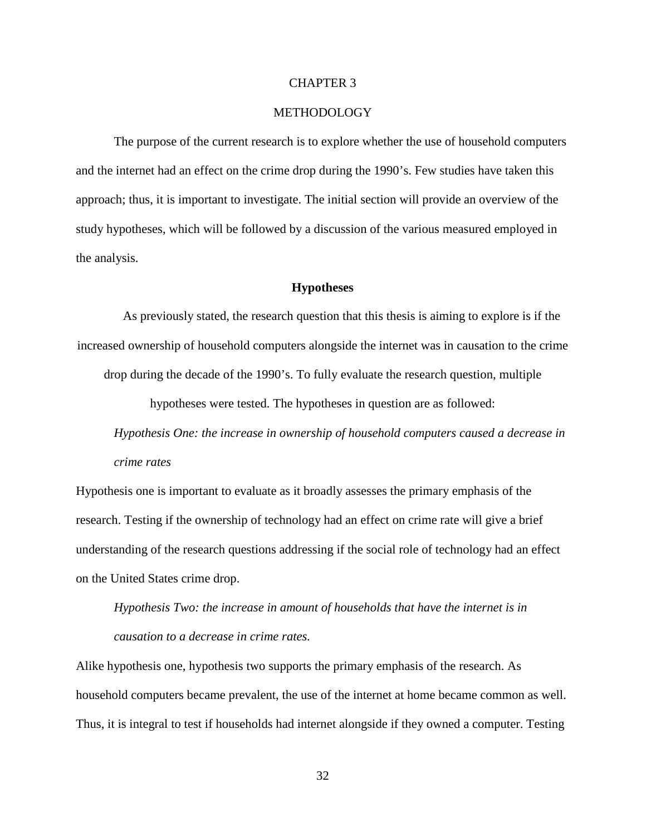#### CHAPTER 3

#### METHODOLOGY

The purpose of the current research is to explore whether the use of household computers and the internet had an effect on the crime drop during the 1990's. Few studies have taken this approach; thus, it is important to investigate. The initial section will provide an overview of the study hypotheses, which will be followed by a discussion of the various measured employed in the analysis.

#### **Hypotheses**

As previously stated, the research question that this thesis is aiming to explore is if the increased ownership of household computers alongside the internet was in causation to the crime drop during the decade of the 1990's. To fully evaluate the research question, multiple

hypotheses were tested. The hypotheses in question are as followed:

*Hypothesis One: the increase in ownership of household computers caused a decrease in crime rates*

Hypothesis one is important to evaluate as it broadly assesses the primary emphasis of the research. Testing if the ownership of technology had an effect on crime rate will give a brief understanding of the research questions addressing if the social role of technology had an effect on the United States crime drop.

*Hypothesis Two: the increase in amount of households that have the internet is in causation to a decrease in crime rates.*

Alike hypothesis one, hypothesis two supports the primary emphasis of the research. As household computers became prevalent, the use of the internet at home became common as well. Thus, it is integral to test if households had internet alongside if they owned a computer. Testing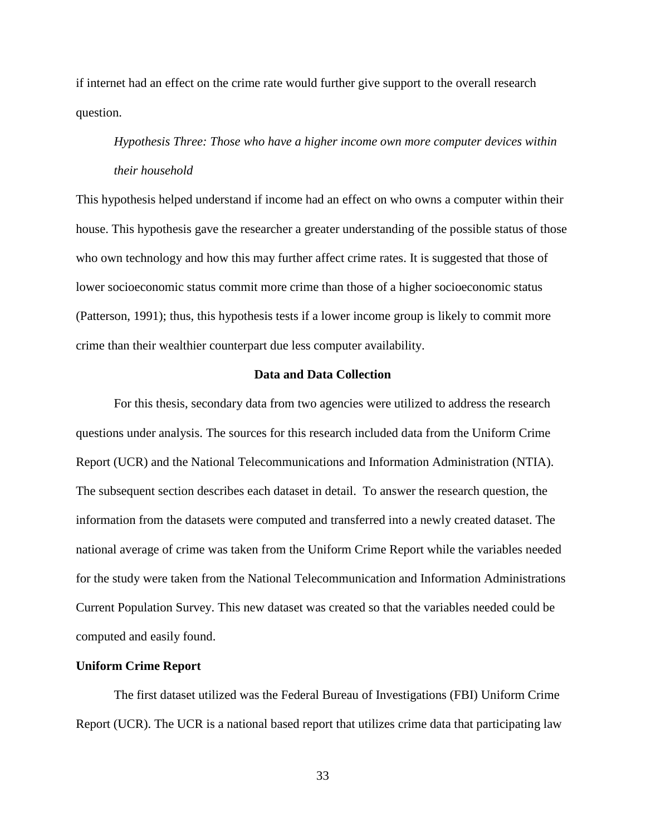if internet had an effect on the crime rate would further give support to the overall research question.

## *Hypothesis Three: Those who have a higher income own more computer devices within their household*

This hypothesis helped understand if income had an effect on who owns a computer within their house. This hypothesis gave the researcher a greater understanding of the possible status of those who own technology and how this may further affect crime rates. It is suggested that those of lower socioeconomic status commit more crime than those of a higher socioeconomic status (Patterson, 1991); thus, this hypothesis tests if a lower income group is likely to commit more crime than their wealthier counterpart due less computer availability.

#### **Data and Data Collection**

For this thesis, secondary data from two agencies were utilized to address the research questions under analysis. The sources for this research included data from the Uniform Crime Report (UCR) and the National Telecommunications and Information Administration (NTIA). The subsequent section describes each dataset in detail. To answer the research question, the information from the datasets were computed and transferred into a newly created dataset. The national average of crime was taken from the Uniform Crime Report while the variables needed for the study were taken from the National Telecommunication and Information Administrations Current Population Survey. This new dataset was created so that the variables needed could be computed and easily found.

#### **Uniform Crime Report**

The first dataset utilized was the Federal Bureau of Investigations (FBI) Uniform Crime Report (UCR). The UCR is a national based report that utilizes crime data that participating law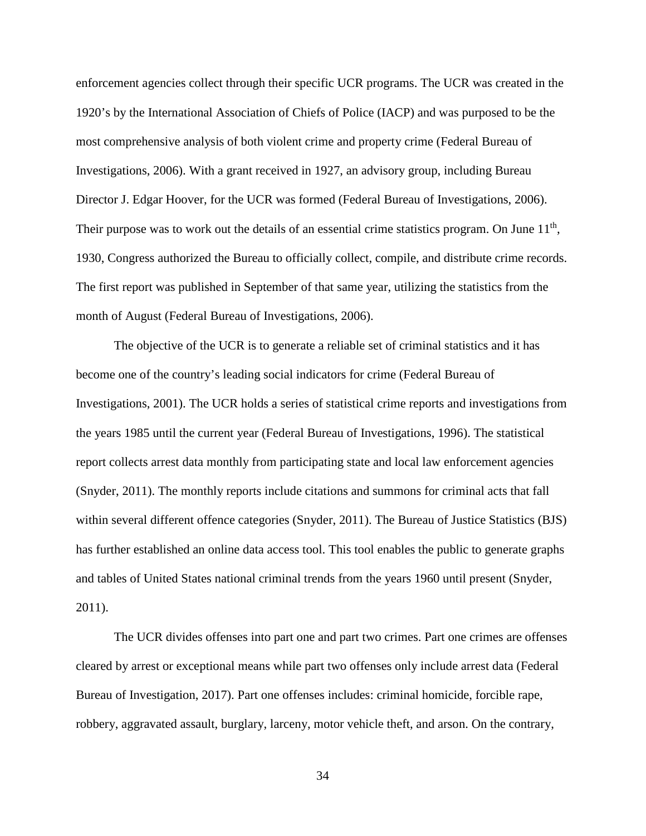enforcement agencies collect through their specific UCR programs. The UCR was created in the 1920's by the International Association of Chiefs of Police (IACP) and was purposed to be the most comprehensive analysis of both violent crime and property crime (Federal Bureau of Investigations, 2006). With a grant received in 1927, an advisory group, including Bureau Director J. Edgar Hoover, for the UCR was formed (Federal Bureau of Investigations, 2006). Their purpose was to work out the details of an essential crime statistics program. On June  $11<sup>th</sup>$ , 1930, Congress authorized the Bureau to officially collect, compile, and distribute crime records. The first report was published in September of that same year, utilizing the statistics from the month of August (Federal Bureau of Investigations, 2006).

The objective of the UCR is to generate a reliable set of criminal statistics and it has become one of the country's leading social indicators for crime (Federal Bureau of Investigations, 2001). The UCR holds a series of statistical crime reports and investigations from the years 1985 until the current year (Federal Bureau of Investigations, 1996). The statistical report collects arrest data monthly from participating state and local law enforcement agencies (Snyder, 2011). The monthly reports include citations and summons for criminal acts that fall within several different offence categories (Snyder, 2011). The Bureau of Justice Statistics (BJS) has further established an online data access tool. This tool enables the public to generate graphs and tables of United States national criminal trends from the years 1960 until present (Snyder, 2011).

The UCR divides offenses into part one and part two crimes. Part one crimes are offenses cleared by arrest or exceptional means while part two offenses only include arrest data (Federal Bureau of Investigation, 2017). Part one offenses includes: criminal homicide, forcible rape, robbery, aggravated assault, burglary, larceny, motor vehicle theft, and arson. On the contrary,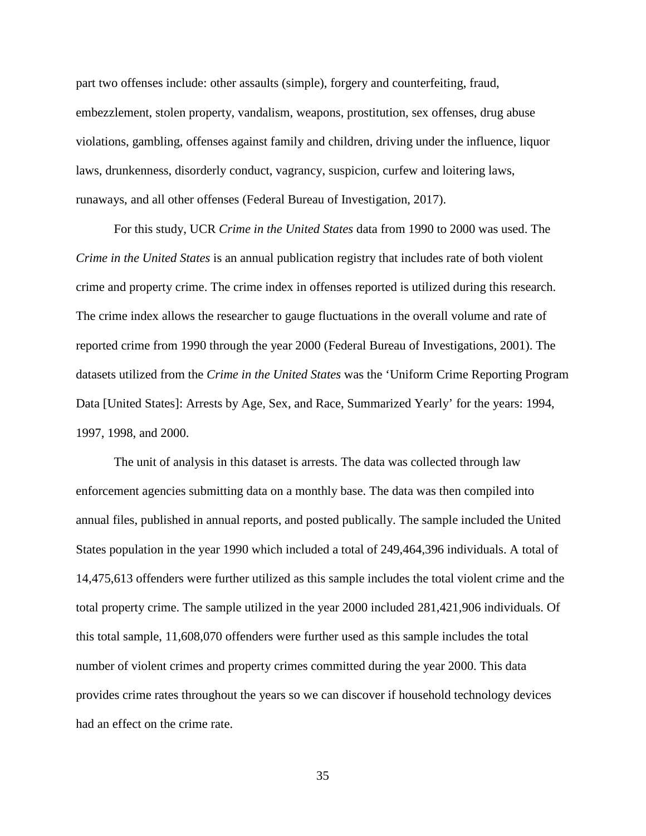part two offenses include: other assaults (simple), forgery and counterfeiting, fraud, embezzlement, stolen property, vandalism, weapons, prostitution, sex offenses, drug abuse violations, gambling, offenses against family and children, driving under the influence, liquor laws, drunkenness, disorderly conduct, vagrancy, suspicion, curfew and loitering laws, runaways, and all other offenses (Federal Bureau of Investigation, 2017).

For this study, UCR *Crime in the United States* data from 1990 to 2000 was used. The *Crime in the United States* is an annual publication registry that includes rate of both violent crime and property crime. The crime index in offenses reported is utilized during this research. The crime index allows the researcher to gauge fluctuations in the overall volume and rate of reported crime from 1990 through the year 2000 (Federal Bureau of Investigations, 2001). The datasets utilized from the *Crime in the United States* was the 'Uniform Crime Reporting Program Data [United States]: Arrests by Age, Sex, and Race, Summarized Yearly' for the years: 1994, 1997, 1998, and 2000.

The unit of analysis in this dataset is arrests. The data was collected through law enforcement agencies submitting data on a monthly base. The data was then compiled into annual files, published in annual reports, and posted publically. The sample included the United States population in the year 1990 which included a total of 249,464,396 individuals. A total of 14,475,613 offenders were further utilized as this sample includes the total violent crime and the total property crime. The sample utilized in the year 2000 included 281,421,906 individuals. Of this total sample, 11,608,070 offenders were further used as this sample includes the total number of violent crimes and property crimes committed during the year 2000. This data provides crime rates throughout the years so we can discover if household technology devices had an effect on the crime rate.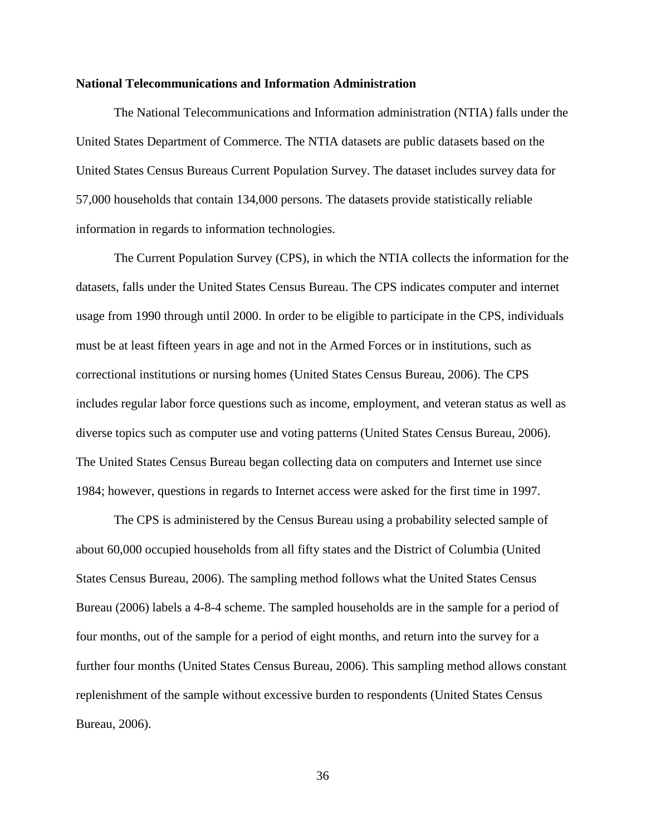#### **National Telecommunications and Information Administration**

The National Telecommunications and Information administration (NTIA) falls under the United States Department of Commerce. The NTIA datasets are public datasets based on the United States Census Bureaus Current Population Survey. The dataset includes survey data for 57,000 households that contain 134,000 persons. The datasets provide statistically reliable information in regards to information technologies.

The Current Population Survey (CPS), in which the NTIA collects the information for the datasets, falls under the United States Census Bureau. The CPS indicates computer and internet usage from 1990 through until 2000. In order to be eligible to participate in the CPS, individuals must be at least fifteen years in age and not in the Armed Forces or in institutions, such as correctional institutions or nursing homes (United States Census Bureau, 2006). The CPS includes regular labor force questions such as income, employment, and veteran status as well as diverse topics such as computer use and voting patterns (United States Census Bureau, 2006). The United States Census Bureau began collecting data on computers and Internet use since 1984; however, questions in regards to Internet access were asked for the first time in 1997.

The CPS is administered by the Census Bureau using a probability selected sample of about 60,000 occupied households from all fifty states and the District of Columbia (United States Census Bureau, 2006). The sampling method follows what the United States Census Bureau (2006) labels a 4-8-4 scheme. The sampled households are in the sample for a period of four months, out of the sample for a period of eight months, and return into the survey for a further four months (United States Census Bureau, 2006). This sampling method allows constant replenishment of the sample without excessive burden to respondents (United States Census Bureau, 2006).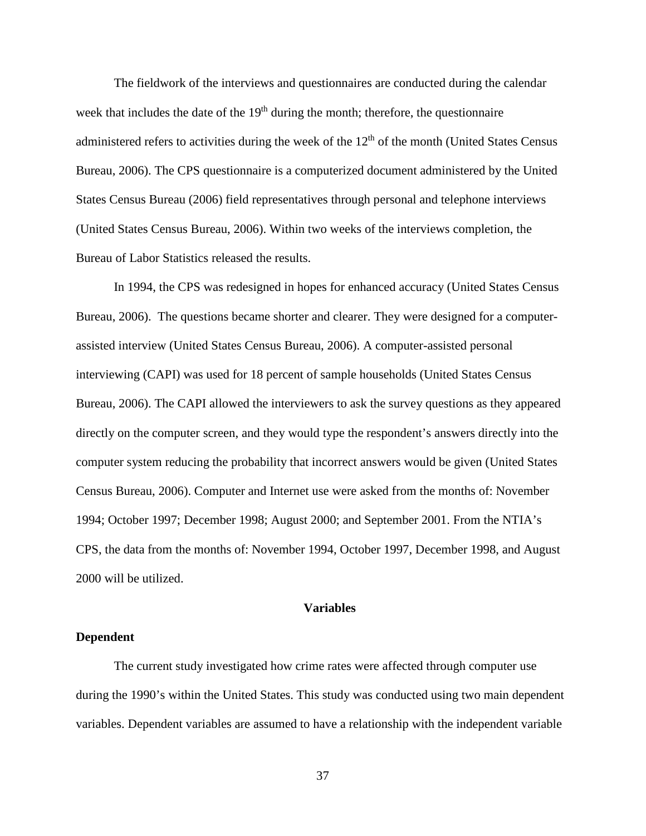The fieldwork of the interviews and questionnaires are conducted during the calendar week that includes the date of the  $19<sup>th</sup>$  during the month; therefore, the questionnaire administered refers to activities during the week of the  $12<sup>th</sup>$  of the month (United States Census Bureau, 2006). The CPS questionnaire is a computerized document administered by the United States Census Bureau (2006) field representatives through personal and telephone interviews (United States Census Bureau, 2006). Within two weeks of the interviews completion, the Bureau of Labor Statistics released the results.

In 1994, the CPS was redesigned in hopes for enhanced accuracy (United States Census Bureau, 2006). The questions became shorter and clearer. They were designed for a computerassisted interview (United States Census Bureau, 2006). A computer-assisted personal interviewing (CAPI) was used for 18 percent of sample households (United States Census Bureau, 2006). The CAPI allowed the interviewers to ask the survey questions as they appeared directly on the computer screen, and they would type the respondent's answers directly into the computer system reducing the probability that incorrect answers would be given (United States Census Bureau, 2006). Computer and Internet use were asked from the months of: November 1994; October 1997; December 1998; August 2000; and September 2001. From the NTIA's CPS, the data from the months of: November 1994, October 1997, December 1998, and August 2000 will be utilized.

#### **Variables**

#### **Dependent**

The current study investigated how crime rates were affected through computer use during the 1990's within the United States. This study was conducted using two main dependent variables. Dependent variables are assumed to have a relationship with the independent variable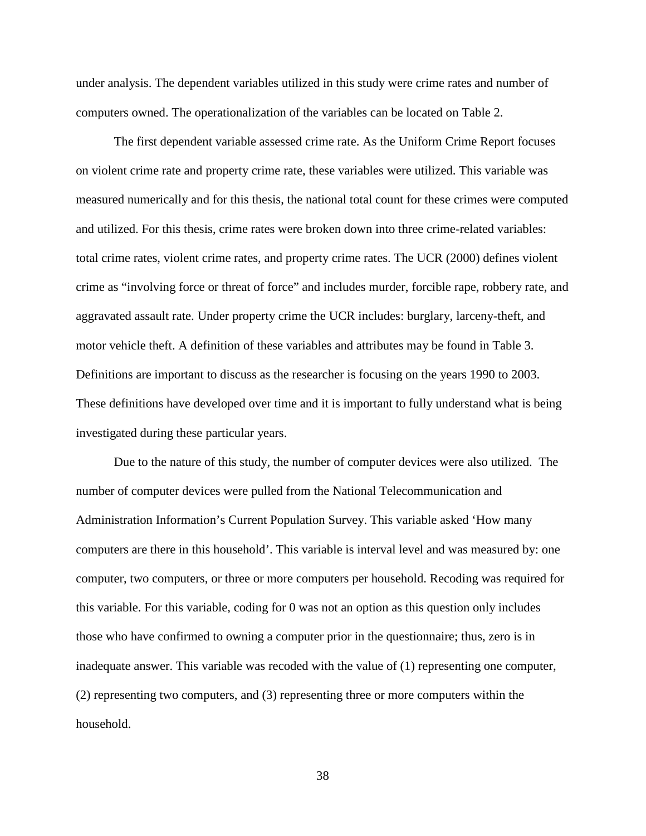under analysis. The dependent variables utilized in this study were crime rates and number of computers owned. The operationalization of the variables can be located on Table 2.

The first dependent variable assessed crime rate. As the Uniform Crime Report focuses on violent crime rate and property crime rate, these variables were utilized. This variable was measured numerically and for this thesis, the national total count for these crimes were computed and utilized. For this thesis, crime rates were broken down into three crime-related variables: total crime rates, violent crime rates, and property crime rates. The UCR (2000) defines violent crime as "involving force or threat of force" and includes murder, forcible rape, robbery rate, and aggravated assault rate. Under property crime the UCR includes: burglary, larceny-theft, and motor vehicle theft. A definition of these variables and attributes may be found in Table 3. Definitions are important to discuss as the researcher is focusing on the years 1990 to 2003. These definitions have developed over time and it is important to fully understand what is being investigated during these particular years.

Due to the nature of this study, the number of computer devices were also utilized. The number of computer devices were pulled from the National Telecommunication and Administration Information's Current Population Survey. This variable asked 'How many computers are there in this household'. This variable is interval level and was measured by: one computer, two computers, or three or more computers per household. Recoding was required for this variable. For this variable, coding for 0 was not an option as this question only includes those who have confirmed to owning a computer prior in the questionnaire; thus, zero is in inadequate answer. This variable was recoded with the value of (1) representing one computer, (2) representing two computers, and (3) representing three or more computers within the household.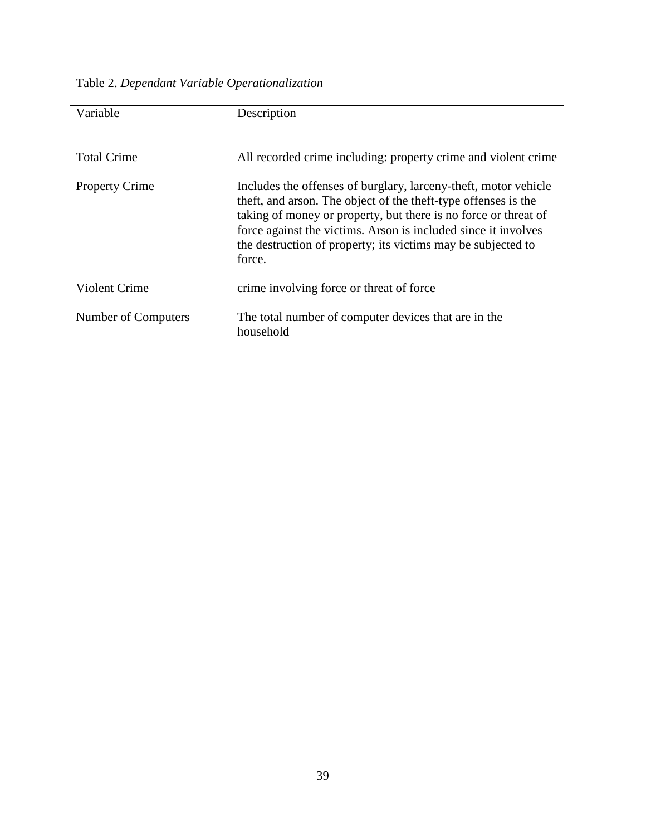# Table 2. *Dependant Variable Operationalization*

| Variable              | Description                                                                                                                                                                                                                                                                                                                                      |
|-----------------------|--------------------------------------------------------------------------------------------------------------------------------------------------------------------------------------------------------------------------------------------------------------------------------------------------------------------------------------------------|
| <b>Total Crime</b>    | All recorded crime including: property crime and violent crime                                                                                                                                                                                                                                                                                   |
| <b>Property Crime</b> | Includes the offenses of burglary, larceny-theft, motor vehicle<br>theft, and arson. The object of the theft-type offenses is the<br>taking of money or property, but there is no force or threat of<br>force against the victims. Arson is included since it involves<br>the destruction of property; its victims may be subjected to<br>force. |
| <b>Violent Crime</b>  | crime involving force or threat of force                                                                                                                                                                                                                                                                                                         |
| Number of Computers   | The total number of computer devices that are in the<br>household                                                                                                                                                                                                                                                                                |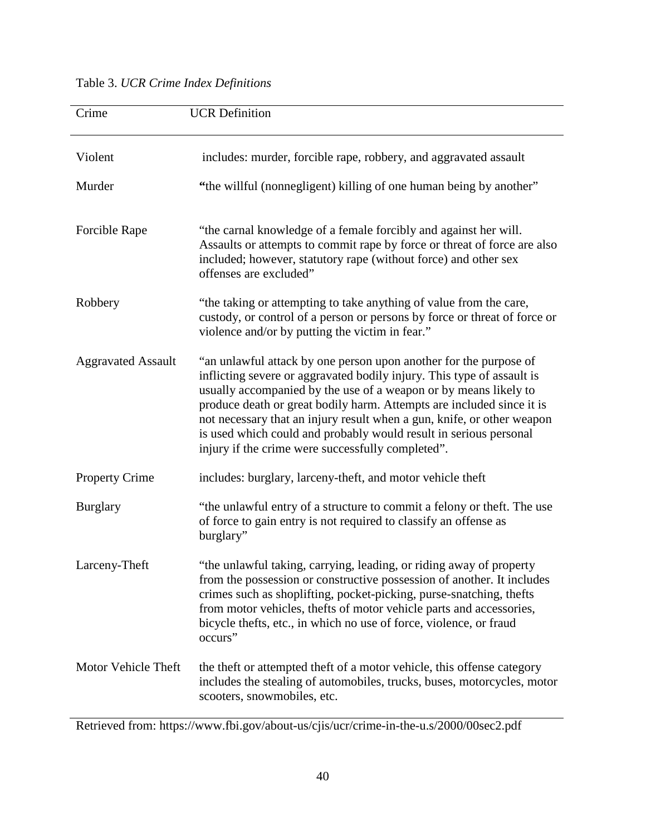## Table 3. *UCR Crime Index Definitions*

| Crime                     | <b>UCR</b> Definition                                                                                                                                                                                                                                                                                                                                                                                                                                                                        |
|---------------------------|----------------------------------------------------------------------------------------------------------------------------------------------------------------------------------------------------------------------------------------------------------------------------------------------------------------------------------------------------------------------------------------------------------------------------------------------------------------------------------------------|
| Violent                   | includes: murder, forcible rape, robbery, and aggravated assault                                                                                                                                                                                                                                                                                                                                                                                                                             |
| Murder                    | "the willful (nonnegligent) killing of one human being by another"                                                                                                                                                                                                                                                                                                                                                                                                                           |
| Forcible Rape             | "the carnal knowledge of a female forcibly and against her will.<br>Assaults or attempts to commit rape by force or threat of force are also<br>included; however, statutory rape (without force) and other sex<br>offenses are excluded"                                                                                                                                                                                                                                                    |
| Robbery                   | "the taking or attempting to take anything of value from the care,<br>custody, or control of a person or persons by force or threat of force or<br>violence and/or by putting the victim in fear."                                                                                                                                                                                                                                                                                           |
| <b>Aggravated Assault</b> | "an unlawful attack by one person upon another for the purpose of<br>inflicting severe or aggravated bodily injury. This type of assault is<br>usually accompanied by the use of a weapon or by means likely to<br>produce death or great bodily harm. Attempts are included since it is<br>not necessary that an injury result when a gun, knife, or other weapon<br>is used which could and probably would result in serious personal<br>injury if the crime were successfully completed". |
| <b>Property Crime</b>     | includes: burglary, larceny-theft, and motor vehicle theft                                                                                                                                                                                                                                                                                                                                                                                                                                   |
| <b>Burglary</b>           | "the unlawful entry of a structure to commit a felony or theft. The use<br>of force to gain entry is not required to classify an offense as<br>burglary"                                                                                                                                                                                                                                                                                                                                     |
| Larceny-Theft             | "the unlawful taking, carrying, leading, or riding away of property<br>from the possession or constructive possession of another. It includes<br>crimes such as shoplifting, pocket-picking, purse-snatching, thefts<br>from motor vehicles, thefts of motor vehicle parts and accessories,<br>bicycle thefts, etc., in which no use of force, violence, or fraud<br>occurs"                                                                                                                 |
| Motor Vehicle Theft       | the theft or attempted theft of a motor vehicle, this offense category<br>includes the stealing of automobiles, trucks, buses, motorcycles, motor<br>scooters, snowmobiles, etc.                                                                                                                                                                                                                                                                                                             |

Retrieved from: https://www.fbi.gov/about-us/cjis/ucr/crime-in-the-u.s/2000/00sec2.pdf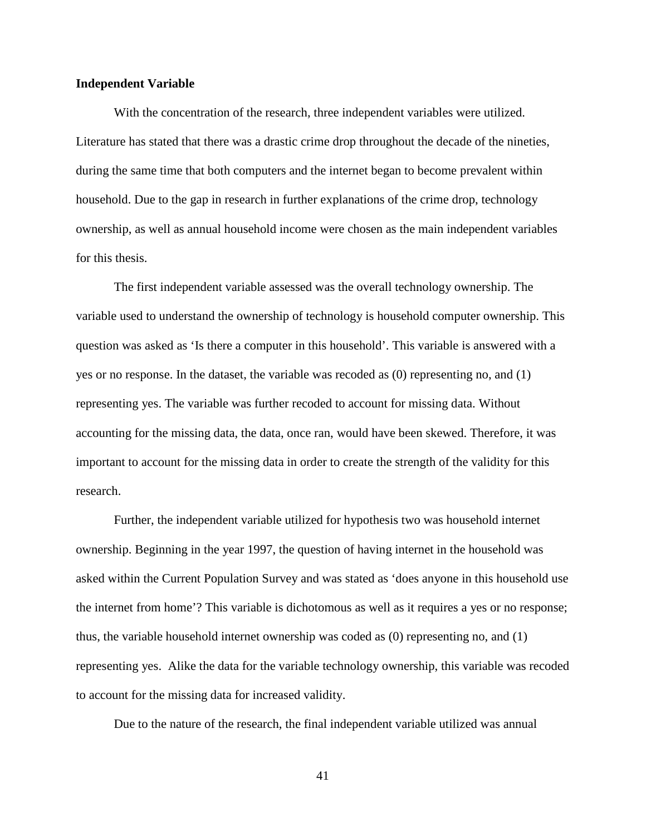#### **Independent Variable**

With the concentration of the research, three independent variables were utilized. Literature has stated that there was a drastic crime drop throughout the decade of the nineties, during the same time that both computers and the internet began to become prevalent within household. Due to the gap in research in further explanations of the crime drop, technology ownership, as well as annual household income were chosen as the main independent variables for this thesis.

The first independent variable assessed was the overall technology ownership. The variable used to understand the ownership of technology is household computer ownership. This question was asked as 'Is there a computer in this household'. This variable is answered with a yes or no response. In the dataset, the variable was recoded as (0) representing no, and (1) representing yes. The variable was further recoded to account for missing data. Without accounting for the missing data, the data, once ran, would have been skewed. Therefore, it was important to account for the missing data in order to create the strength of the validity for this research.

Further, the independent variable utilized for hypothesis two was household internet ownership. Beginning in the year 1997, the question of having internet in the household was asked within the Current Population Survey and was stated as 'does anyone in this household use the internet from home'? This variable is dichotomous as well as it requires a yes or no response; thus, the variable household internet ownership was coded as (0) representing no, and (1) representing yes. Alike the data for the variable technology ownership, this variable was recoded to account for the missing data for increased validity.

Due to the nature of the research, the final independent variable utilized was annual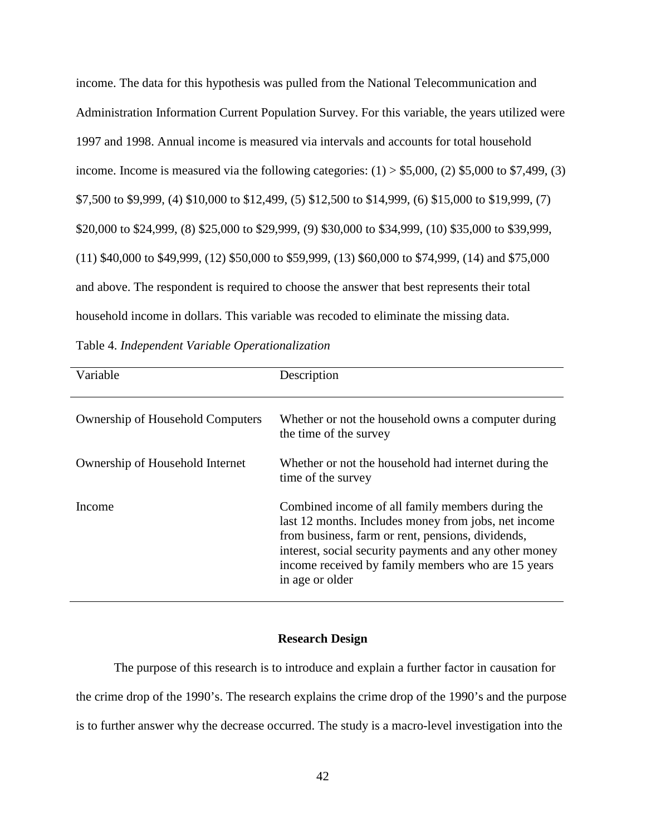income. The data for this hypothesis was pulled from the National Telecommunication and Administration Information Current Population Survey. For this variable, the years utilized were 1997 and 1998. Annual income is measured via intervals and accounts for total household income. Income is measured via the following categories:  $(1) > $5,000$ ,  $(2)$  \$5,000 to \$7,499,  $(3)$ \$7,500 to \$9,999, (4) \$10,000 to \$12,499, (5) \$12,500 to \$14,999, (6) \$15,000 to \$19,999, (7) \$20,000 to \$24,999, (8) \$25,000 to \$29,999, (9) \$30,000 to \$34,999, (10) \$35,000 to \$39,999, (11) \$40,000 to \$49,999, (12) \$50,000 to \$59,999, (13) \$60,000 to \$74,999, (14) and \$75,000 and above. The respondent is required to choose the answer that best represents their total household income in dollars. This variable was recoded to eliminate the missing data.

Table 4. *Independent Variable Operationalization* 

| Variable                                | Description                                                                                                                                                                                                                                                                                      |
|-----------------------------------------|--------------------------------------------------------------------------------------------------------------------------------------------------------------------------------------------------------------------------------------------------------------------------------------------------|
| <b>Ownership of Household Computers</b> | Whether or not the household owns a computer during<br>the time of the survey                                                                                                                                                                                                                    |
| Ownership of Household Internet         | Whether or not the household had internet during the<br>time of the survey                                                                                                                                                                                                                       |
| Income                                  | Combined income of all family members during the<br>last 12 months. Includes money from jobs, net income<br>from business, farm or rent, pensions, dividends,<br>interest, social security payments and any other money<br>income received by family members who are 15 years<br>in age or older |

## **Research Design**

The purpose of this research is to introduce and explain a further factor in causation for the crime drop of the 1990's. The research explains the crime drop of the 1990's and the purpose is to further answer why the decrease occurred. The study is a macro-level investigation into the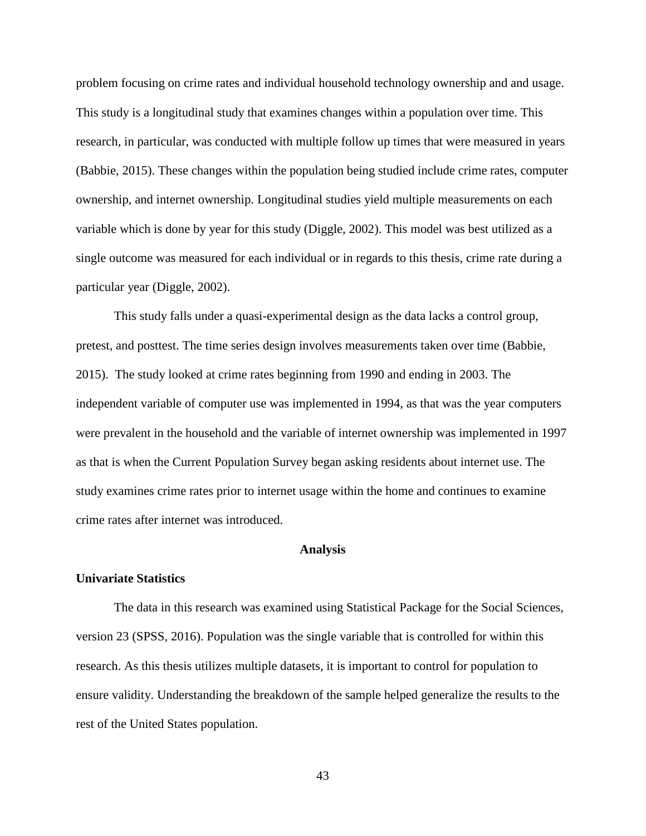problem focusing on crime rates and individual household technology ownership and and usage. This study is a longitudinal study that examines changes within a population over time. This research, in particular, was conducted with multiple follow up times that were measured in years (Babbie, 2015). These changes within the population being studied include crime rates, computer ownership, and internet ownership. Longitudinal studies yield multiple measurements on each variable which is done by year for this study (Diggle, 2002). This model was best utilized as a single outcome was measured for each individual or in regards to this thesis, crime rate during a particular year (Diggle, 2002).

This study falls under a quasi-experimental design as the data lacks a control group, pretest, and posttest. The time series design involves measurements taken over time (Babbie, 2015). The study looked at crime rates beginning from 1990 and ending in 2003. The independent variable of computer use was implemented in 1994, as that was the year computers were prevalent in the household and the variable of internet ownership was implemented in 1997 as that is when the Current Population Survey began asking residents about internet use. The study examines crime rates prior to internet usage within the home and continues to examine crime rates after internet was introduced.

#### **Analysis**

#### **Univariate Statistics**

The data in this research was examined using Statistical Package for the Social Sciences, version 23 (SPSS, 2016). Population was the single variable that is controlled for within this research. As this thesis utilizes multiple datasets, it is important to control for population to ensure validity. Understanding the breakdown of the sample helped generalize the results to the rest of the United States population.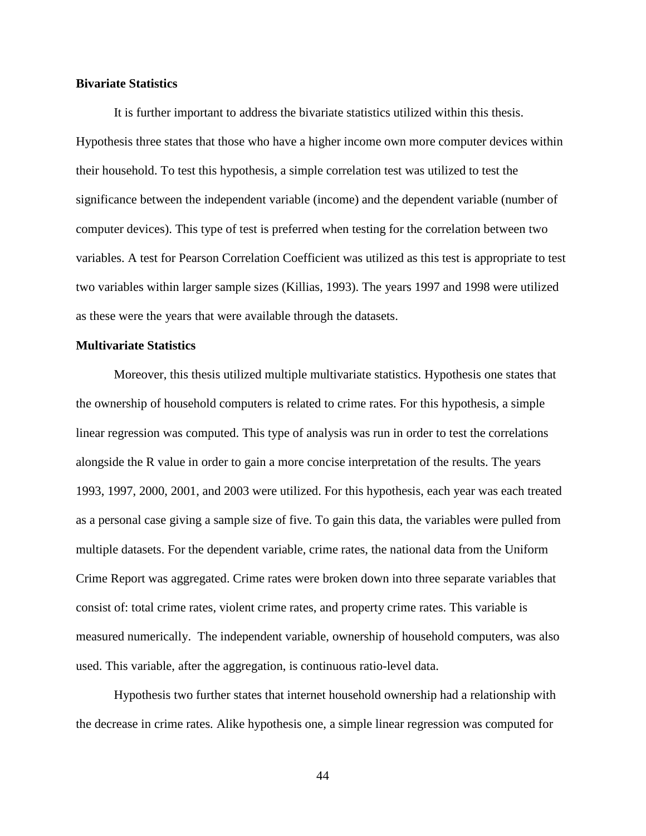## **Bivariate Statistics**

It is further important to address the bivariate statistics utilized within this thesis. Hypothesis three states that those who have a higher income own more computer devices within their household. To test this hypothesis, a simple correlation test was utilized to test the significance between the independent variable (income) and the dependent variable (number of computer devices). This type of test is preferred when testing for the correlation between two variables. A test for Pearson Correlation Coefficient was utilized as this test is appropriate to test two variables within larger sample sizes (Killias, 1993). The years 1997 and 1998 were utilized as these were the years that were available through the datasets.

## **Multivariate Statistics**

Moreover, this thesis utilized multiple multivariate statistics. Hypothesis one states that the ownership of household computers is related to crime rates. For this hypothesis, a simple linear regression was computed. This type of analysis was run in order to test the correlations alongside the R value in order to gain a more concise interpretation of the results. The years 1993, 1997, 2000, 2001, and 2003 were utilized. For this hypothesis, each year was each treated as a personal case giving a sample size of five. To gain this data, the variables were pulled from multiple datasets. For the dependent variable, crime rates, the national data from the Uniform Crime Report was aggregated. Crime rates were broken down into three separate variables that consist of: total crime rates, violent crime rates, and property crime rates. This variable is measured numerically. The independent variable, ownership of household computers, was also used. This variable, after the aggregation, is continuous ratio-level data.

Hypothesis two further states that internet household ownership had a relationship with the decrease in crime rates*.* Alike hypothesis one, a simple linear regression was computed for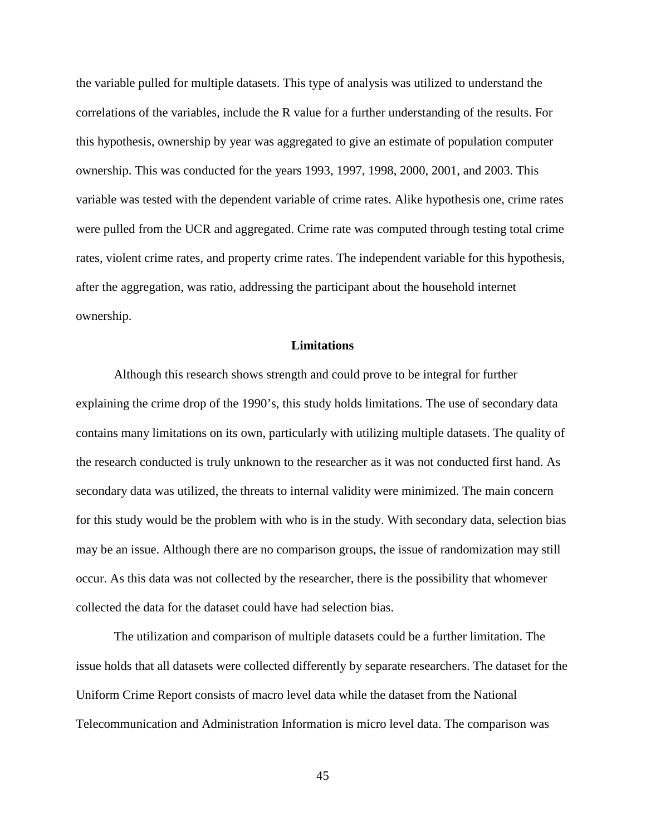the variable pulled for multiple datasets. This type of analysis was utilized to understand the correlations of the variables, include the R value for a further understanding of the results. For this hypothesis, ownership by year was aggregated to give an estimate of population computer ownership. This was conducted for the years 1993, 1997, 1998, 2000, 2001, and 2003. This variable was tested with the dependent variable of crime rates. Alike hypothesis one, crime rates were pulled from the UCR and aggregated. Crime rate was computed through testing total crime rates, violent crime rates, and property crime rates. The independent variable for this hypothesis, after the aggregation, was ratio, addressing the participant about the household internet ownership.

## **Limitations**

Although this research shows strength and could prove to be integral for further explaining the crime drop of the 1990's, this study holds limitations. The use of secondary data contains many limitations on its own, particularly with utilizing multiple datasets. The quality of the research conducted is truly unknown to the researcher as it was not conducted first hand. As secondary data was utilized, the threats to internal validity were minimized. The main concern for this study would be the problem with who is in the study. With secondary data, selection bias may be an issue. Although there are no comparison groups, the issue of randomization may still occur. As this data was not collected by the researcher, there is the possibility that whomever collected the data for the dataset could have had selection bias.

The utilization and comparison of multiple datasets could be a further limitation. The issue holds that all datasets were collected differently by separate researchers. The dataset for the Uniform Crime Report consists of macro level data while the dataset from the National Telecommunication and Administration Information is micro level data. The comparison was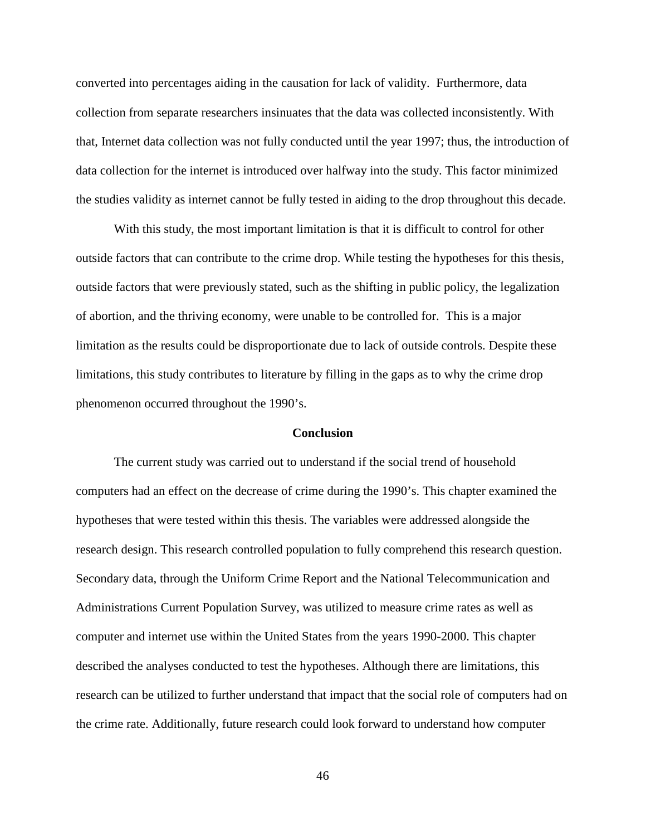converted into percentages aiding in the causation for lack of validity. Furthermore, data collection from separate researchers insinuates that the data was collected inconsistently. With that, Internet data collection was not fully conducted until the year 1997; thus, the introduction of data collection for the internet is introduced over halfway into the study. This factor minimized the studies validity as internet cannot be fully tested in aiding to the drop throughout this decade.

With this study, the most important limitation is that it is difficult to control for other outside factors that can contribute to the crime drop. While testing the hypotheses for this thesis, outside factors that were previously stated, such as the shifting in public policy, the legalization of abortion, and the thriving economy, were unable to be controlled for. This is a major limitation as the results could be disproportionate due to lack of outside controls. Despite these limitations, this study contributes to literature by filling in the gaps as to why the crime drop phenomenon occurred throughout the 1990's.

#### **Conclusion**

The current study was carried out to understand if the social trend of household computers had an effect on the decrease of crime during the 1990's. This chapter examined the hypotheses that were tested within this thesis. The variables were addressed alongside the research design. This research controlled population to fully comprehend this research question. Secondary data, through the Uniform Crime Report and the National Telecommunication and Administrations Current Population Survey, was utilized to measure crime rates as well as computer and internet use within the United States from the years 1990-2000. This chapter described the analyses conducted to test the hypotheses. Although there are limitations, this research can be utilized to further understand that impact that the social role of computers had on the crime rate. Additionally, future research could look forward to understand how computer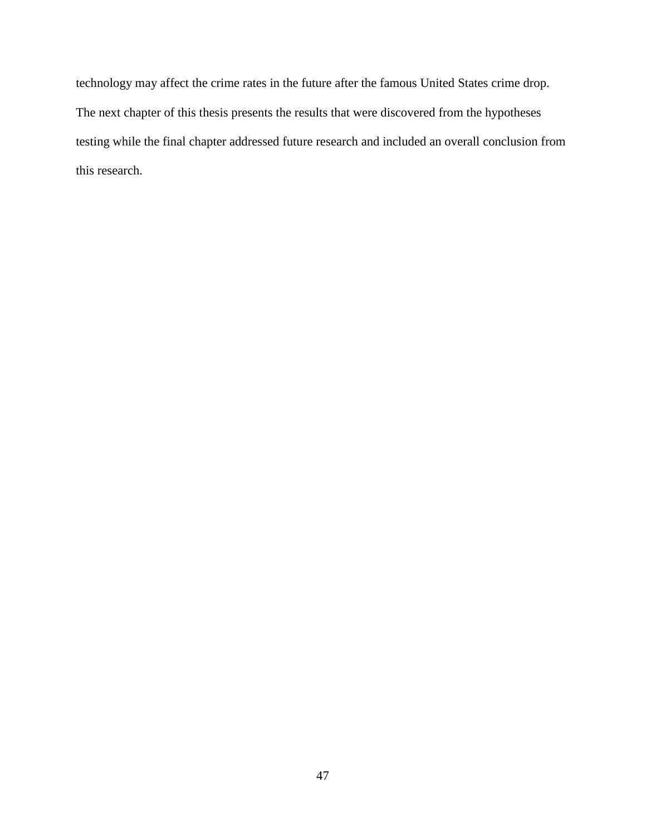technology may affect the crime rates in the future after the famous United States crime drop. The next chapter of this thesis presents the results that were discovered from the hypotheses testing while the final chapter addressed future research and included an overall conclusion from this research.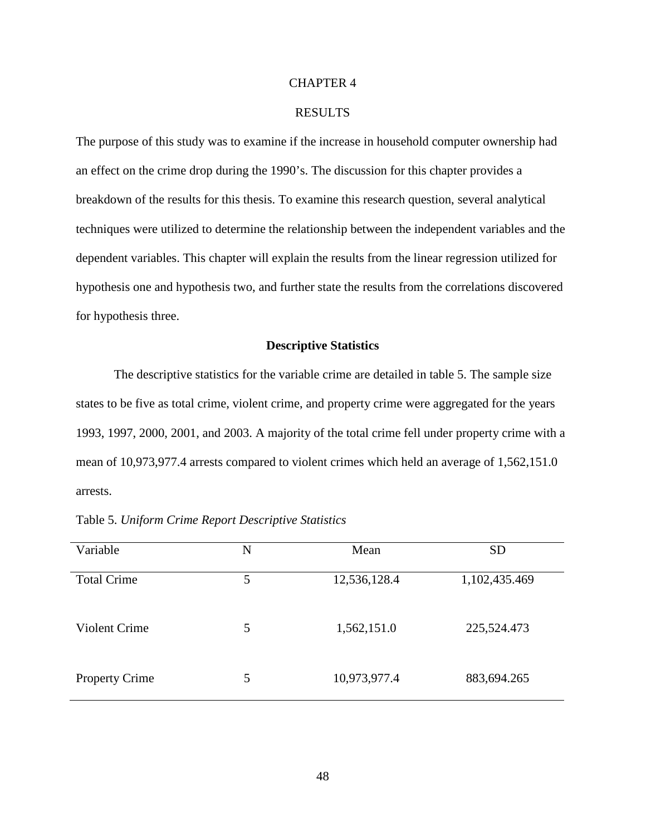## CHAPTER 4

## RESULTS

The purpose of this study was to examine if the increase in household computer ownership had an effect on the crime drop during the 1990's. The discussion for this chapter provides a breakdown of the results for this thesis. To examine this research question, several analytical techniques were utilized to determine the relationship between the independent variables and the dependent variables. This chapter will explain the results from the linear regression utilized for hypothesis one and hypothesis two, and further state the results from the correlations discovered for hypothesis three.

#### **Descriptive Statistics**

The descriptive statistics for the variable crime are detailed in table 5. The sample size states to be five as total crime, violent crime, and property crime were aggregated for the years 1993, 1997, 2000, 2001, and 2003. A majority of the total crime fell under property crime with a mean of 10,973,977.4 arrests compared to violent crimes which held an average of 1,562,151.0 arrests.

| Variable              | N | Mean         | <b>SD</b>     |
|-----------------------|---|--------------|---------------|
| <b>Total Crime</b>    | 5 | 12,536,128.4 | 1,102,435.469 |
| <b>Violent Crime</b>  | 5 | 1,562,151.0  | 225,524.473   |
| <b>Property Crime</b> | 5 | 10,973,977.4 | 883,694.265   |

Table 5. *Uniform Crime Report Descriptive Statistics*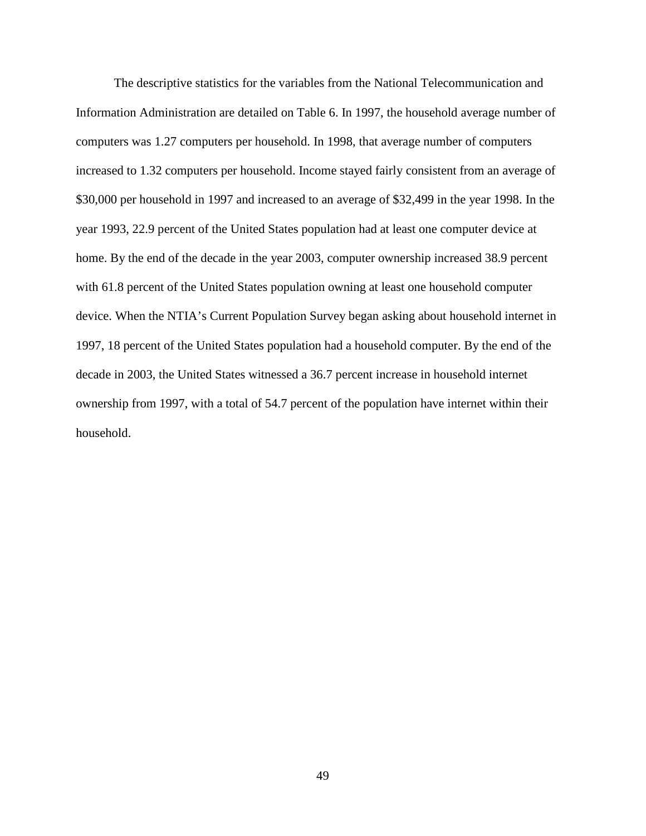The descriptive statistics for the variables from the National Telecommunication and Information Administration are detailed on Table 6. In 1997, the household average number of computers was 1.27 computers per household. In 1998, that average number of computers increased to 1.32 computers per household. Income stayed fairly consistent from an average of \$30,000 per household in 1997 and increased to an average of \$32,499 in the year 1998. In the year 1993, 22.9 percent of the United States population had at least one computer device at home. By the end of the decade in the year 2003, computer ownership increased 38.9 percent with 61.8 percent of the United States population owning at least one household computer device. When the NTIA's Current Population Survey began asking about household internet in 1997, 18 percent of the United States population had a household computer. By the end of the decade in 2003, the United States witnessed a 36.7 percent increase in household internet ownership from 1997, with a total of 54.7 percent of the population have internet within their household.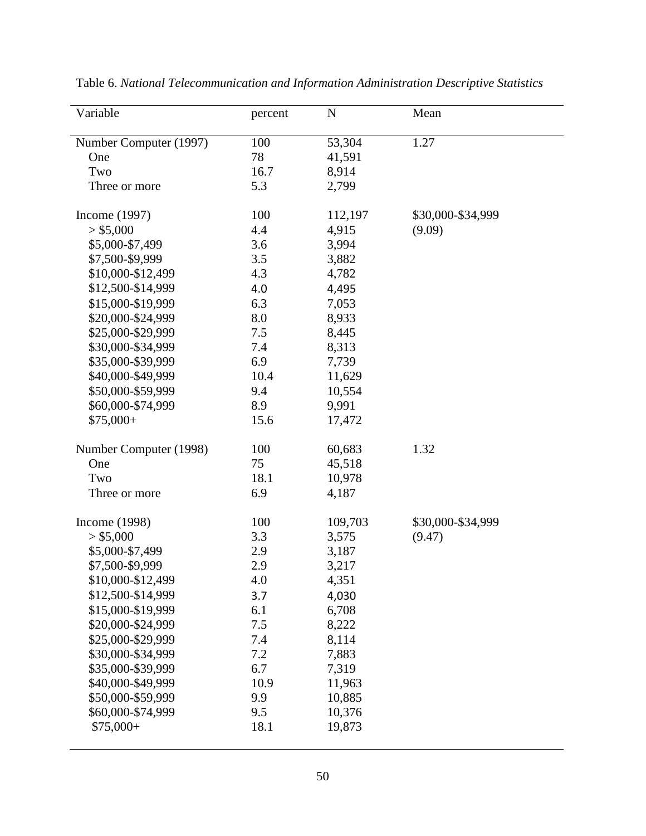| Variable               | percent | N       | Mean              |
|------------------------|---------|---------|-------------------|
| Number Computer (1997) | 100     | 53,304  | 1.27              |
| One                    | 78      | 41,591  |                   |
| Two                    | 16.7    | 8,914   |                   |
| Three or more          | 5.3     | 2,799   |                   |
| Income (1997)          | 100     | 112,197 | \$30,000-\$34,999 |
| > \$5,000              | 4.4     | 4,915   | (9.09)            |
| \$5,000-\$7,499        | 3.6     | 3,994   |                   |
| \$7,500-\$9,999        | 3.5     | 3,882   |                   |
| \$10,000-\$12,499      | 4.3     | 4,782   |                   |
| \$12,500-\$14,999      | 4.0     | 4,495   |                   |
| \$15,000-\$19,999      | 6.3     | 7,053   |                   |
| \$20,000-\$24,999      | 8.0     | 8,933   |                   |
| \$25,000-\$29,999      | 7.5     | 8,445   |                   |
| \$30,000-\$34,999      | 7.4     | 8,313   |                   |
| \$35,000-\$39,999      | 6.9     | 7,739   |                   |
| \$40,000-\$49,999      | 10.4    | 11,629  |                   |
| \$50,000-\$59,999      | 9.4     | 10,554  |                   |
| \$60,000-\$74,999      | 8.9     | 9,991   |                   |
| $$75,000+$             | 15.6    | 17,472  |                   |
| Number Computer (1998) | 100     | 60,683  | 1.32              |
| One                    | 75      | 45,518  |                   |
| Two                    | 18.1    | 10,978  |                   |
| Three or more          | 6.9     | 4,187   |                   |
| Income (1998)          | 100     | 109,703 | \$30,000-\$34,999 |
| > \$5,000              | 3.3     | 3,575   | (9.47)            |
| \$5,000-\$7,499        | 2.9     | 3,187   |                   |
| \$7,500-\$9,999        | 2.9     | 3,217   |                   |
| \$10,000-\$12,499      | 4.0     | 4,351   |                   |
| \$12,500-\$14,999      | 3.7     | 4,030   |                   |
| \$15,000-\$19,999      | 6.1     | 6,708   |                   |
| \$20,000-\$24,999      | 7.5     | 8,222   |                   |
| \$25,000-\$29,999      | 7.4     | 8,114   |                   |
| \$30,000-\$34,999      | 7.2     | 7,883   |                   |
| \$35,000-\$39,999      | 6.7     | 7,319   |                   |
| \$40,000-\$49,999      | 10.9    | 11,963  |                   |
| \$50,000-\$59,999      | 9.9     | 10,885  |                   |
| \$60,000-\$74,999      | 9.5     | 10,376  |                   |
| $$75,000+$             | 18.1    | 19,873  |                   |
|                        |         |         |                   |

Table 6. *National Telecommunication and Information Administration Descriptive Statistics*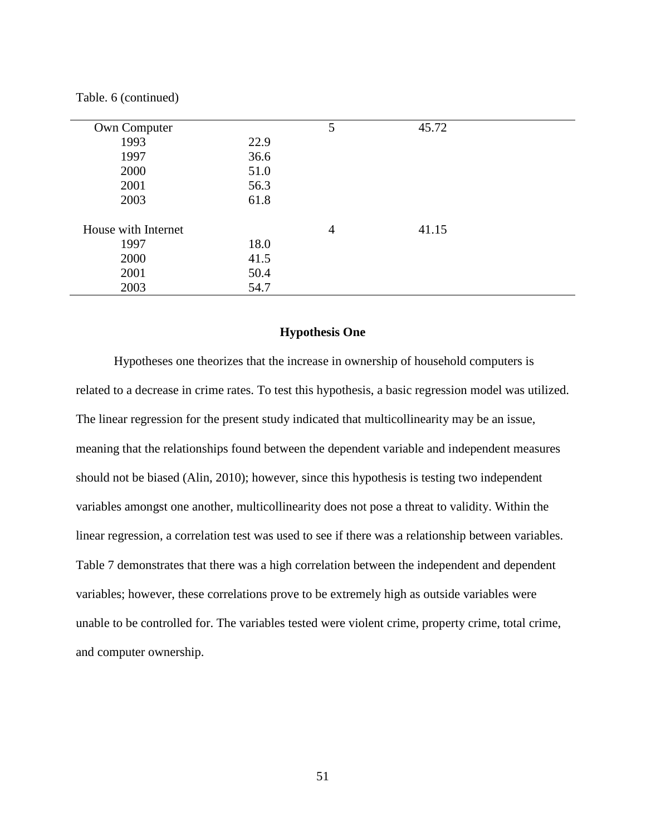|  |  | Table. 6 (continued) |  |
|--|--|----------------------|--|
|--|--|----------------------|--|

| Own Computer        |      | 5              | 45.72 |  |
|---------------------|------|----------------|-------|--|
| 1993                | 22.9 |                |       |  |
| 1997                | 36.6 |                |       |  |
|                     |      |                |       |  |
| 2000                | 51.0 |                |       |  |
| 2001                | 56.3 |                |       |  |
| 2003                | 61.8 |                |       |  |
|                     |      |                |       |  |
| House with Internet |      | $\overline{4}$ | 41.15 |  |
| 1997                | 18.0 |                |       |  |
| 2000                | 41.5 |                |       |  |
| 2001                | 50.4 |                |       |  |
| 2003                | 54.7 |                |       |  |

#### **Hypothesis One**

Hypotheses one theorizes that the increase in ownership of household computers is related to a decrease in crime rates. To test this hypothesis, a basic regression model was utilized. The linear regression for the present study indicated that multicollinearity may be an issue, meaning that the relationships found between the dependent variable and independent measures should not be biased (Alin, 2010); however, since this hypothesis is testing two independent variables amongst one another, multicollinearity does not pose a threat to validity. Within the linear regression, a correlation test was used to see if there was a relationship between variables. Table 7 demonstrates that there was a high correlation between the independent and dependent variables; however, these correlations prove to be extremely high as outside variables were unable to be controlled for. The variables tested were violent crime, property crime, total crime, and computer ownership.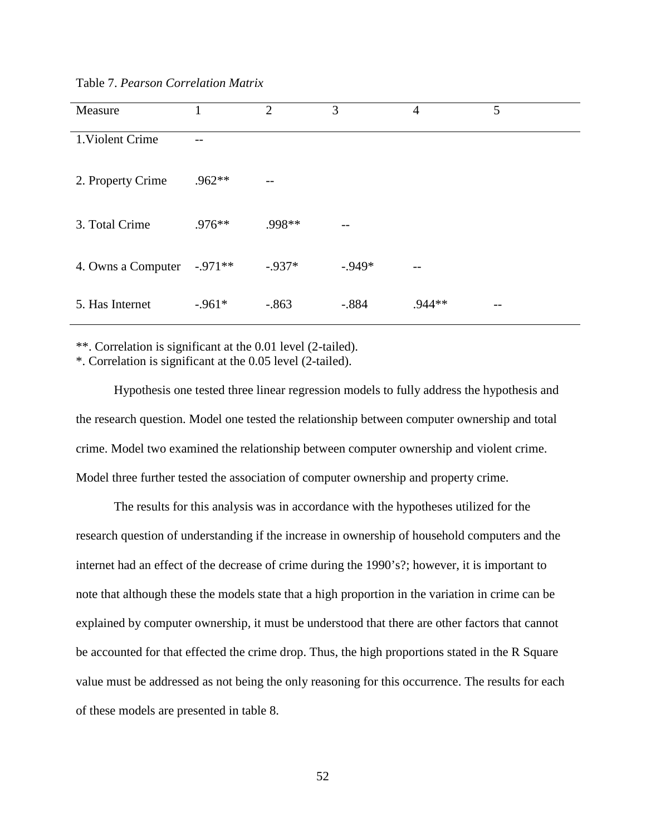| Measure            | 1        | 2         | 3         | 4      | 5 |
|--------------------|----------|-----------|-----------|--------|---|
| 1. Violent Crime   |          |           |           |        |   |
| 2. Property Crime  | .962**   | $ -$      |           |        |   |
| 3. Total Crime     | $.976**$ | .998**    |           |        |   |
| 4. Owns a Computer | $-971**$ | $-0.937*$ | $-0.949*$ |        |   |
| 5. Has Internet    | $-.961*$ | $-.863$   | $-.884$   | .944** |   |

Table 7. *Pearson Correlation Matrix*

\*\*. Correlation is significant at the 0.01 level (2-tailed).

\*. Correlation is significant at the 0.05 level (2-tailed).

Hypothesis one tested three linear regression models to fully address the hypothesis and the research question. Model one tested the relationship between computer ownership and total crime. Model two examined the relationship between computer ownership and violent crime. Model three further tested the association of computer ownership and property crime.

The results for this analysis was in accordance with the hypotheses utilized for the research question of understanding if the increase in ownership of household computers and the internet had an effect of the decrease of crime during the 1990's?; however, it is important to note that although these the models state that a high proportion in the variation in crime can be explained by computer ownership, it must be understood that there are other factors that cannot be accounted for that effected the crime drop. Thus, the high proportions stated in the R Square value must be addressed as not being the only reasoning for this occurrence. The results for each of these models are presented in table 8.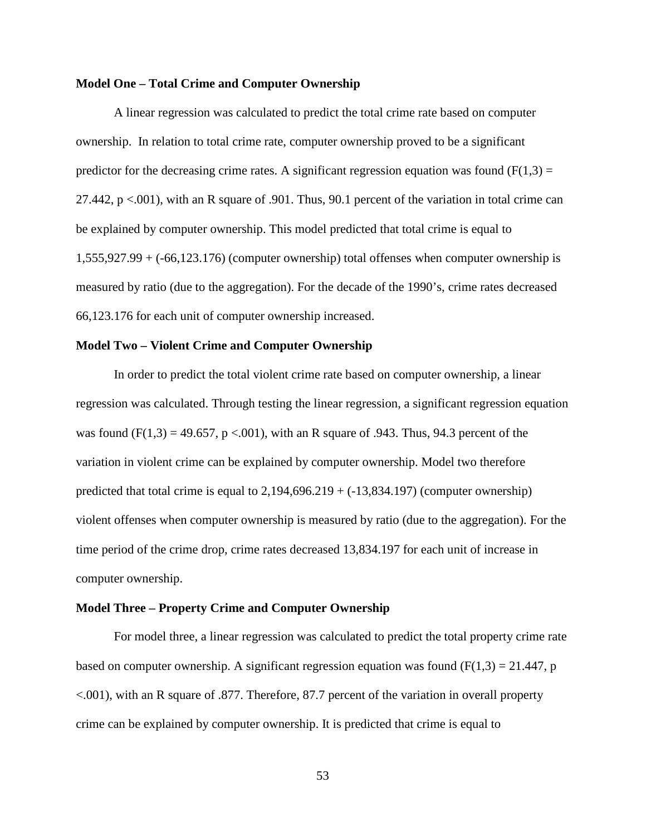## **Model One – Total Crime and Computer Ownership**

A linear regression was calculated to predict the total crime rate based on computer ownership. In relation to total crime rate, computer ownership proved to be a significant predictor for the decreasing crime rates. A significant regression equation was found  $(F(1,3) =$ 27.442, p <.001), with an R square of .901. Thus, 90.1 percent of the variation in total crime can be explained by computer ownership. This model predicted that total crime is equal to  $1,555,927.99 + (-66,123.176)$  (computer ownership) total offenses when computer ownership is measured by ratio (due to the aggregation). For the decade of the 1990's, crime rates decreased 66,123.176 for each unit of computer ownership increased.

## **Model Two – Violent Crime and Computer Ownership**

In order to predict the total violent crime rate based on computer ownership, a linear regression was calculated. Through testing the linear regression, a significant regression equation was found  $(F(1,3) = 49.657, p < .001)$ , with an R square of .943. Thus, 94.3 percent of the variation in violent crime can be explained by computer ownership. Model two therefore predicted that total crime is equal to  $2,194,696.219 + (-13,834.197)$  (computer ownership) violent offenses when computer ownership is measured by ratio (due to the aggregation). For the time period of the crime drop, crime rates decreased 13,834.197 for each unit of increase in computer ownership.

#### **Model Three – Property Crime and Computer Ownership**

For model three, a linear regression was calculated to predict the total property crime rate based on computer ownership. A significant regression equation was found  $(F(1,3) = 21.447, p$ <.001), with an R square of .877. Therefore, 87.7 percent of the variation in overall property crime can be explained by computer ownership. It is predicted that crime is equal to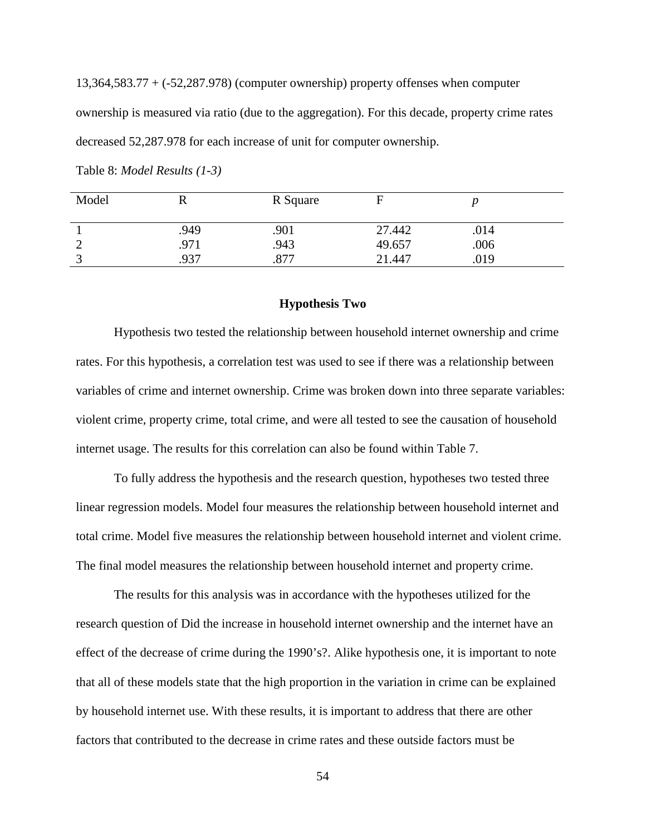13,364,583.77 + (-52,287.978) (computer ownership) property offenses when computer ownership is measured via ratio (due to the aggregation). For this decade, property crime rates decreased 52,287.978 for each increase of unit for computer ownership.

| Model |      | R Square |        |      |
|-------|------|----------|--------|------|
|       | .949 | .901     | 27.442 | .014 |
|       | 971  | .943     | 49.657 | .006 |
|       | .937 | .877     | 21.447 | .019 |

Table 8: *Model Results (1-3)*

#### **Hypothesis Two**

Hypothesis two tested the relationship between household internet ownership and crime rates. For this hypothesis, a correlation test was used to see if there was a relationship between variables of crime and internet ownership. Crime was broken down into three separate variables: violent crime, property crime, total crime, and were all tested to see the causation of household internet usage. The results for this correlation can also be found within Table 7.

To fully address the hypothesis and the research question, hypotheses two tested three linear regression models. Model four measures the relationship between household internet and total crime. Model five measures the relationship between household internet and violent crime. The final model measures the relationship between household internet and property crime.

The results for this analysis was in accordance with the hypotheses utilized for the research question of Did the increase in household internet ownership and the internet have an effect of the decrease of crime during the 1990's?. Alike hypothesis one, it is important to note that all of these models state that the high proportion in the variation in crime can be explained by household internet use. With these results, it is important to address that there are other factors that contributed to the decrease in crime rates and these outside factors must be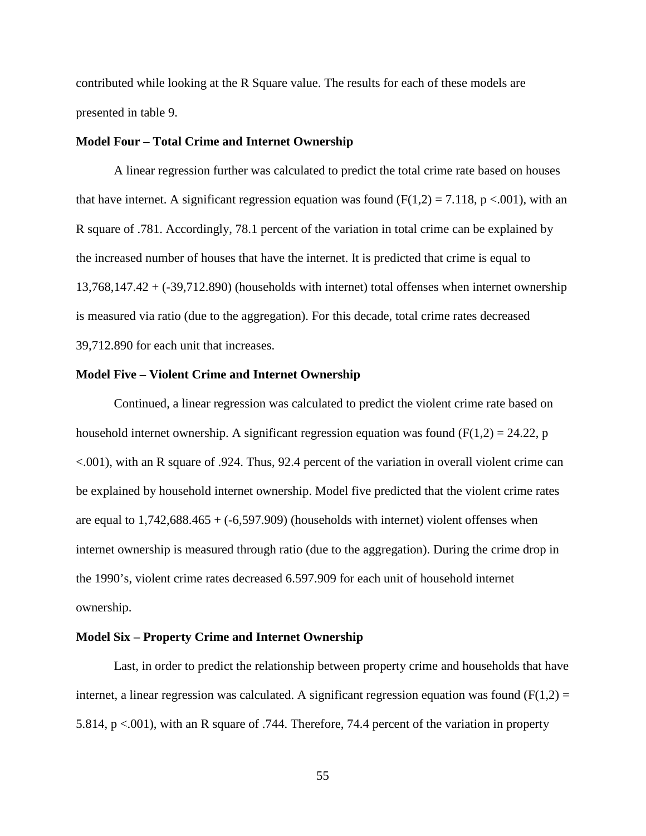contributed while looking at the R Square value. The results for each of these models are presented in table 9.

## **Model Four – Total Crime and Internet Ownership**

A linear regression further was calculated to predict the total crime rate based on houses that have internet. A significant regression equation was found (F(1,2) = 7.118, p <.001), with an R square of .781. Accordingly, 78.1 percent of the variation in total crime can be explained by the increased number of houses that have the internet. It is predicted that crime is equal to 13,768,147.42 + (-39,712.890) (households with internet) total offenses when internet ownership is measured via ratio (due to the aggregation). For this decade, total crime rates decreased 39,712.890 for each unit that increases.

## **Model Five – Violent Crime and Internet Ownership**

Continued, a linear regression was calculated to predict the violent crime rate based on household internet ownership. A significant regression equation was found ( $F(1,2) = 24.22$ , p <.001), with an R square of .924. Thus, 92.4 percent of the variation in overall violent crime can be explained by household internet ownership. Model five predicted that the violent crime rates are equal to  $1,742,688.465 + (-6,597.909)$  (households with internet) violent offenses when internet ownership is measured through ratio (due to the aggregation). During the crime drop in the 1990's, violent crime rates decreased 6.597.909 for each unit of household internet ownership.

## **Model Six – Property Crime and Internet Ownership**

Last, in order to predict the relationship between property crime and households that have internet, a linear regression was calculated. A significant regression equation was found  $(F(1,2) =$ 5.814, p <.001), with an R square of .744. Therefore, 74.4 percent of the variation in property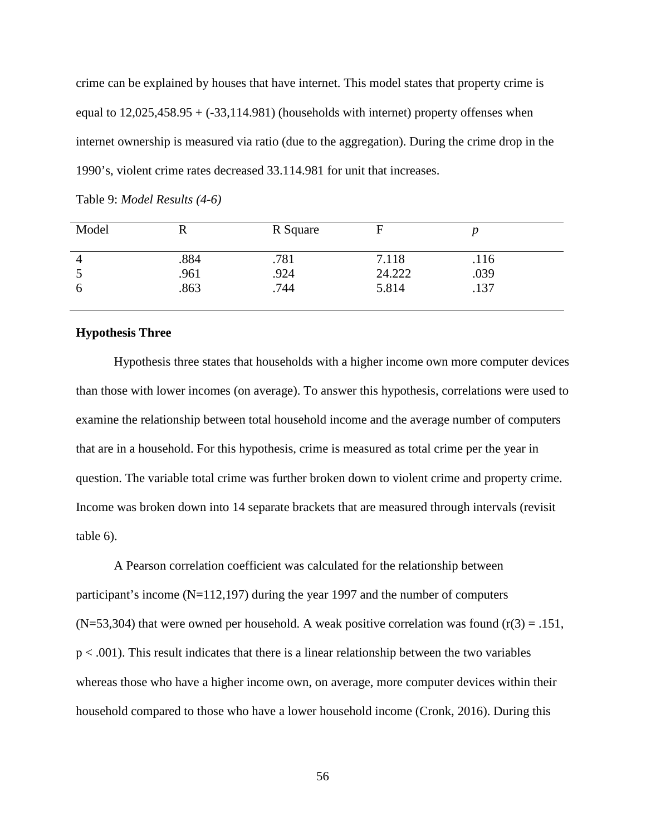crime can be explained by houses that have internet. This model states that property crime is equal to  $12,025,458.95 + (-33,114.981)$  (households with internet) property offenses when internet ownership is measured via ratio (due to the aggregation). During the crime drop in the 1990's, violent crime rates decreased 33.114.981 for unit that increases.

| Model          |      | R Square |        |      |
|----------------|------|----------|--------|------|
| $\overline{4}$ | .884 | .781     | 7.118  | .116 |
|                | .961 | .924     | 24.222 | .039 |
| 6              | .863 | .744     | 5.814  | .137 |

Table 9: *Model Results (4-6)*

## **Hypothesis Three**

Hypothesis three states that households with a higher income own more computer devices than those with lower incomes (on average). To answer this hypothesis, correlations were used to examine the relationship between total household income and the average number of computers that are in a household. For this hypothesis, crime is measured as total crime per the year in question. The variable total crime was further broken down to violent crime and property crime. Income was broken down into 14 separate brackets that are measured through intervals (revisit table 6).

A Pearson correlation coefficient was calculated for the relationship between participant's income (N=112,197) during the year 1997 and the number of computers  $(N=53,304)$  that were owned per household. A weak positive correlation was found  $(r(3) = .151)$ ,  $p < .001$ ). This result indicates that there is a linear relationship between the two variables whereas those who have a higher income own, on average, more computer devices within their household compared to those who have a lower household income (Cronk, 2016). During this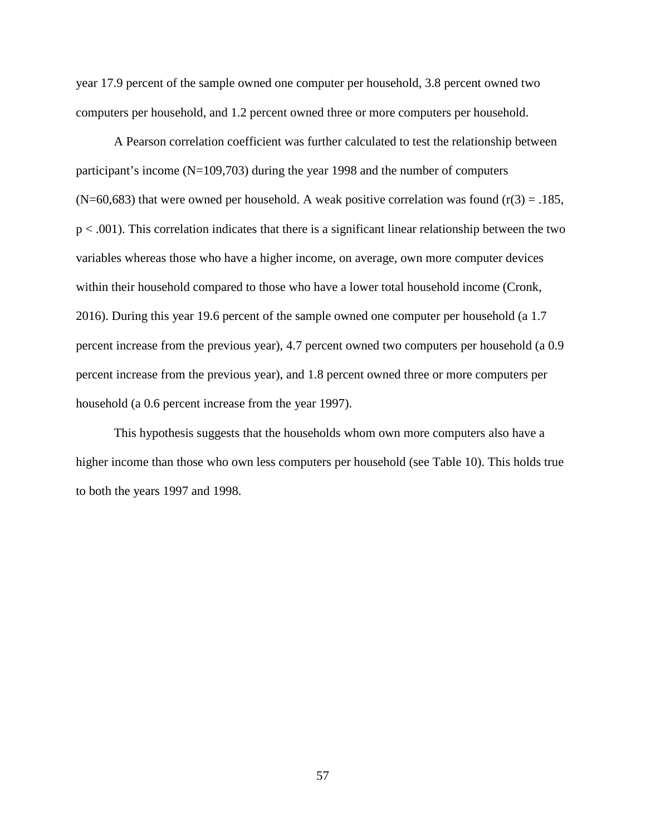year 17.9 percent of the sample owned one computer per household, 3.8 percent owned two computers per household, and 1.2 percent owned three or more computers per household.

A Pearson correlation coefficient was further calculated to test the relationship between participant's income (N=109,703) during the year 1998 and the number of computers  $(N=60,683)$  that were owned per household. A weak positive correlation was found  $(r(3) = .185, )$  $p < .001$ ). This correlation indicates that there is a significant linear relationship between the two variables whereas those who have a higher income, on average, own more computer devices within their household compared to those who have a lower total household income (Cronk, 2016). During this year 19.6 percent of the sample owned one computer per household (a 1.7 percent increase from the previous year), 4.7 percent owned two computers per household (a 0.9 percent increase from the previous year), and 1.8 percent owned three or more computers per household (a 0.6 percent increase from the year 1997).

This hypothesis suggests that the households whom own more computers also have a higher income than those who own less computers per household (see Table 10). This holds true to both the years 1997 and 1998.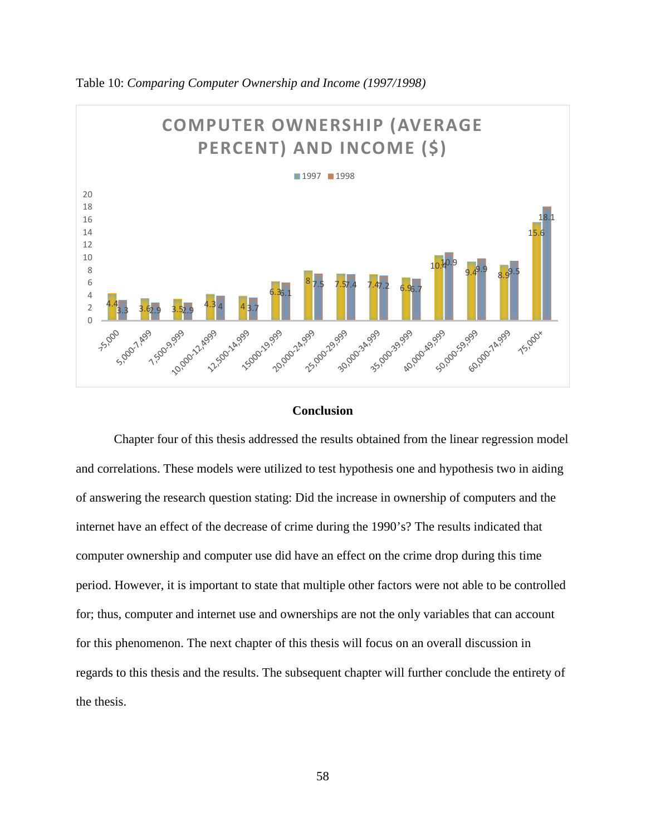

Table 10: *Comparing Computer Ownership and Income (1997/1998)*

#### **Conclusion**

Chapter four of this thesis addressed the results obtained from the linear regression model and correlations. These models were utilized to test hypothesis one and hypothesis two in aiding of answering the research question stating: Did the increase in ownership of computers and the internet have an effect of the decrease of crime during the 1990's? The results indicated that computer ownership and computer use did have an effect on the crime drop during this time period. However, it is important to state that multiple other factors were not able to be controlled for; thus, computer and internet use and ownerships are not the only variables that can account for this phenomenon. The next chapter of this thesis will focus on an overall discussion in regards to this thesis and the results. The subsequent chapter will further conclude the entirety of the thesis.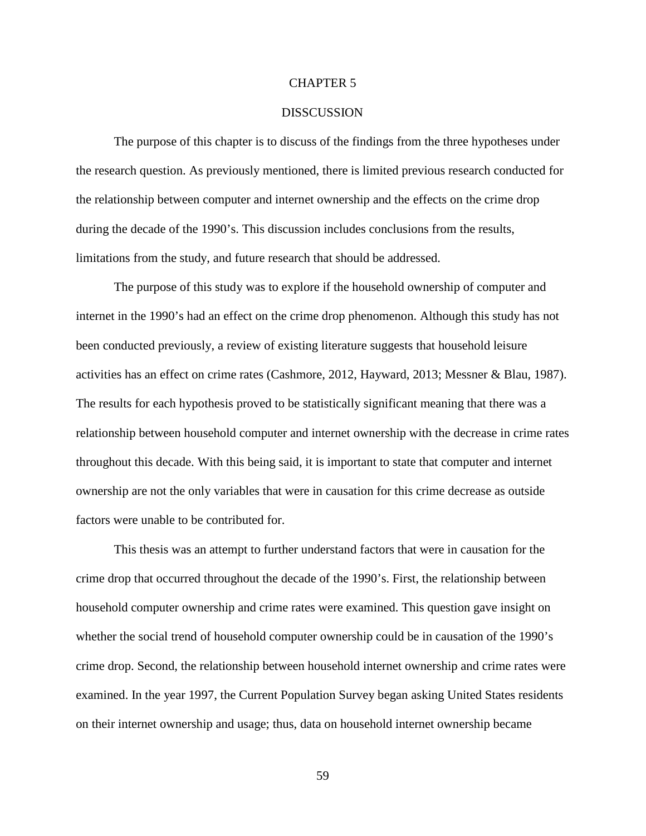#### CHAPTER 5

#### **DISSCUSSION**

The purpose of this chapter is to discuss of the findings from the three hypotheses under the research question. As previously mentioned, there is limited previous research conducted for the relationship between computer and internet ownership and the effects on the crime drop during the decade of the 1990's. This discussion includes conclusions from the results, limitations from the study, and future research that should be addressed.

The purpose of this study was to explore if the household ownership of computer and internet in the 1990's had an effect on the crime drop phenomenon. Although this study has not been conducted previously, a review of existing literature suggests that household leisure activities has an effect on crime rates (Cashmore, 2012, Hayward, 2013; Messner & Blau, 1987). The results for each hypothesis proved to be statistically significant meaning that there was a relationship between household computer and internet ownership with the decrease in crime rates throughout this decade. With this being said, it is important to state that computer and internet ownership are not the only variables that were in causation for this crime decrease as outside factors were unable to be contributed for.

This thesis was an attempt to further understand factors that were in causation for the crime drop that occurred throughout the decade of the 1990's. First, the relationship between household computer ownership and crime rates were examined. This question gave insight on whether the social trend of household computer ownership could be in causation of the 1990's crime drop. Second, the relationship between household internet ownership and crime rates were examined. In the year 1997, the Current Population Survey began asking United States residents on their internet ownership and usage; thus, data on household internet ownership became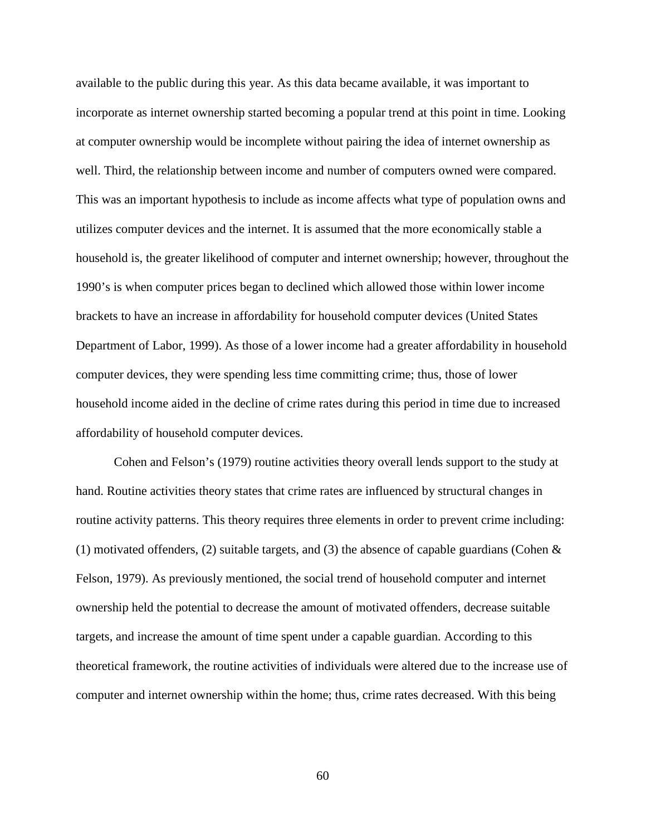available to the public during this year. As this data became available, it was important to incorporate as internet ownership started becoming a popular trend at this point in time. Looking at computer ownership would be incomplete without pairing the idea of internet ownership as well. Third, the relationship between income and number of computers owned were compared. This was an important hypothesis to include as income affects what type of population owns and utilizes computer devices and the internet. It is assumed that the more economically stable a household is, the greater likelihood of computer and internet ownership; however, throughout the 1990's is when computer prices began to declined which allowed those within lower income brackets to have an increase in affordability for household computer devices (United States Department of Labor, 1999). As those of a lower income had a greater affordability in household computer devices, they were spending less time committing crime; thus, those of lower household income aided in the decline of crime rates during this period in time due to increased affordability of household computer devices.

Cohen and Felson's (1979) routine activities theory overall lends support to the study at hand. Routine activities theory states that crime rates are influenced by structural changes in routine activity patterns. This theory requires three elements in order to prevent crime including: (1) motivated offenders, (2) suitable targets, and (3) the absence of capable guardians (Cohen  $\&$ Felson, 1979). As previously mentioned, the social trend of household computer and internet ownership held the potential to decrease the amount of motivated offenders, decrease suitable targets, and increase the amount of time spent under a capable guardian. According to this theoretical framework, the routine activities of individuals were altered due to the increase use of computer and internet ownership within the home; thus, crime rates decreased. With this being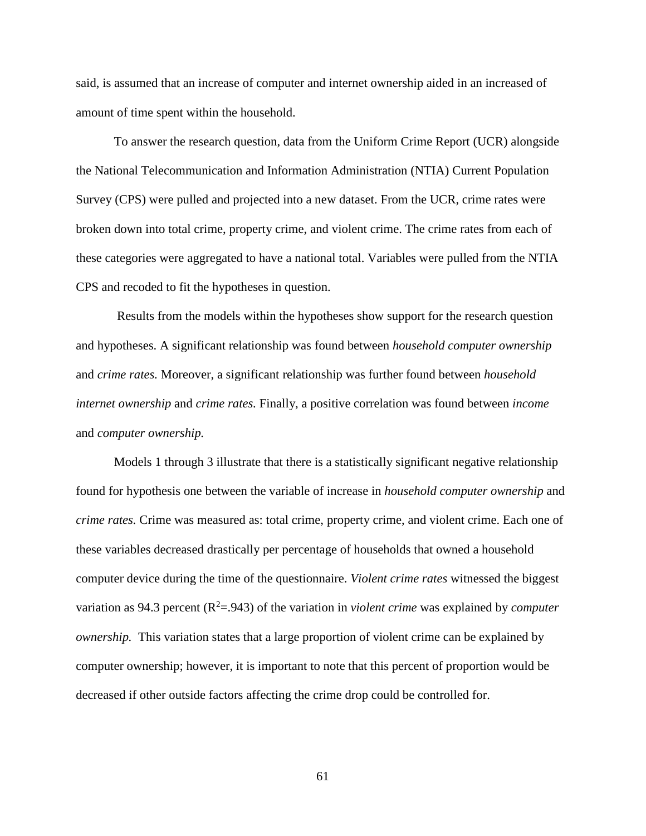said, is assumed that an increase of computer and internet ownership aided in an increased of amount of time spent within the household.

To answer the research question, data from the Uniform Crime Report (UCR) alongside the National Telecommunication and Information Administration (NTIA) Current Population Survey (CPS) were pulled and projected into a new dataset. From the UCR, crime rates were broken down into total crime, property crime, and violent crime. The crime rates from each of these categories were aggregated to have a national total. Variables were pulled from the NTIA CPS and recoded to fit the hypotheses in question.

Results from the models within the hypotheses show support for the research question and hypotheses. A significant relationship was found between *household computer ownership* and *crime rates.* Moreover, a significant relationship was further found between *household internet ownership* and *crime rates.* Finally, a positive correlation was found between *income* and *computer ownership.* 

Models 1 through 3 illustrate that there is a statistically significant negative relationship found for hypothesis one between the variable of increase in *household computer ownership* and *crime rates.* Crime was measured as: total crime, property crime, and violent crime. Each one of these variables decreased drastically per percentage of households that owned a household computer device during the time of the questionnaire. *Violent crime rates* witnessed the biggest variation as 94.3 percent  $(R^2 = .943)$  of the variation in *violent crime* was explained by *computer ownership.* This variation states that a large proportion of violent crime can be explained by computer ownership; however, it is important to note that this percent of proportion would be decreased if other outside factors affecting the crime drop could be controlled for.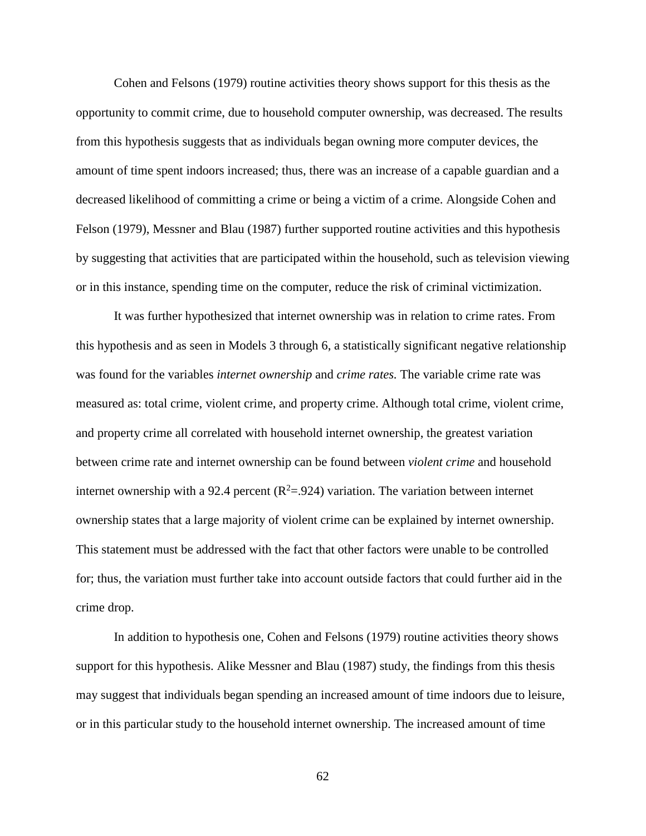Cohen and Felsons (1979) routine activities theory shows support for this thesis as the opportunity to commit crime, due to household computer ownership, was decreased. The results from this hypothesis suggests that as individuals began owning more computer devices, the amount of time spent indoors increased; thus, there was an increase of a capable guardian and a decreased likelihood of committing a crime or being a victim of a crime. Alongside Cohen and Felson (1979), Messner and Blau (1987) further supported routine activities and this hypothesis by suggesting that activities that are participated within the household, such as television viewing or in this instance, spending time on the computer, reduce the risk of criminal victimization.

It was further hypothesized that internet ownership was in relation to crime rates. From this hypothesis and as seen in Models 3 through 6, a statistically significant negative relationship was found for the variables *internet ownership* and *crime rates.* The variable crime rate was measured as: total crime, violent crime, and property crime. Although total crime, violent crime, and property crime all correlated with household internet ownership, the greatest variation between crime rate and internet ownership can be found between *violent crime* and household internet ownership with a 92.4 percent ( $R^2 = 0.924$ ) variation. The variation between internet ownership states that a large majority of violent crime can be explained by internet ownership. This statement must be addressed with the fact that other factors were unable to be controlled for; thus, the variation must further take into account outside factors that could further aid in the crime drop.

In addition to hypothesis one, Cohen and Felsons (1979) routine activities theory shows support for this hypothesis. Alike Messner and Blau (1987) study, the findings from this thesis may suggest that individuals began spending an increased amount of time indoors due to leisure, or in this particular study to the household internet ownership. The increased amount of time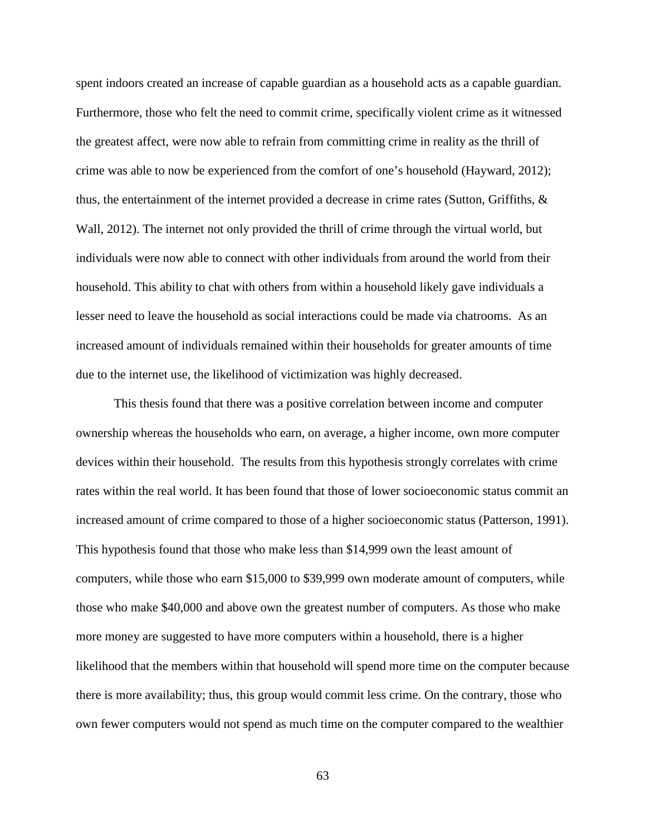spent indoors created an increase of capable guardian as a household acts as a capable guardian. Furthermore, those who felt the need to commit crime, specifically violent crime as it witnessed the greatest affect, were now able to refrain from committing crime in reality as the thrill of crime was able to now be experienced from the comfort of one's household (Hayward, 2012); thus, the entertainment of the internet provided a decrease in crime rates (Sutton, Griffiths, & Wall, 2012). The internet not only provided the thrill of crime through the virtual world, but individuals were now able to connect with other individuals from around the world from their household. This ability to chat with others from within a household likely gave individuals a lesser need to leave the household as social interactions could be made via chatrooms. As an increased amount of individuals remained within their households for greater amounts of time due to the internet use, the likelihood of victimization was highly decreased.

This thesis found that there was a positive correlation between income and computer ownership whereas the households who earn, on average, a higher income, own more computer devices within their household. The results from this hypothesis strongly correlates with crime rates within the real world. It has been found that those of lower socioeconomic status commit an increased amount of crime compared to those of a higher socioeconomic status (Patterson, 1991). This hypothesis found that those who make less than \$14,999 own the least amount of computers, while those who earn \$15,000 to \$39,999 own moderate amount of computers, while those who make \$40,000 and above own the greatest number of computers. As those who make more money are suggested to have more computers within a household, there is a higher likelihood that the members within that household will spend more time on the computer because there is more availability; thus, this group would commit less crime. On the contrary, those who own fewer computers would not spend as much time on the computer compared to the wealthier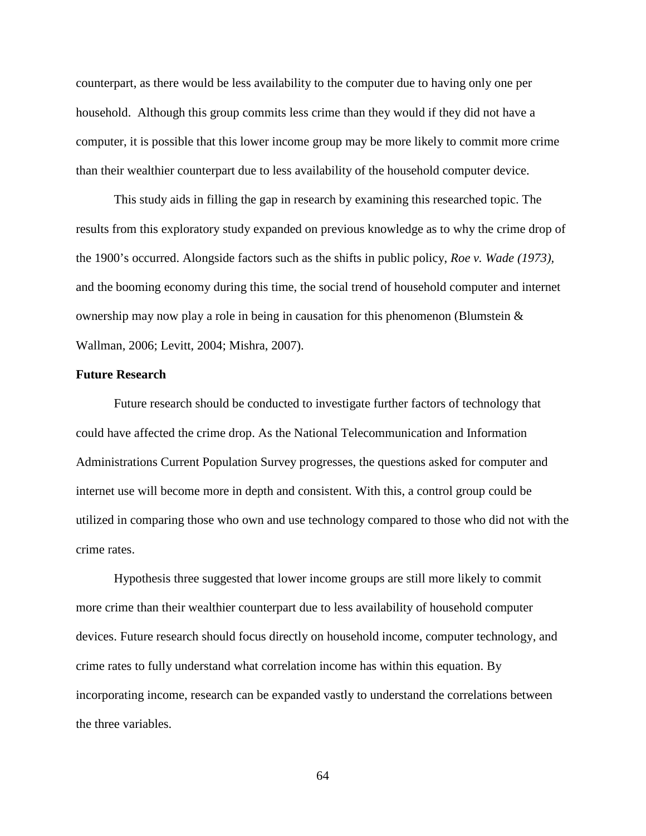counterpart, as there would be less availability to the computer due to having only one per household. Although this group commits less crime than they would if they did not have a computer, it is possible that this lower income group may be more likely to commit more crime than their wealthier counterpart due to less availability of the household computer device.

This study aids in filling the gap in research by examining this researched topic. The results from this exploratory study expanded on previous knowledge as to why the crime drop of the 1900's occurred. Alongside factors such as the shifts in public policy, *Roe v. Wade (1973),*  and the booming economy during this time, the social trend of household computer and internet ownership may now play a role in being in causation for this phenomenon (Blumstein & Wallman, 2006; Levitt, 2004; Mishra, 2007).

## **Future Research**

Future research should be conducted to investigate further factors of technology that could have affected the crime drop. As the National Telecommunication and Information Administrations Current Population Survey progresses, the questions asked for computer and internet use will become more in depth and consistent. With this, a control group could be utilized in comparing those who own and use technology compared to those who did not with the crime rates.

Hypothesis three suggested that lower income groups are still more likely to commit more crime than their wealthier counterpart due to less availability of household computer devices. Future research should focus directly on household income, computer technology, and crime rates to fully understand what correlation income has within this equation. By incorporating income, research can be expanded vastly to understand the correlations between the three variables.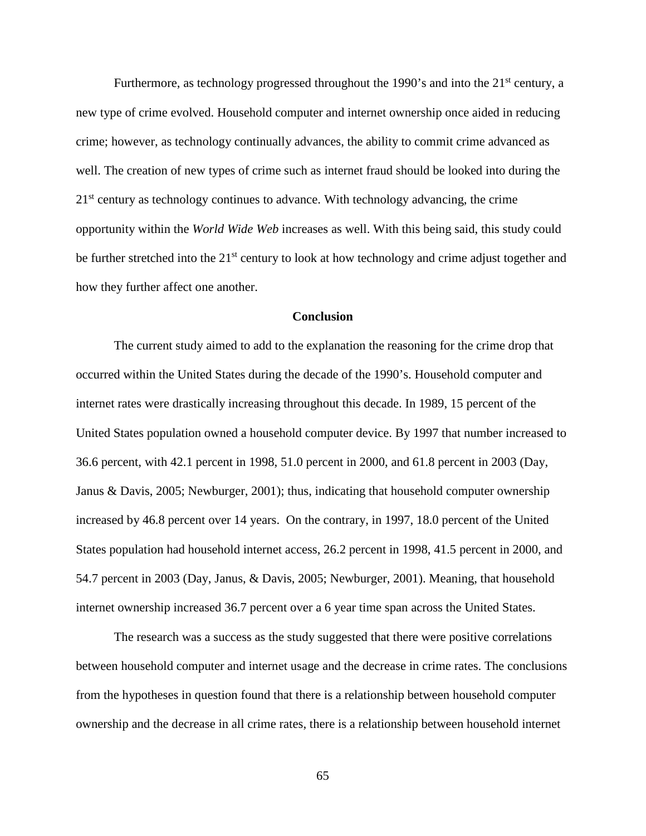Furthermore, as technology progressed throughout the 1990's and into the  $21<sup>st</sup>$  century, a new type of crime evolved. Household computer and internet ownership once aided in reducing crime; however, as technology continually advances, the ability to commit crime advanced as well. The creation of new types of crime such as internet fraud should be looked into during the  $21<sup>st</sup>$  century as technology continues to advance. With technology advancing, the crime opportunity within the *World Wide Web* increases as well. With this being said, this study could be further stretched into the 21<sup>st</sup> century to look at how technology and crime adjust together and how they further affect one another.

## **Conclusion**

The current study aimed to add to the explanation the reasoning for the crime drop that occurred within the United States during the decade of the 1990's. Household computer and internet rates were drastically increasing throughout this decade. In 1989, 15 percent of the United States population owned a household computer device. By 1997 that number increased to 36.6 percent, with 42.1 percent in 1998, 51.0 percent in 2000, and 61.8 percent in 2003 (Day, Janus & Davis, 2005; Newburger, 2001); thus, indicating that household computer ownership increased by 46.8 percent over 14 years. On the contrary, in 1997, 18.0 percent of the United States population had household internet access, 26.2 percent in 1998, 41.5 percent in 2000, and 54.7 percent in 2003 (Day, Janus, & Davis, 2005; Newburger, 2001). Meaning, that household internet ownership increased 36.7 percent over a 6 year time span across the United States.

The research was a success as the study suggested that there were positive correlations between household computer and internet usage and the decrease in crime rates. The conclusions from the hypotheses in question found that there is a relationship between household computer ownership and the decrease in all crime rates, there is a relationship between household internet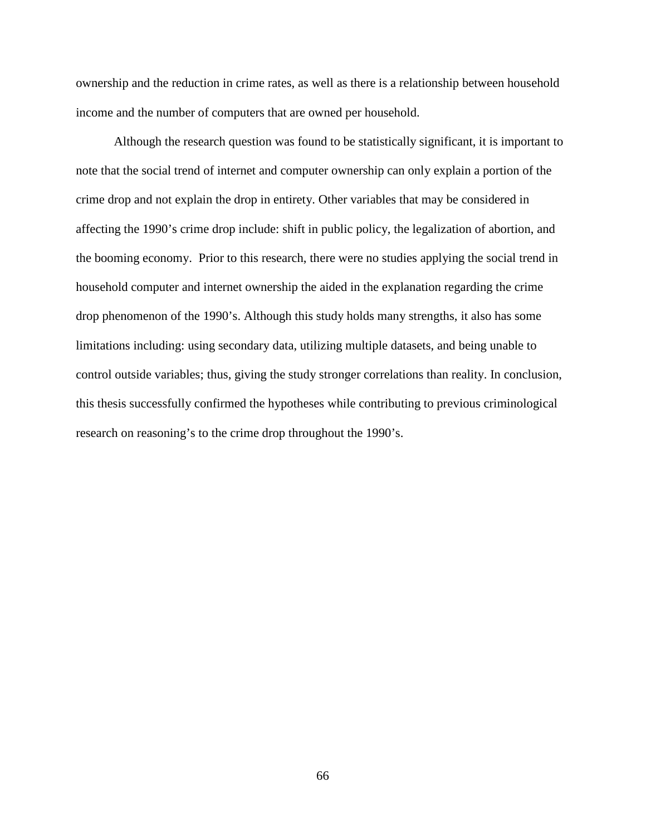ownership and the reduction in crime rates, as well as there is a relationship between household income and the number of computers that are owned per household.

Although the research question was found to be statistically significant, it is important to note that the social trend of internet and computer ownership can only explain a portion of the crime drop and not explain the drop in entirety. Other variables that may be considered in affecting the 1990's crime drop include: shift in public policy, the legalization of abortion, and the booming economy. Prior to this research, there were no studies applying the social trend in household computer and internet ownership the aided in the explanation regarding the crime drop phenomenon of the 1990's. Although this study holds many strengths, it also has some limitations including: using secondary data, utilizing multiple datasets, and being unable to control outside variables; thus, giving the study stronger correlations than reality. In conclusion, this thesis successfully confirmed the hypotheses while contributing to previous criminological research on reasoning's to the crime drop throughout the 1990's.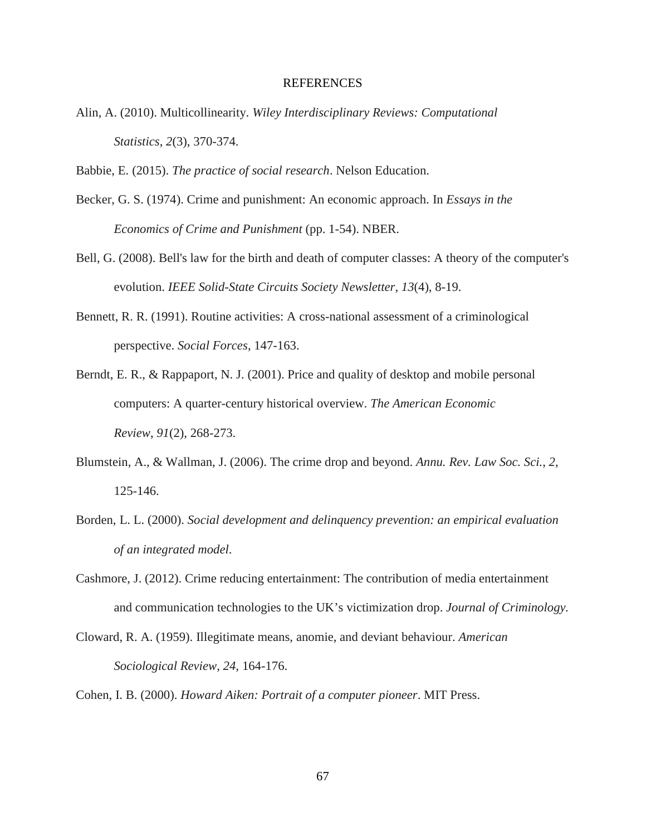#### REFERENCES

Alin, A. (2010). Multicollinearity. *Wiley Interdisciplinary Reviews: Computational Statistics*, *2*(3), 370-374.

Babbie, E. (2015). *The practice of social research*. Nelson Education.

- Becker, G. S. (1974). Crime and punishment: An economic approach. In *Essays in the Economics of Crime and Punishment* (pp. 1-54). NBER.
- Bell, G. (2008). Bell's law for the birth and death of computer classes: A theory of the computer's evolution. *IEEE Solid-State Circuits Society Newsletter*, *13*(4), 8-19.
- Bennett, R. R. (1991). Routine activities: A cross-national assessment of a criminological perspective. *Social Forces*, 147-163.
- Berndt, E. R., & Rappaport, N. J. (2001). Price and quality of desktop and mobile personal computers: A quarter-century historical overview. *The American Economic Review*, *91*(2), 268-273.
- Blumstein, A., & Wallman, J. (2006). The crime drop and beyond. *Annu. Rev. Law Soc. Sci.*, *2*, 125-146.
- Borden, L. L. (2000). *Social development and delinquency prevention: an empirical evaluation of an integrated model*.
- Cashmore, J. (2012). Crime reducing entertainment: The contribution of media entertainment and communication technologies to the UK's victimization drop. *Journal of Criminology.*
- Cloward, R. A. (1959). Illegitimate means, anomie, and deviant behaviour. *American Sociological Review, 24,* 164-176.
- Cohen, I. B. (2000). *Howard Aiken: Portrait of a computer pioneer*. MIT Press.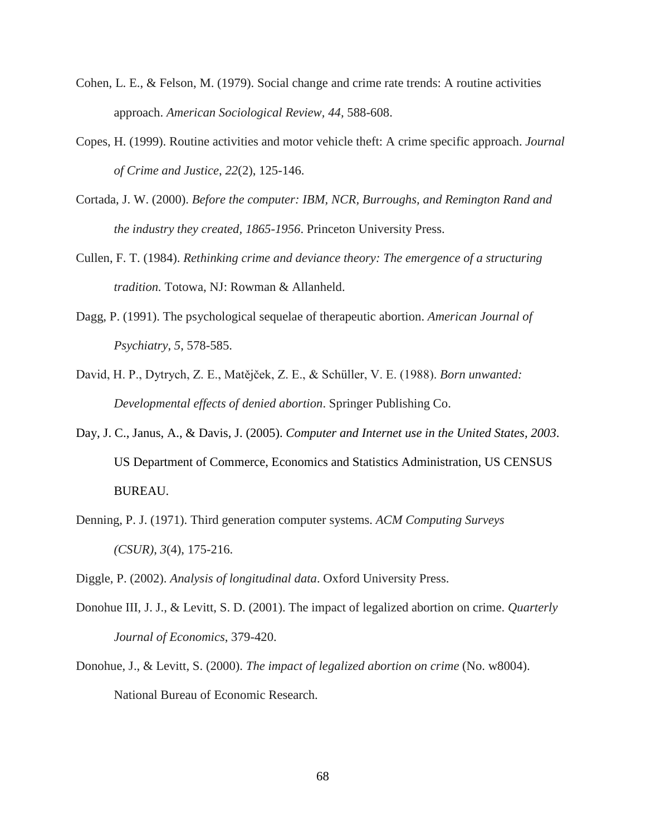- Cohen, L. E., & Felson, M. (1979). Social change and crime rate trends: A routine activities approach. *American Sociological Review, 44,* 588-608.
- Copes, H. (1999). Routine activities and motor vehicle theft: A crime specific approach. *Journal of Crime and Justice*, *22*(2), 125-146.
- Cortada, J. W. (2000). *Before the computer: IBM, NCR, Burroughs, and Remington Rand and the industry they created, 1865-1956*. Princeton University Press.
- Cullen, F. T. (1984). *Rethinking crime and deviance theory: The emergence of a structuring tradition.* Totowa, NJ: Rowman & Allanheld.
- Dagg, P. (1991). The psychological sequelae of therapeutic abortion. *American Journal of Psychiatry*, *5*, 578-585.
- David, H. P., Dytrych, Z. E., Matějček, Z. E., & Schüller, V. E. (1988). *Born unwanted: Developmental effects of denied abortion*. Springer Publishing Co.
- Day, J. C., Janus, A., & Davis, J. (2005). *Computer and Internet use in the United States, 2003*. US Department of Commerce, Economics and Statistics Administration, US CENSUS BUREAU.
- Denning, P. J. (1971). Third generation computer systems. *ACM Computing Surveys (CSUR)*, *3*(4), 175-216.
- Diggle, P. (2002). *Analysis of longitudinal data*. Oxford University Press.
- Donohue III, J. J., & Levitt, S. D. (2001). The impact of legalized abortion on crime. *Quarterly Journal of Economics*, 379-420.
- Donohue, J., & Levitt, S. (2000). *The impact of legalized abortion on crime* (No. w8004). National Bureau of Economic Research.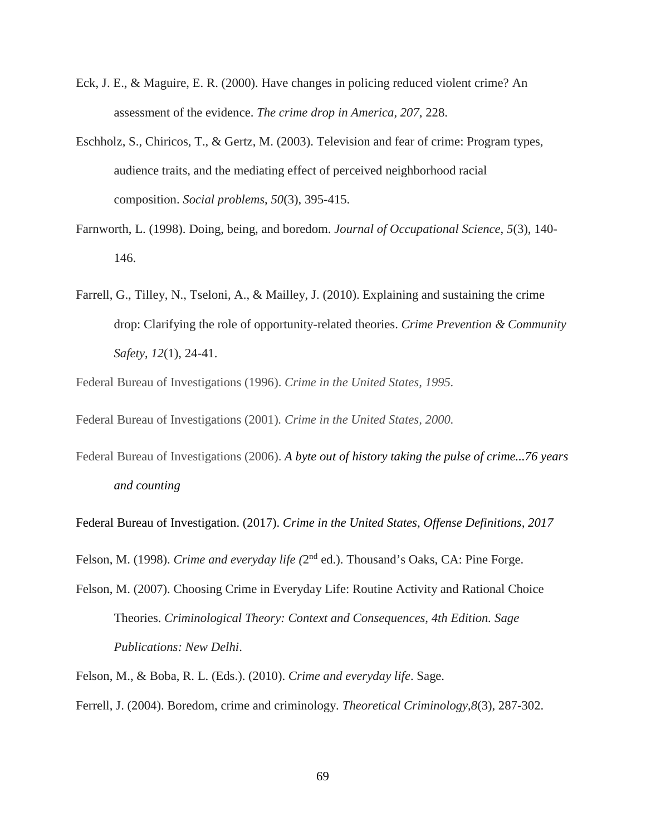- Eck, J. E., & Maguire, E. R. (2000). Have changes in policing reduced violent crime? An assessment of the evidence. *The crime drop in America*, *207*, 228.
- Eschholz, S., Chiricos, T., & Gertz, M. (2003). Television and fear of crime: Program types, audience traits, and the mediating effect of perceived neighborhood racial composition. *Social problems*, *50*(3), 395-415.
- Farnworth, L. (1998). Doing, being, and boredom. *Journal of Occupational Science*, *5*(3), 140- 146.
- Farrell, G., Tilley, N., Tseloni, A., & Mailley, J. (2010). Explaining and sustaining the crime drop: Clarifying the role of opportunity-related theories. *Crime Prevention & Community Safety*, *12*(1), 24-41.

Federal Bureau of Investigations (1996). *Crime in the United States, 1995.*

Federal Bureau of Investigations (2001)*. Crime in the United States, 2000.*

Federal Bureau of Investigations (2006). *A byte out of history taking the pulse of crime...76 years and counting*

Federal Bureau of Investigation. (2017). *Crime in the United States, Offense Definitions, 2017*

Felson, M. (1998). *Crime and everyday life (*2nd ed.). Thousand's Oaks, CA: Pine Forge.

- Felson, M. (2007). Choosing Crime in Everyday Life: Routine Activity and Rational Choice Theories. *Criminological Theory: Context and Consequences, 4th Edition. Sage Publications: New Delhi*.
- Felson, M., & Boba, R. L. (Eds.). (2010). *Crime and everyday life*. Sage.

Ferrell, J. (2004). Boredom, crime and criminology. *Theoretical Criminology*,*8*(3), 287-302.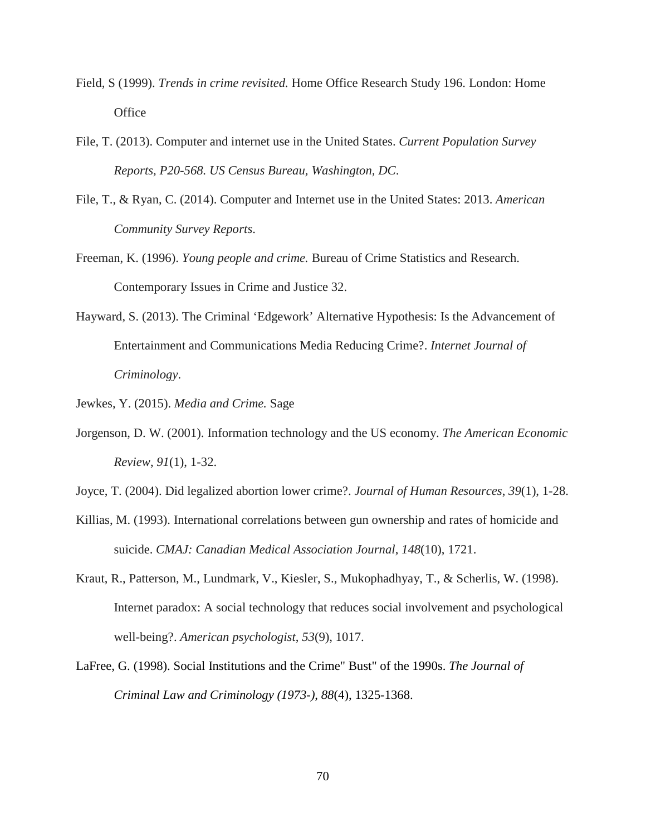- Field, S (1999). *Trends in crime revisited.* Home Office Research Study 196. London: Home **Office**
- File, T. (2013). Computer and internet use in the United States. *Current Population Survey Reports, P20-568. US Census Bureau, Washington, DC*.
- File, T., & Ryan, C. (2014). Computer and Internet use in the United States: 2013. *American Community Survey Reports*.
- Freeman, K. (1996). *Young people and crime.* Bureau of Crime Statistics and Research. Contemporary Issues in Crime and Justice 32.
- Hayward, S. (2013). The Criminal 'Edgework' Alternative Hypothesis: Is the Advancement of Entertainment and Communications Media Reducing Crime?. *Internet Journal of Criminology*.
- Jewkes, Y. (2015). *Media and Crime.* Sage
- Jorgenson, D. W. (2001). Information technology and the US economy. *The American Economic Review*, *91*(1), 1-32.
- Joyce, T. (2004). Did legalized abortion lower crime?. *Journal of Human Resources*, *39*(1), 1-28.
- Killias, M. (1993). International correlations between gun ownership and rates of homicide and suicide. *CMAJ: Canadian Medical Association Journal*, *148*(10), 1721.
- Kraut, R., Patterson, M., Lundmark, V., Kiesler, S., Mukophadhyay, T., & Scherlis, W. (1998). Internet paradox: A social technology that reduces social involvement and psychological well-being?. *American psychologist*, *53*(9), 1017.
- LaFree, G. (1998). Social Institutions and the Crime" Bust" of the 1990s. *The Journal of Criminal Law and Criminology (1973-)*, *88*(4), 1325-1368.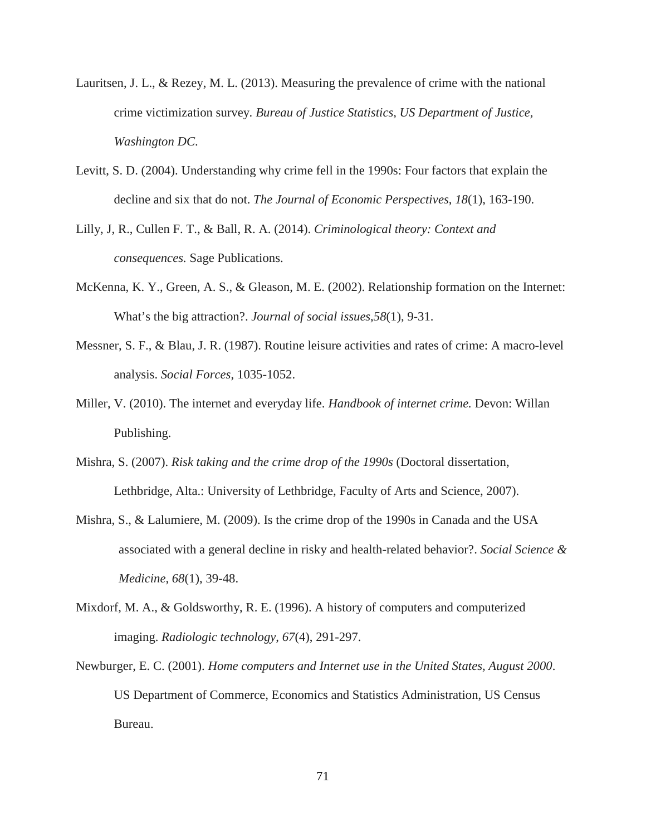- Lauritsen, J. L., & Rezey, M. L. (2013). Measuring the prevalence of crime with the national crime victimization survey. *Bureau of Justice Statistics, US Department of Justice, Washington DC*.
- Levitt, S. D. (2004). Understanding why crime fell in the 1990s: Four factors that explain the decline and six that do not. *The Journal of Economic Perspectives*, *18*(1), 163-190.
- Lilly, J, R., Cullen F. T., & Ball, R. A. (2014). *Criminological theory: Context and consequences.* Sage Publications.
- McKenna, K. Y., Green, A. S., & Gleason, M. E. (2002). Relationship formation on the Internet: What's the big attraction?. *Journal of social issues*,*58*(1), 9-31.
- Messner, S. F., & Blau, J. R. (1987). Routine leisure activities and rates of crime: A macro-level analysis. *Social Forces*, 1035-1052.
- Miller, V. (2010). The internet and everyday life. *Handbook of internet crime.* Devon: Willan Publishing.
- Mishra, S. (2007). *Risk taking and the crime drop of the 1990s* (Doctoral dissertation, Lethbridge, Alta.: University of Lethbridge, Faculty of Arts and Science, 2007).
- Mishra, S., & Lalumiere, M. (2009). Is the crime drop of the 1990s in Canada and the USA associated with a general decline in risky and health-related behavior?. *Social Science & Medicine*, *68*(1), 39-48.
- Mixdorf, M. A., & Goldsworthy, R. E. (1996). A history of computers and computerized imaging. *Radiologic technology*, *67*(4), 291-297.
- Newburger, E. C. (2001). *Home computers and Internet use in the United States, August 2000*. US Department of Commerce, Economics and Statistics Administration, US Census Bureau.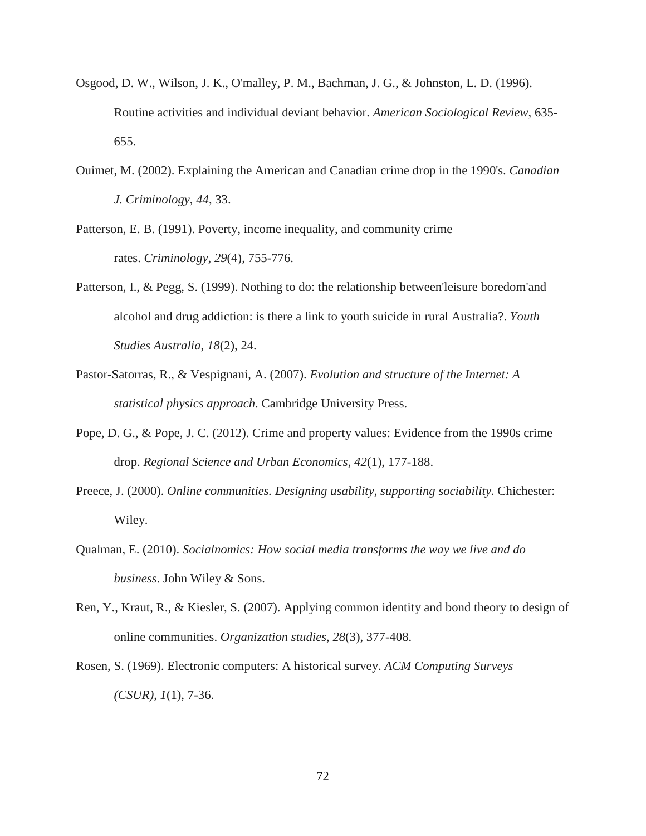- Osgood, D. W., Wilson, J. K., O'malley, P. M., Bachman, J. G., & Johnston, L. D. (1996). Routine activities and individual deviant behavior. *American Sociological Review*, 635- 655.
- Ouimet, M. (2002). Explaining the American and Canadian crime drop in the 1990's. *Canadian J. Criminology*, *44*, 33.
- Patterson, E. B. (1991). Poverty, income inequality, and community crime rates. *Criminology*, *29*(4), 755-776.
- Patterson, I., & Pegg, S. (1999). Nothing to do: the relationship between'leisure boredom'and alcohol and drug addiction: is there a link to youth suicide in rural Australia?. *Youth Studies Australia*, *18*(2), 24.
- Pastor-Satorras, R., & Vespignani, A. (2007). *Evolution and structure of the Internet: A statistical physics approach*. Cambridge University Press.
- Pope, D. G., & Pope, J. C. (2012). Crime and property values: Evidence from the 1990s crime drop. *Regional Science and Urban Economics*, *42*(1), 177-188.
- Preece, J. (2000). *Online communities. Designing usability, supporting sociability.* Chichester: Wiley.
- Qualman, E. (2010). *Socialnomics: How social media transforms the way we live and do business*. John Wiley & Sons.
- Ren, Y., Kraut, R., & Kiesler, S. (2007). Applying common identity and bond theory to design of online communities. *Organization studies*, *28*(3), 377-408.
- Rosen, S. (1969). Electronic computers: A historical survey. *ACM Computing Surveys (CSUR)*, *1*(1), 7-36.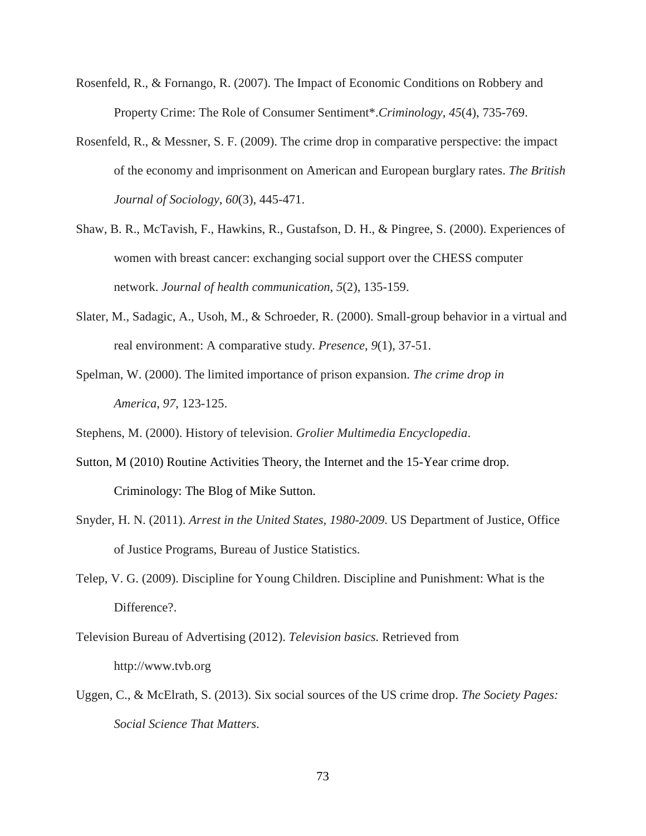- Rosenfeld, R., & Fornango, R. (2007). The Impact of Economic Conditions on Robbery and Property Crime: The Role of Consumer Sentiment\*.*Criminology*, *45*(4), 735-769.
- Rosenfeld, R., & Messner, S. F. (2009). The crime drop in comparative perspective: the impact of the economy and imprisonment on American and European burglary rates. *The British Journal of Sociology*, *60*(3), 445-471.
- Shaw, B. R., McTavish, F., Hawkins, R., Gustafson, D. H., & Pingree, S. (2000). Experiences of women with breast cancer: exchanging social support over the CHESS computer network. *Journal of health communication*, *5*(2), 135-159.
- Slater, M., Sadagic, A., Usoh, M., & Schroeder, R. (2000). Small-group behavior in a virtual and real environment: A comparative study. *Presence*, *9*(1), 37-51.
- Spelman, W. (2000). The limited importance of prison expansion. *The crime drop in America*, *97*, 123-125.
- Stephens, M. (2000). History of television. *Grolier Multimedia Encyclopedia*.
- Sutton, M (2010) Routine Activities Theory, the Internet and the 15-Year crime drop. Criminology: The Blog of Mike Sutton.
- Snyder, H. N. (2011). *Arrest in the United States, 1980-2009*. US Department of Justice, Office of Justice Programs, Bureau of Justice Statistics.
- Telep, V. G. (2009). Discipline for Young Children. Discipline and Punishment: What is the Difference?.
- Television Bureau of Advertising (2012). *Television basics.* Retrieved from http://www.tvb.org
- Uggen, C., & McElrath, S. (2013). Six social sources of the US crime drop. *The Society Pages: Social Science That Matters*.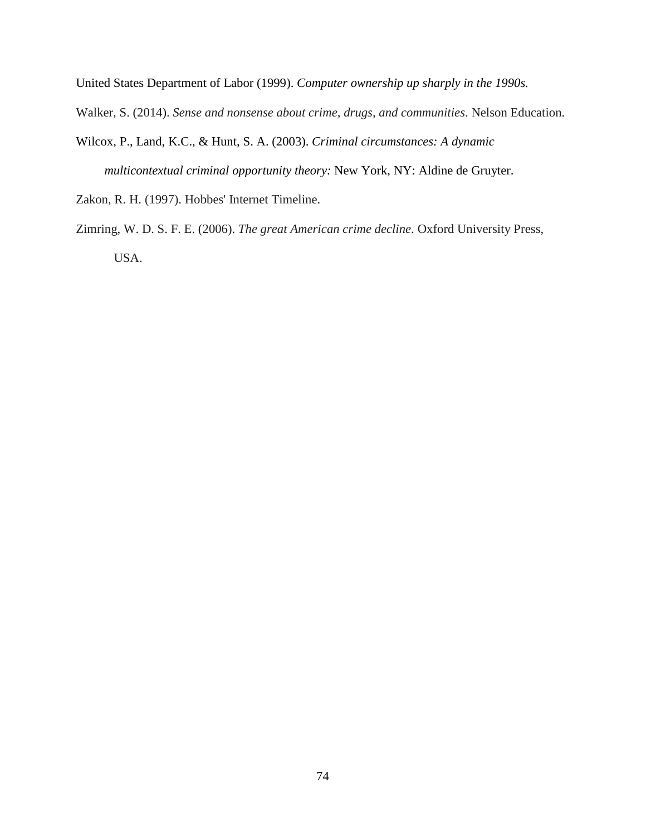United States Department of Labor (1999). *Computer ownership up sharply in the 1990s.*

Walker, S. (2014). *Sense and nonsense about crime, drugs, and communities*. Nelson Education.

- Wilcox, P., Land, K.C., & Hunt, S. A. (2003). *Criminal circumstances: A dynamic multicontextual criminal opportunity theory:* New York, NY: Aldine de Gruyter.
- Zakon, R. H. (1997). Hobbes' Internet Timeline.
- Zimring, W. D. S. F. E. (2006). *The great American crime decline*. Oxford University Press, USA.